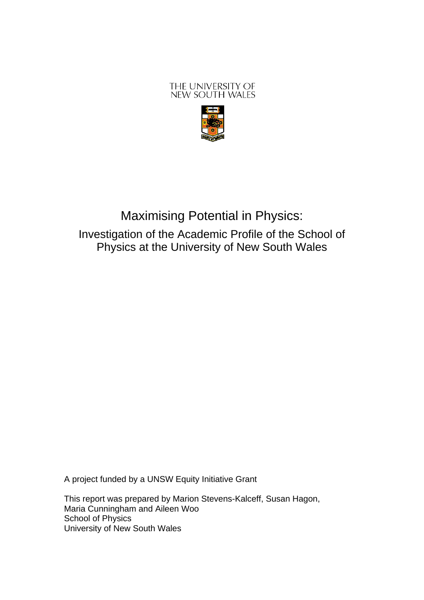## THE UNIVERSITY OF NEW SOUTH WALES



# Maximising Potential in Physics: Investigation of the Academic Profile of the School of Physics at the University of New South Wales

A project funded by a UNSW Equity Initiative Grant

This report was prepared by Marion Stevens-Kalceff, Susan Hagon, Maria Cunningham and Aileen Woo School of Physics University of New South Wales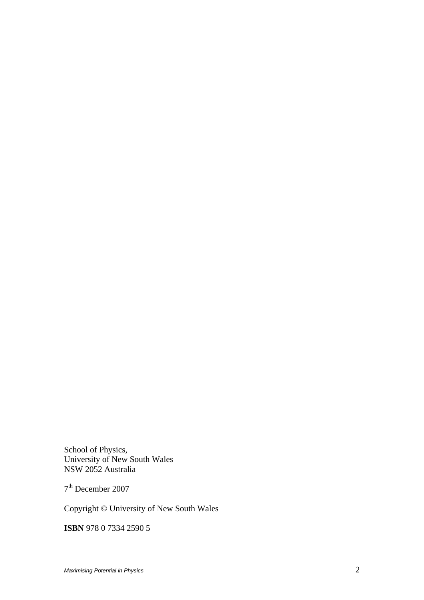School of Physics, University of New South Wales NSW 2052 Australia

7th December 2007

Copyright © University of New South Wales

**ISBN** 978 0 7334 2590 5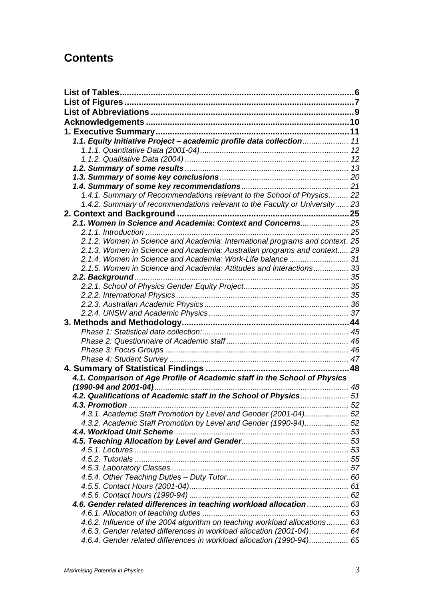## **Contents**

| 1.1. Equity Initiative Project - academic profile data collection 11                                                                           |  |
|------------------------------------------------------------------------------------------------------------------------------------------------|--|
|                                                                                                                                                |  |
|                                                                                                                                                |  |
|                                                                                                                                                |  |
|                                                                                                                                                |  |
|                                                                                                                                                |  |
| 1.4.1. Summary of Recommendations relevant to the School of Physics 22                                                                         |  |
| 1.4.2. Summary of recommendations relevant to the Faculty or University 23                                                                     |  |
|                                                                                                                                                |  |
| 2.1. Women in Science and Academia: Context and Concerns 25                                                                                    |  |
|                                                                                                                                                |  |
| 2.1.2. Women in Science and Academia: International programs and context. 25                                                                   |  |
| 2.1.3. Women in Science and Academia: Australian programs and context 29                                                                       |  |
|                                                                                                                                                |  |
| 2.1.5. Women in Science and Academia: Attitudes and interactions 33                                                                            |  |
|                                                                                                                                                |  |
|                                                                                                                                                |  |
|                                                                                                                                                |  |
|                                                                                                                                                |  |
|                                                                                                                                                |  |
|                                                                                                                                                |  |
|                                                                                                                                                |  |
|                                                                                                                                                |  |
|                                                                                                                                                |  |
|                                                                                                                                                |  |
|                                                                                                                                                |  |
|                                                                                                                                                |  |
| 4.1. Comparison of Age Profile of Academic staff in the School of Physics                                                                      |  |
|                                                                                                                                                |  |
| 4.2. Qualifications of Academic staff in the School of Physics 51                                                                              |  |
| 4.3. Promotion.                                                                                                                                |  |
| 4.3.1. Academic Staff Promotion by Level and Gender (2001-04) 52                                                                               |  |
| 4.3.2. Academic Staff Promotion by Level and Gender (1990-94) 52                                                                               |  |
|                                                                                                                                                |  |
|                                                                                                                                                |  |
|                                                                                                                                                |  |
|                                                                                                                                                |  |
|                                                                                                                                                |  |
|                                                                                                                                                |  |
|                                                                                                                                                |  |
|                                                                                                                                                |  |
| 4.6. Gender related differences in teaching workload allocation  63                                                                            |  |
|                                                                                                                                                |  |
| 4.6.2. Influence of the 2004 algorithm on teaching workload allocations 63                                                                     |  |
| 4.6.3. Gender related differences in workload allocation (2001-04) 64<br>4.6.4. Gender related differences in workload allocation (1990-94) 65 |  |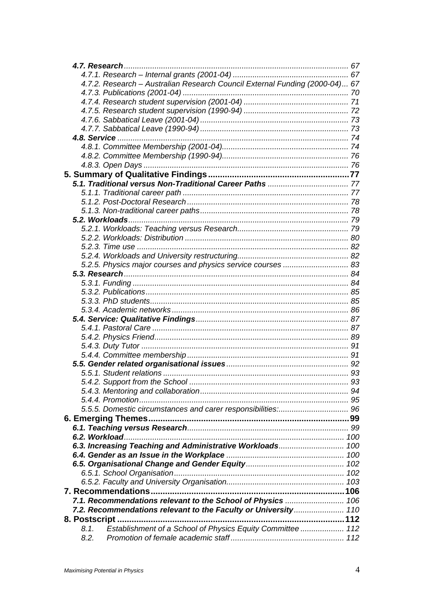| 4.7.2. Research - Australian Research Council External Funding (2000-04) 67 |  |
|-----------------------------------------------------------------------------|--|
|                                                                             |  |
|                                                                             |  |
|                                                                             |  |
|                                                                             |  |
|                                                                             |  |
|                                                                             |  |
|                                                                             |  |
|                                                                             |  |
|                                                                             |  |
|                                                                             |  |
|                                                                             |  |
|                                                                             |  |
|                                                                             |  |
|                                                                             |  |
|                                                                             |  |
|                                                                             |  |
|                                                                             |  |
|                                                                             |  |
|                                                                             |  |
|                                                                             |  |
| 5.2.5. Physics major courses and physics service courses  83                |  |
|                                                                             |  |
|                                                                             |  |
|                                                                             |  |
|                                                                             |  |
|                                                                             |  |
|                                                                             |  |
|                                                                             |  |
|                                                                             |  |
|                                                                             |  |
|                                                                             |  |
|                                                                             |  |
|                                                                             |  |
|                                                                             |  |
|                                                                             |  |
|                                                                             |  |
|                                                                             |  |
|                                                                             |  |
|                                                                             |  |
|                                                                             |  |
|                                                                             |  |
| 6.3. Increasing Teaching and Administrative Workloads 100                   |  |
|                                                                             |  |
|                                                                             |  |
|                                                                             |  |
|                                                                             |  |
|                                                                             |  |
| 7.1. Recommendations relevant to the School of Physics  106                 |  |
| 7.2. Recommendations relevant to the Faculty or University 110              |  |
|                                                                             |  |
|                                                                             |  |
| Establishment of a School of Physics Equity Committee  112<br>8.1.          |  |
| 8.2.                                                                        |  |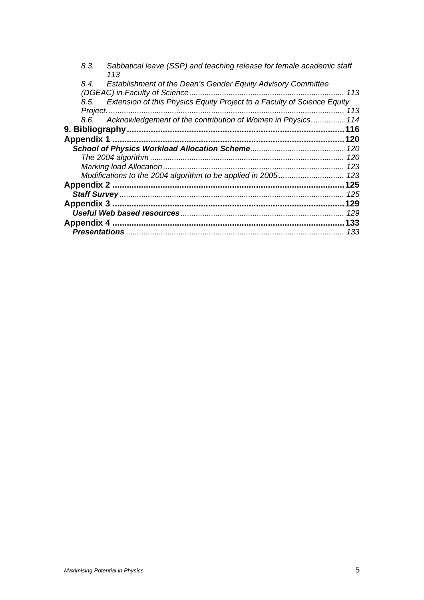| 8.3.<br>Sabbatical leave (SSP) and teaching release for female academic staff<br>113 |     |
|--------------------------------------------------------------------------------------|-----|
| Establishment of the Dean's Gender Equity Advisory Committee<br>8.4.                 |     |
| (DGEAC) in Faculty of Science                                                        | 113 |
| 8.5. Extension of this Physics Equity Project to a Faculty of Science Equity         |     |
|                                                                                      | 113 |
| 8.6. Acknowledgement of the contribution of Women in Physics                         | 114 |
|                                                                                      | 116 |
|                                                                                      |     |
|                                                                                      |     |
|                                                                                      | 120 |
|                                                                                      | 123 |
|                                                                                      | 123 |
| <b>Appendix 2</b>                                                                    | 125 |
|                                                                                      | 125 |
|                                                                                      | 129 |
|                                                                                      | 129 |
| <b>Appendix 4</b>                                                                    | 133 |
|                                                                                      | 133 |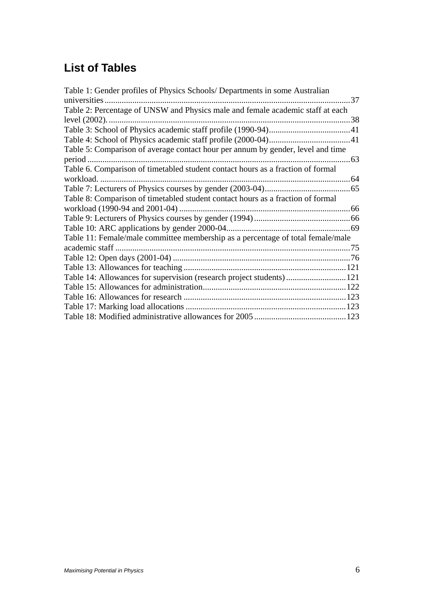# **List of Tables**

| Table 1: Gender profiles of Physics Schools/ Departments in some Australian<br>universities. | 37  |
|----------------------------------------------------------------------------------------------|-----|
| Table 2: Percentage of UNSW and Physics male and female academic staff at each               |     |
| level (2002).                                                                                |     |
|                                                                                              |     |
|                                                                                              |     |
| Table 5: Comparison of average contact hour per annum by gender, level and time              |     |
| period                                                                                       | .63 |
| Table 6. Comparison of timetabled student contact hours as a fraction of formal              |     |
| workload.                                                                                    | 64  |
|                                                                                              |     |
| Table 8: Comparison of timetabled student contact hours as a fraction of formal              |     |
|                                                                                              |     |
|                                                                                              |     |
|                                                                                              |     |
| Table 11: Female/male committee membership as a percentage of total female/male              |     |
| academic staff.                                                                              |     |
|                                                                                              |     |
|                                                                                              |     |
| Table 14: Allowances for supervision (research project students)121                          |     |
|                                                                                              |     |
|                                                                                              |     |
|                                                                                              |     |
|                                                                                              |     |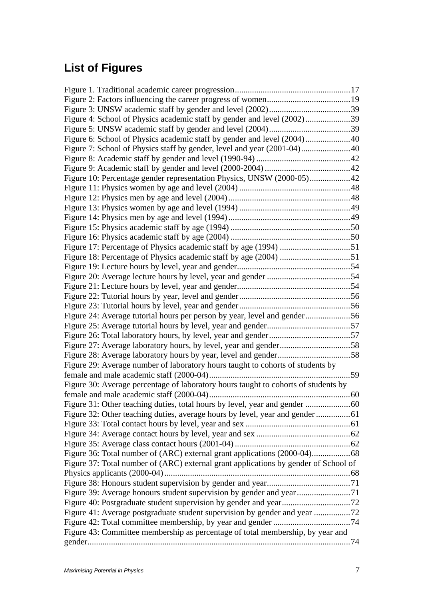# **List of Figures**

| Figure 4: School of Physics academic staff by gender and level (2002)39             |  |
|-------------------------------------------------------------------------------------|--|
|                                                                                     |  |
| Figure 6: School of Physics academic staff by gender and level (2004)40             |  |
|                                                                                     |  |
|                                                                                     |  |
|                                                                                     |  |
| Figure 10: Percentage gender representation Physics, UNSW (2000-05)42               |  |
|                                                                                     |  |
|                                                                                     |  |
|                                                                                     |  |
|                                                                                     |  |
|                                                                                     |  |
|                                                                                     |  |
|                                                                                     |  |
|                                                                                     |  |
|                                                                                     |  |
|                                                                                     |  |
|                                                                                     |  |
|                                                                                     |  |
|                                                                                     |  |
| Figure 24: Average tutorial hours per person by year, level and gender56            |  |
|                                                                                     |  |
|                                                                                     |  |
|                                                                                     |  |
|                                                                                     |  |
| Figure 29: Average number of laboratory hours taught to cohorts of students by      |  |
|                                                                                     |  |
| Figure 30: Average percentage of laboratory hours taught to cohorts of students by  |  |
|                                                                                     |  |
|                                                                                     |  |
|                                                                                     |  |
|                                                                                     |  |
|                                                                                     |  |
|                                                                                     |  |
|                                                                                     |  |
| Figure 37: Total number of (ARC) external grant applications by gender of School of |  |
|                                                                                     |  |
|                                                                                     |  |
| Figure 39: Average honours student supervision by gender and year71                 |  |
|                                                                                     |  |
|                                                                                     |  |
|                                                                                     |  |
| Figure 43: Committee membership as percentage of total membership, by year and      |  |
|                                                                                     |  |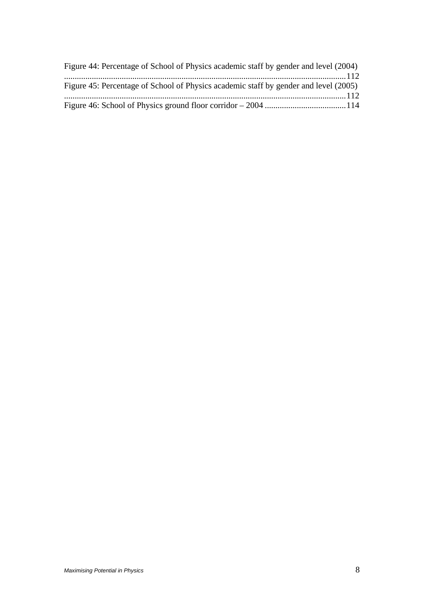| Figure 44: Percentage of School of Physics academic staff by gender and level (2004) |  |
|--------------------------------------------------------------------------------------|--|
|                                                                                      |  |
| Figure 45: Percentage of School of Physics academic staff by gender and level (2005) |  |
|                                                                                      |  |
|                                                                                      |  |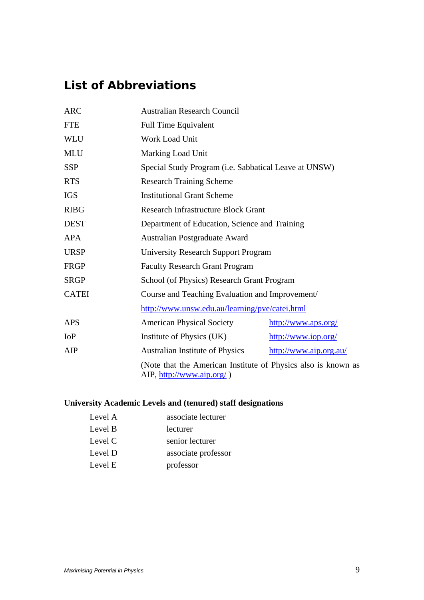# *List of Abbreviations*

| <b>ARC</b>   | <b>Australian Research Council</b>                                                         |                        |
|--------------|--------------------------------------------------------------------------------------------|------------------------|
| <b>FTE</b>   | <b>Full Time Equivalent</b>                                                                |                        |
| <b>WLU</b>   | <b>Work Load Unit</b>                                                                      |                        |
| <b>MLU</b>   | Marking Load Unit                                                                          |                        |
| <b>SSP</b>   | Special Study Program (i.e. Sabbatical Leave at UNSW)                                      |                        |
| <b>RTS</b>   | <b>Research Training Scheme</b>                                                            |                        |
| <b>IGS</b>   | <b>Institutional Grant Scheme</b>                                                          |                        |
| <b>RIBG</b>  | <b>Research Infrastructure Block Grant</b>                                                 |                        |
| <b>DEST</b>  | Department of Education, Science and Training                                              |                        |
| <b>APA</b>   | Australian Postgraduate Award                                                              |                        |
| <b>URSP</b>  | <b>University Research Support Program</b>                                                 |                        |
| <b>FRGP</b>  | <b>Faculty Research Grant Program</b>                                                      |                        |
| <b>SRGP</b>  | School (of Physics) Research Grant Program                                                 |                        |
| <b>CATEI</b> | Course and Teaching Evaluation and Improvement/                                            |                        |
|              | http://www.unsw.edu.au/learning/pve/catei.html                                             |                        |
| <b>APS</b>   | <b>American Physical Society</b>                                                           | http://www.aps.org/    |
| IoP          | Institute of Physics (UK)                                                                  | http://www.iop.org/    |
| AIP          | Australian Institute of Physics                                                            | http://www.aip.org.au/ |
|              | (Note that the American Institute of Physics also is known as<br>AIP, http://www.aip.org/) |                        |

## **University Academic Levels and (tenured) staff designations**

| Level A | associate lecturer  |
|---------|---------------------|
| Level B | lecturer            |
| Level C | senior lecturer     |
| Level D | associate professor |
| Level E | professor           |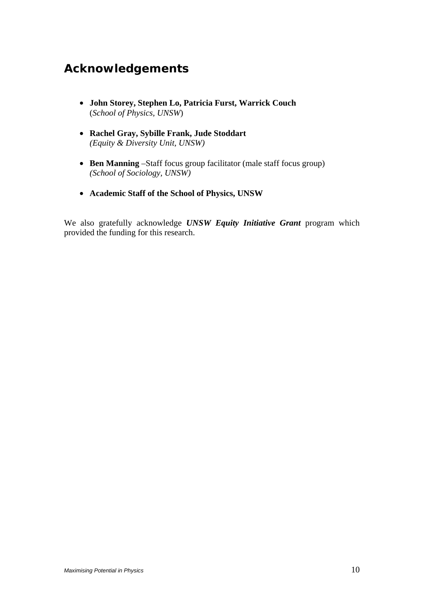# *Acknowledgements*

- **John Storey, Stephen Lo, Patricia Furst, Warrick Couch**  (*School of Physics, UNSW*)
- **Rachel Gray, Sybille Frank, Jude Stoddart**  *(Equity & Diversity Unit, UNSW)*
- **Ben Manning** –Staff focus group facilitator (male staff focus group)  *(School of Sociology, UNSW)*
- **Academic Staff of the School of Physics, UNSW**

We also gratefully acknowledge *UNSW Equity Initiative Grant* program which provided the funding for this research.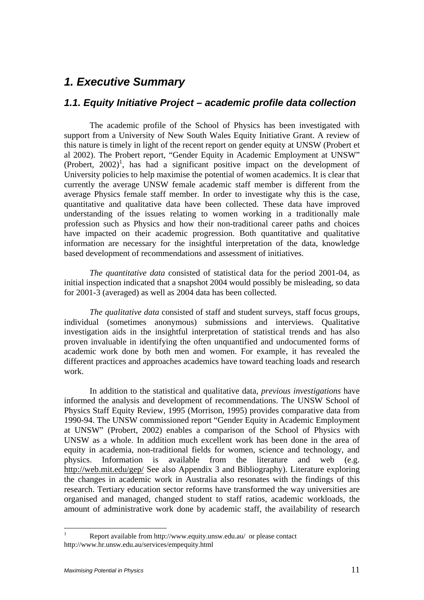## *1. Executive Summary*

## *1.1. Equity Initiative Project – academic profile data collection*

 The academic profile of the School of Physics has been investigated with support from a University of New South Wales Equity Initiative Grant. A review of this nature is timely in light of the recent report on gender equity at UNSW (Probert et al 2002). The Probert report, "Gender Equity in Academic Employment at UNSW"  $(Probert, 2002)^1$ , has had a significant positive impact on the development of University policies to help maximise the potential of women academics. It is clear that currently the average UNSW female academic staff member is different from the average Physics female staff member. In order to investigate why this is the case, quantitative and qualitative data have been collected. These data have improved understanding of the issues relating to women working in a traditionally male profession such as Physics and how their non-traditional career paths and choices have impacted on their academic progression. Both quantitative and qualitative information are necessary for the insightful interpretation of the data, knowledge based development of recommendations and assessment of initiatives.

*The quantitative data* consisted of statistical data for the period 2001-04, as initial inspection indicated that a snapshot 2004 would possibly be misleading, so data for 2001-3 (averaged) as well as 2004 data has been collected.

*The qualitative data* consisted of staff and student surveys, staff focus groups, individual (sometimes anonymous) submissions and interviews. Qualitative investigation aids in the insightful interpretation of statistical trends and has also proven invaluable in identifying the often unquantified and undocumented forms of academic work done by both men and women. For example, it has revealed the different practices and approaches academics have toward teaching loads and research work.

 In addition to the statistical and qualitative data, *previous investigations* have informed the analysis and development of recommendations. The UNSW School of Physics Staff Equity Review, 1995 (Morrison, 1995) provides comparative data from 1990-94. The UNSW commissioned report "Gender Equity in Academic Employment at UNSW" (Probert, 2002) enables a comparison of the School of Physics with UNSW as a whole. In addition much excellent work has been done in the area of equity in academia, non-traditional fields for women, science and technology, and physics. Information is available from the literature and web (e.g. http://web.mit.edu/gep/ See also Appendix 3 and Bibliography). Literature exploring the changes in academic work in Australia also resonates with the findings of this research. Tertiary education sector reforms have transformed the way universities are organised and managed, changed student to staff ratios, academic workloads, the amount of administrative work done by academic staff, the availability of research

 $\frac{1}{1}$  Report available from http://www.equity.unsw.edu.au/ or please contact http://www.hr.unsw.edu.au/services/empequity.html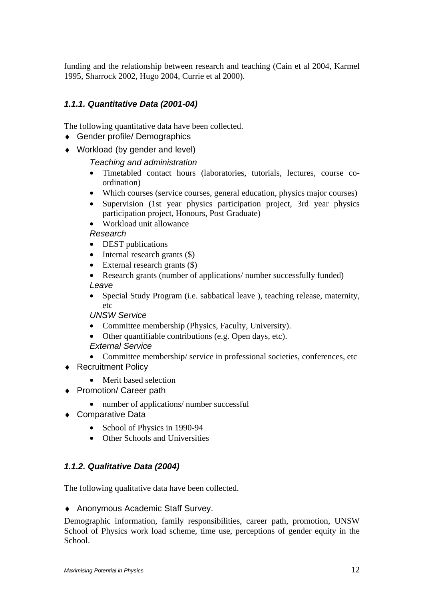funding and the relationship between research and teaching (Cain et al 2004, Karmel 1995, Sharrock 2002, Hugo 2004, Currie et al 2000).

## *1.1.1. Quantitative Data (2001-04)*

The following quantitative data have been collected.

- ♦ Gender profile/ Demographics
- ♦ Workload (by gender and level)

 *Teaching and administration* 

- Timetabled contact hours (laboratories, tutorials, lectures, course coordination)
- Which courses (service courses, general education, physics major courses)
- Supervision (1st year physics participation project, 3rd year physics participation project, Honours, Post Graduate)

• Workload unit allowance

 *Research* 

- **DEST** publications
- Internal research grants  $(\$)$
- External research grants (\$)
- Research grants (number of applications/ number successfully funded)  *Leave*
- Special Study Program (i.e. sabbatical leave ), teaching release, maternity, etc

 *UNSW Service* 

- Committee membership (Physics, Faculty, University).
- Other quantifiable contributions (e.g. Open days, etc).

 *External Service* 

- Committee membership/service in professional societies, conferences, etc
- ♦ Recruitment Policy
	- Merit based selection
- ♦ Promotion/ Career path
	- number of applications/ number successful
- ♦ Comparative Data
	- School of Physics in 1990-94
	- Other Schools and Universities

## *1.1.2. Qualitative Data (2004)*

The following qualitative data have been collected.

♦ Anonymous Academic Staff Survey.

Demographic information, family responsibilities, career path, promotion, UNSW School of Physics work load scheme, time use, perceptions of gender equity in the School.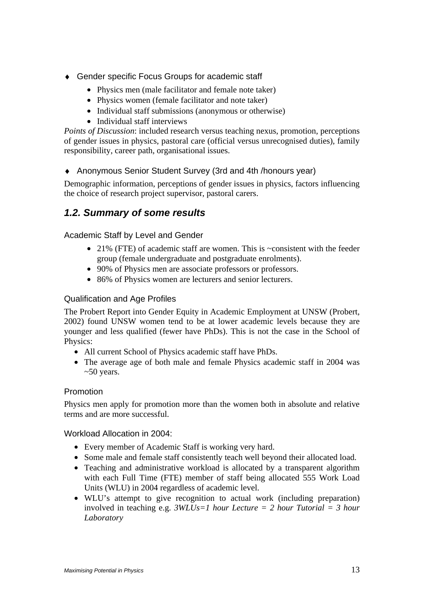- ♦ Gender specific Focus Groups for academic staff
	- Physics men (male facilitator and female note taker)
	- Physics women (female facilitator and note taker)
	- Individual staff submissions (anonymous or otherwise)
	- Individual staff interviews

*Points of Discussion*: included research versus teaching nexus, promotion, perceptions of gender issues in physics, pastoral care (official versus unrecognised duties), family responsibility, career path, organisational issues.

♦ Anonymous Senior Student Survey (3rd and 4th /honours year)

Demographic information, perceptions of gender issues in physics, factors influencing the choice of research project supervisor, pastoral carers.

## *1.2. Summary of some results*

Academic Staff by Level and Gender

- 21% (FTE) of academic staff are women. This is  $\sim$ consistent with the feeder group (female undergraduate and postgraduate enrolments).
- 90% of Physics men are associate professors or professors.
- 86% of Physics women are lecturers and senior lecturers.

## Qualification and Age Profiles

The Probert Report into Gender Equity in Academic Employment at UNSW (Probert, 2002) found UNSW women tend to be at lower academic levels because they are younger and less qualified (fewer have PhDs). This is not the case in the School of Physics:

- All current School of Physics academic staff have PhDs.
- The average age of both male and female Physics academic staff in 2004 was  $~50$  years.

## Promotion

Physics men apply for promotion more than the women both in absolute and relative terms and are more successful.

Workload Allocation in 2004:

- Every member of Academic Staff is working very hard.
- Some male and female staff consistently teach well beyond their allocated load.
- Teaching and administrative workload is allocated by a transparent algorithm with each Full Time (FTE) member of staff being allocated 555 Work Load Units (WLU) in 2004 regardless of academic level.
- WLU's attempt to give recognition to actual work (including preparation) involved in teaching e.g. *3WLUs=1 hour Lecture = 2 hour Tutorial = 3 hour Laboratory*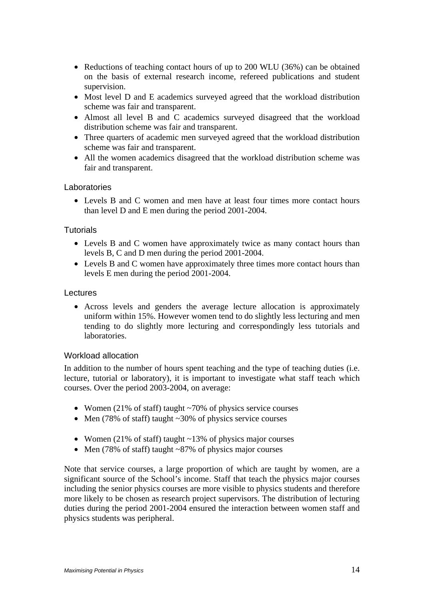- Reductions of teaching contact hours of up to 200 WLU (36%) can be obtained on the basis of external research income, refereed publications and student supervision.
- Most level D and E academics surveyed agreed that the workload distribution scheme was fair and transparent.
- Almost all level B and C academics surveyed disagreed that the workload distribution scheme was fair and transparent.
- Three quarters of academic men surveyed agreed that the workload distribution scheme was fair and transparent.
- All the women academics disagreed that the workload distribution scheme was fair and transparent.

### Laboratories

• Levels B and C women and men have at least four times more contact hours than level D and E men during the period 2001-2004.

## **Tutorials**

- Levels B and C women have approximately twice as many contact hours than levels B, C and D men during the period 2001-2004.
- Levels B and C women have approximately three times more contact hours than levels E men during the period 2001-2004.

#### Lectures

• Across levels and genders the average lecture allocation is approximately uniform within 15%. However women tend to do slightly less lecturing and men tending to do slightly more lecturing and correspondingly less tutorials and laboratories.

## Workload allocation

In addition to the number of hours spent teaching and the type of teaching duties (i.e. lecture, tutorial or laboratory), it is important to investigate what staff teach which courses. Over the period 2003-2004, on average:

- Women (21% of staff) taught ~70% of physics service courses
- Men (78% of staff) taught ~30% of physics service courses
- Women (21% of staff) taught ~13% of physics major courses
- Men (78% of staff) taught ~87% of physics major courses

Note that service courses, a large proportion of which are taught by women, are a significant source of the School's income. Staff that teach the physics major courses including the senior physics courses are more visible to physics students and therefore more likely to be chosen as research project supervisors. The distribution of lecturing duties during the period 2001-2004 ensured the interaction between women staff and physics students was peripheral.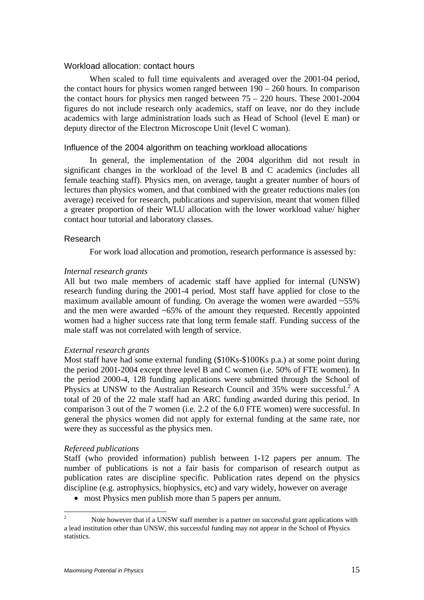#### Workload allocation: contact hours

 When scaled to full time equivalents and averaged over the 2001-04 period, the contact hours for physics women ranged between 190 – 260 hours. In comparison the contact hours for physics men ranged between 75 – 220 hours. These 2001-2004 figures do not include research only academics, staff on leave, nor do they include academics with large administration loads such as Head of School (level E man) or deputy director of the Electron Microscope Unit (level C woman).

#### Influence of the 2004 algorithm on teaching workload allocations

 In general, the implementation of the 2004 algorithm did not result in significant changes in the workload of the level B and C academics (includes all female teaching staff). Physics men, on average, taught a greater number of hours of lectures than physics women, and that combined with the greater reductions males (on average) received for research, publications and supervision, meant that women filled a greater proportion of their WLU allocation with the lower workload value/ higher contact hour tutorial and laboratory classes.

### Research

For work load allocation and promotion, research performance is assessed by:

#### *Internal research grants*

All but two male members of academic staff have applied for internal (UNSW) research funding during the 2001-4 period. Most staff have applied for close to the maximum available amount of funding. On average the women were awarded  $~55\%$ and the men were awarded  $~65\%$  of the amount they requested. Recently appointed women had a higher success rate that long term female staff. Funding success of the male staff was not correlated with length of service.

#### *External research grants*

Most staff have had some external funding (\$10Ks-\$100Ks p.a.) at some point during the period 2001-2004 except three level B and C women (i.e. 50% of FTE women). In the period 2000-4, 128 funding applications were submitted through the School of Physics at UNSW to the Australian Research Council and 35% were successful.<sup>2</sup> A total of 20 of the 22 male staff had an ARC funding awarded during this period. In comparison 3 out of the 7 women (i.e. 2.2 of the 6.0 FTE women) were successful. In general the physics women did not apply for external funding at the same rate, nor were they as successful as the physics men.

#### *Refereed publications*

Staff (who provided information) publish between 1-12 papers per annum. The number of publications is not a fair basis for comparison of research output as publication rates are discipline specific. Publication rates depend on the physics discipline (e.g. astrophysics, biophysics, etc) and vary widely, however on average

• most Physics men publish more than 5 papers per annum.

 $\frac{1}{2}$  Note however that if a UNSW staff member is a partner on successful grant applications with a lead institution other than UNSW, this successful funding may not appear in the School of Physics statistics.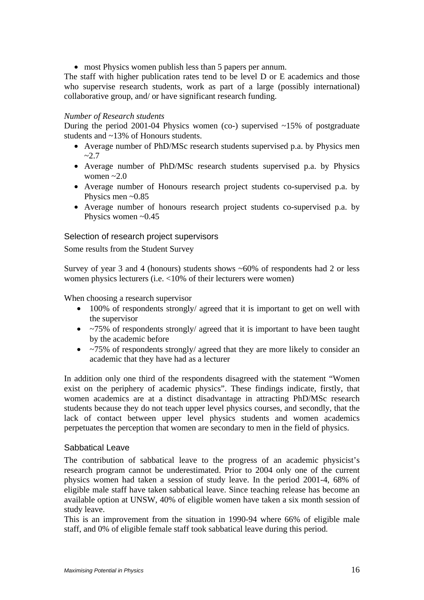• most Physics women publish less than 5 papers per annum.

The staff with higher publication rates tend to be level D or E academics and those who supervise research students, work as part of a large (possibly international) collaborative group, and/ or have significant research funding.

### *Number of Research students*

During the period 2001-04 Physics women (co-) supervised ~15% of postgraduate students and ~13% of Honours students.

- Average number of PhD/MSc research students supervised p.a. by Physics men  $-2.7$
- Average number of PhD/MSc research students supervised p.a. by Physics women  $\sim 2.0$
- Average number of Honours research project students co-supervised p.a. by Physics men  $\sim 0.85$
- Average number of honours research project students co-supervised p.a. by Physics women  $\sim 0.45$

### Selection of research project supervisors

Some results from the Student Survey

Survey of year 3 and 4 (honours) students shows  $~60\%$  of respondents had 2 or less women physics lecturers (i.e. <10% of their lecturers were women)

When choosing a research supervisor

- 100% of respondents strongly/ agreed that it is important to get on well with the supervisor
- ~75% of respondents strongly/ agreed that it is important to have been taught by the academic before
- ~75% of respondents strongly/ agreed that they are more likely to consider an academic that they have had as a lecturer

In addition only one third of the respondents disagreed with the statement "Women exist on the periphery of academic physics". These findings indicate, firstly, that women academics are at a distinct disadvantage in attracting PhD/MSc research students because they do not teach upper level physics courses, and secondly, that the lack of contact between upper level physics students and women academics perpetuates the perception that women are secondary to men in the field of physics.

### Sabbatical Leave

The contribution of sabbatical leave to the progress of an academic physicist's research program cannot be underestimated. Prior to 2004 only one of the current physics women had taken a session of study leave. In the period 2001-4, 68% of eligible male staff have taken sabbatical leave. Since teaching release has become an available option at UNSW, 40% of eligible women have taken a six month session of study leave.

This is an improvement from the situation in 1990-94 where 66% of eligible male staff, and 0% of eligible female staff took sabbatical leave during this period.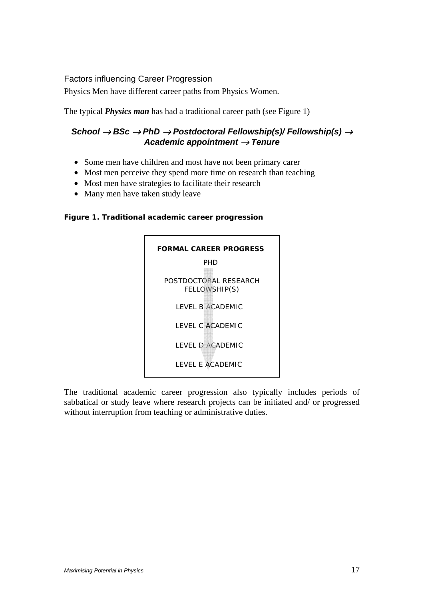## Factors influencing Career Progression

Physics Men have different career paths from Physics Women.

The typical *Physics man* has had a traditional career path (see Figure 1)

## *School* → *BSc* → *PhD* → *Postdoctoral Fellowship(s)/ Fellowship(s)* <sup>→</sup> *Academic appointment* → *Tenure*

- Some men have children and most have not been primary carer
- Most men perceive they spend more time on research than teaching
- Most men have strategies to facilitate their research
- Many men have taken study leave

### **Figure 1. Traditional academic career progression**



The traditional academic career progression also typically includes periods of sabbatical or study leave where research projects can be initiated and/ or progressed without interruption from teaching or administrative duties.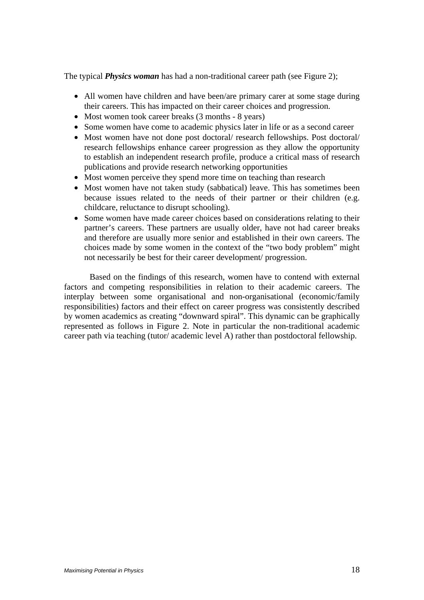The typical *Physics woman* has had a non-traditional career path (see Figure 2);

- All women have children and have been/are primary carer at some stage during their careers. This has impacted on their career choices and progression.
- Most women took career breaks (3 months 8 years)
- Some women have come to academic physics later in life or as a second career
- Most women have not done post doctoral/ research fellowships. Post doctoral/ research fellowships enhance career progression as they allow the opportunity to establish an independent research profile, produce a critical mass of research publications and provide research networking opportunities
- Most women perceive they spend more time on teaching than research
- Most women have not taken study (sabbatical) leave. This has sometimes been because issues related to the needs of their partner or their children (e.g. childcare, reluctance to disrupt schooling).
- Some women have made career choices based on considerations relating to their partner's careers. These partners are usually older, have not had career breaks and therefore are usually more senior and established in their own careers. The choices made by some women in the context of the "two body problem" might not necessarily be best for their career development/ progression.

 Based on the findings of this research, women have to contend with external factors and competing responsibilities in relation to their academic careers. The interplay between some organisational and non-organisational (economic/family responsibilities) factors and their effect on career progress was consistently described by women academics as creating "downward spiral". This dynamic can be graphically represented as follows in Figure 2. Note in particular the non-traditional academic career path via teaching (tutor/ academic level A) rather than postdoctoral fellowship.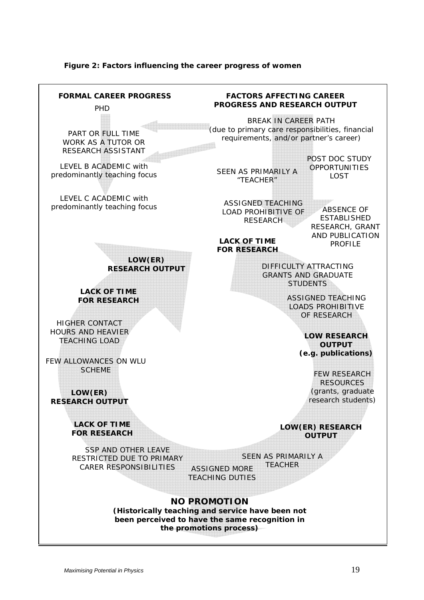

#### **Figure 2: Factors influencing the career progress of women**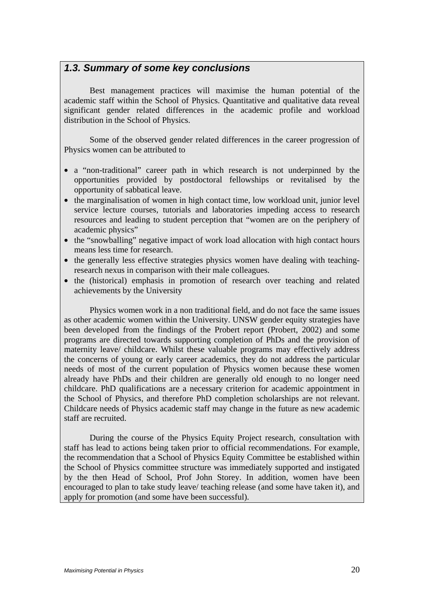## *1.3. Summary of some key conclusions*

 Best management practices will maximise the human potential of the academic staff within the School of Physics. Quantitative and qualitative data reveal significant gender related differences in the academic profile and workload distribution in the School of Physics.

 Some of the observed gender related differences in the career progression of Physics women can be attributed to

- a "non-traditional" career path in which research is not underpinned by the opportunities provided by postdoctoral fellowships or revitalised by the opportunity of sabbatical leave.
- the marginalisation of women in high contact time, low workload unit, junior level service lecture courses, tutorials and laboratories impeding access to research resources and leading to student perception that "women are on the periphery of academic physics"
- the "snowballing" negative impact of work load allocation with high contact hours means less time for research.
- the generally less effective strategies physics women have dealing with teachingresearch nexus in comparison with their male colleagues.
- the (historical) emphasis in promotion of research over teaching and related achievements by the University

 Physics women work in a non traditional field, and do not face the same issues as other academic women within the University. UNSW gender equity strategies have been developed from the findings of the Probert report (Probert, 2002) and some programs are directed towards supporting completion of PhDs and the provision of maternity leave/ childcare. Whilst these valuable programs may effectively address the concerns of young or early career academics, they do not address the particular needs of most of the current population of Physics women because these women already have PhDs and their children are generally old enough to no longer need childcare. PhD qualifications are a necessary criterion for academic appointment in the School of Physics, and therefore PhD completion scholarships are not relevant. Childcare needs of Physics academic staff may change in the future as new academic staff are recruited.

 During the course of the Physics Equity Project research, consultation with staff has lead to actions being taken prior to official recommendations. For example, the recommendation that a School of Physics Equity Committee be established within the School of Physics committee structure was immediately supported and instigated by the then Head of School, Prof John Storey. In addition, women have been encouraged to plan to take study leave/ teaching release (and some have taken it), and apply for promotion (and some have been successful).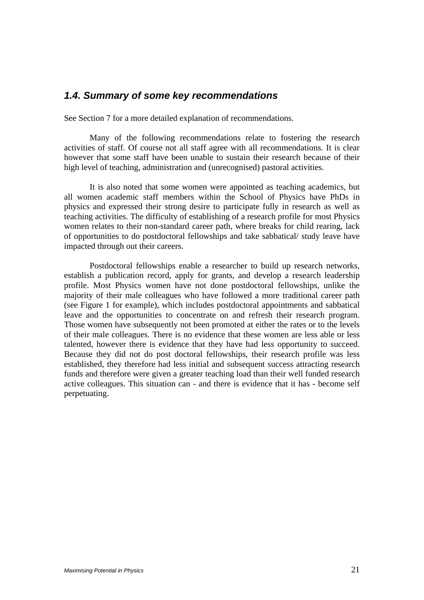## *1.4. Summary of some key recommendations*

See Section 7 for a more detailed explanation of recommendations.

 Many of the following recommendations relate to fostering the research activities of staff. Of course not all staff agree with all recommendations. It is clear however that some staff have been unable to sustain their research because of their high level of teaching, administration and (unrecognised) pastoral activities.

 It is also noted that some women were appointed as teaching academics, but all women academic staff members within the School of Physics have PhDs in physics and expressed their strong desire to participate fully in research as well as teaching activities. The difficulty of establishing of a research profile for most Physics women relates to their non-standard career path, where breaks for child rearing, lack of opportunities to do postdoctoral fellowships and take sabbatical/ study leave have impacted through out their careers.

 Postdoctoral fellowships enable a researcher to build up research networks, establish a publication record, apply for grants, and develop a research leadership profile. Most Physics women have not done postdoctoral fellowships, unlike the majority of their male colleagues who have followed a more traditional career path (see Figure 1 for example), which includes postdoctoral appointments and sabbatical leave and the opportunities to concentrate on and refresh their research program. Those women have subsequently not been promoted at either the rates or to the levels of their male colleagues. There is no evidence that these women are less able or less talented, however there is evidence that they have had less opportunity to succeed. Because they did not do post doctoral fellowships, their research profile was less established, they therefore had less initial and subsequent success attracting research funds and therefore were given a greater teaching load than their well funded research active colleagues. This situation can - and there is evidence that it has - become self perpetuating.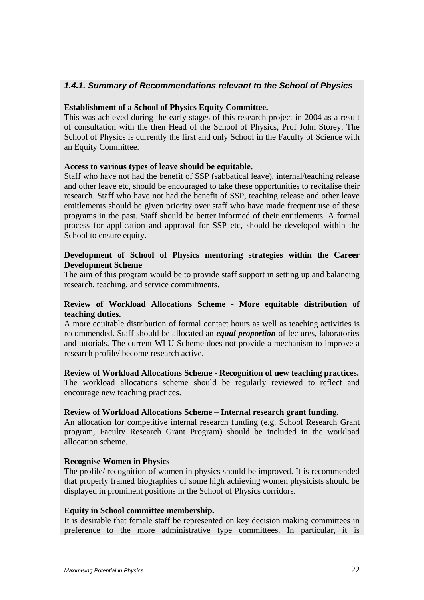## *1.4.1. Summary of Recommendations relevant to the School of Physics*

## **Establishment of a School of Physics Equity Committee.**

This was achieved during the early stages of this research project in 2004 as a result of consultation with the then Head of the School of Physics, Prof John Storey. The School of Physics is currently the first and only School in the Faculty of Science with an Equity Committee.

## **Access to various types of leave should be equitable.**

Staff who have not had the benefit of SSP (sabbatical leave), internal/teaching release and other leave etc, should be encouraged to take these opportunities to revitalise their research. Staff who have not had the benefit of SSP, teaching release and other leave entitlements should be given priority over staff who have made frequent use of these programs in the past. Staff should be better informed of their entitlements. A formal process for application and approval for SSP etc, should be developed within the School to ensure equity.

## **Development of School of Physics mentoring strategies within the Career Development Scheme**

The aim of this program would be to provide staff support in setting up and balancing research, teaching, and service commitments.

## **Review of Workload Allocations Scheme - More equitable distribution of teaching duties.**

A more equitable distribution of formal contact hours as well as teaching activities is recommended. Staff should be allocated an *equal proportion* of lectures, laboratories and tutorials. The current WLU Scheme does not provide a mechanism to improve a research profile/ become research active.

**Review of Workload Allocations Scheme - Recognition of new teaching practices.**  The workload allocations scheme should be regularly reviewed to reflect and encourage new teaching practices.

### **Review of Workload Allocations Scheme – Internal research grant funding.**

An allocation for competitive internal research funding (e.g. School Research Grant program, Faculty Research Grant Program) should be included in the workload allocation scheme.

### **Recognise Women in Physics**

The profile/ recognition of women in physics should be improved. It is recommended that properly framed biographies of some high achieving women physicists should be displayed in prominent positions in the School of Physics corridors.

### **Equity in School committee membership.**

It is desirable that female staff be represented on key decision making committees in preference to the more administrative type committees. In particular, it is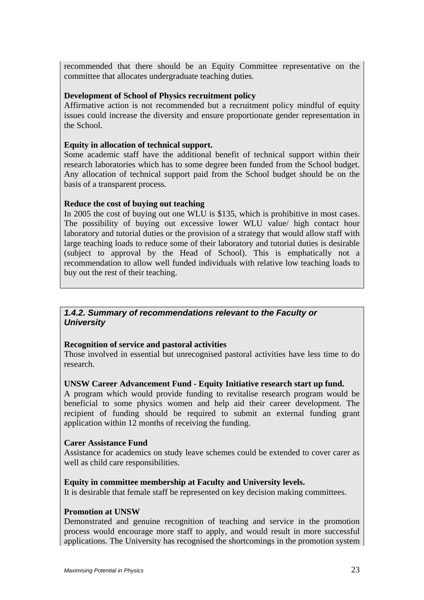recommended that there should be an Equity Committee representative on the committee that allocates undergraduate teaching duties.

#### **Development of School of Physics recruitment policy**

Affirmative action is not recommended but a recruitment policy mindful of equity issues could increase the diversity and ensure proportionate gender representation in the School.

#### **Equity in allocation of technical support.**

Some academic staff have the additional benefit of technical support within their research laboratories which has to some degree been funded from the School budget. Any allocation of technical support paid from the School budget should be on the basis of a transparent process.

### **Reduce the cost of buying out teaching**

In 2005 the cost of buying out one WLU is \$135, which is prohibitive in most cases. The possibility of buying out excessive lower WLU value/ high contact hour laboratory and tutorial duties or the provision of a strategy that would allow staff with large teaching loads to reduce some of their laboratory and tutorial duties is desirable (subject to approval by the Head of School). This is emphatically not a recommendation to allow well funded individuals with relative low teaching loads to buy out the rest of their teaching.

## *1.4.2. Summary of recommendations relevant to the Faculty or University*

### **Recognition of service and pastoral activities**

Those involved in essential but unrecognised pastoral activities have less time to do research.

### **UNSW Career Advancement Fund - Equity Initiative research start up fund.**

A program which would provide funding to revitalise research program would be beneficial to some physics women and help aid their career development. The recipient of funding should be required to submit an external funding grant application within 12 months of receiving the funding.

#### **Carer Assistance Fund**

Assistance for academics on study leave schemes could be extended to cover carer as well as child care responsibilities.

#### **Equity in committee membership at Faculty and University levels.**

It is desirable that female staff be represented on key decision making committees.

#### **Promotion at UNSW**

Demonstrated and genuine recognition of teaching and service in the promotion process would encourage more staff to apply, and would result in more successful applications. The University has recognised the shortcomings in the promotion system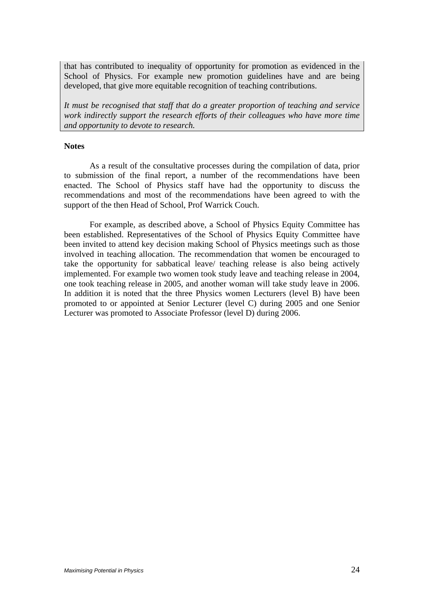that has contributed to inequality of opportunity for promotion as evidenced in the School of Physics. For example new promotion guidelines have and are being developed, that give more equitable recognition of teaching contributions.

*It must be recognised that staff that do a greater proportion of teaching and service work indirectly support the research efforts of their colleagues who have more time and opportunity to devote to research.* 

#### **Notes**

 As a result of the consultative processes during the compilation of data, prior to submission of the final report, a number of the recommendations have been enacted. The School of Physics staff have had the opportunity to discuss the recommendations and most of the recommendations have been agreed to with the support of the then Head of School, Prof Warrick Couch.

 For example, as described above, a School of Physics Equity Committee has been established. Representatives of the School of Physics Equity Committee have been invited to attend key decision making School of Physics meetings such as those involved in teaching allocation. The recommendation that women be encouraged to take the opportunity for sabbatical leave/ teaching release is also being actively implemented. For example two women took study leave and teaching release in 2004, one took teaching release in 2005, and another woman will take study leave in 2006. In addition it is noted that the three Physics women Lecturers (level B) have been promoted to or appointed at Senior Lecturer (level C) during 2005 and one Senior Lecturer was promoted to Associate Professor (level D) during 2006.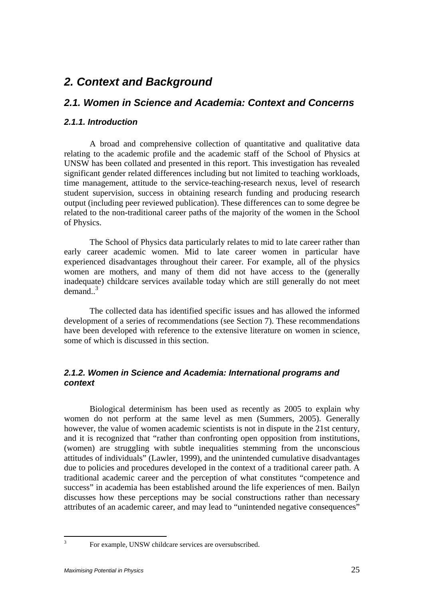## *2. Context and Background*

## *2.1. Women in Science and Academia: Context and Concerns*

## *2.1.1. Introduction*

 A broad and comprehensive collection of quantitative and qualitative data relating to the academic profile and the academic staff of the School of Physics at UNSW has been collated and presented in this report. This investigation has revealed significant gender related differences including but not limited to teaching workloads, time management, attitude to the service-teaching-research nexus, level of research student supervision, success in obtaining research funding and producing research output (including peer reviewed publication). These differences can to some degree be related to the non-traditional career paths of the majority of the women in the School of Physics.

 The School of Physics data particularly relates to mid to late career rather than early career academic women. Mid to late career women in particular have experienced disadvantages throughout their career. For example, all of the physics women are mothers, and many of them did not have access to the (generally inadequate) childcare services available today which are still generally do not meet demand..<sup>3</sup>

 The collected data has identified specific issues and has allowed the informed development of a series of recommendations (see Section 7). These recommendations have been developed with reference to the extensive literature on women in science, some of which is discussed in this section.

## *2.1.2. Women in Science and Academia: International programs and context*

 Biological determinism has been used as recently as 2005 to explain why women do not perform at the same level as men (Summers, 2005). Generally however, the value of women academic scientists is not in dispute in the 21st century, and it is recognized that "rather than confronting open opposition from institutions, (women) are struggling with subtle inequalities stemming from the unconscious attitudes of individuals" (Lawler, 1999), and the unintended cumulative disadvantages due to policies and procedures developed in the context of a traditional career path. A traditional academic career and the perception of what constitutes "competence and success" in academia has been established around the life experiences of men. Bailyn discusses how these perceptions may be social constructions rather than necessary attributes of an academic career, and may lead to "unintended negative consequences"

 $\frac{1}{3}$ 

For example, UNSW childcare services are oversubscribed.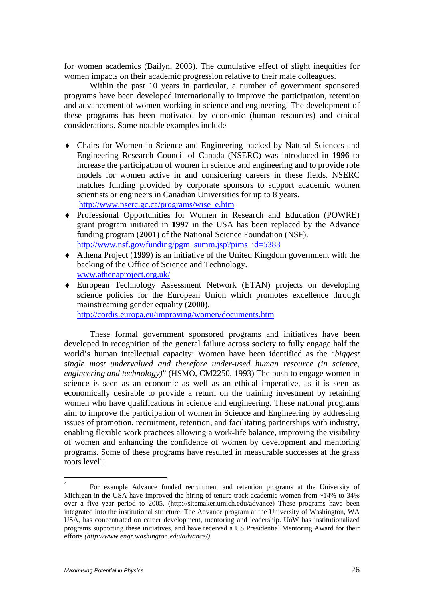for women academics (Bailyn, 2003). The cumulative effect of slight inequities for women impacts on their academic progression relative to their male colleagues.

 Within the past 10 years in particular, a number of government sponsored programs have been developed internationally to improve the participation, retention and advancement of women working in science and engineering. The development of these programs has been motivated by economic (human resources) and ethical considerations. Some notable examples include

- ♦ Chairs for Women in Science and Engineering backed by Natural Sciences and Engineering Research Council of Canada (NSERC) was introduced in **1996** to increase the participation of women in science and engineering and to provide role models for women active in and considering careers in these fields. NSERC matches funding provided by corporate sponsors to support academic women scientists or engineers in Canadian Universities for up to 8 years. http://www.nserc.gc.ca/programs/wise\_e.htm
- ♦ Professional Opportunities for Women in Research and Education (POWRE) grant program initiated in **1997** in the USA has been replaced by the Advance funding program (**2001**) of the National Science Foundation (NSF). http://www.nsf.gov/funding/pgm\_summ.jsp?pims\_id=5383
- ♦ Athena Project (**1999**) is an initiative of the United Kingdom government with the backing of the Office of Science and Technology. www.athenaproject.org.uk/
- ♦ European Technology Assessment Network (ETAN) projects on developing science policies for the European Union which promotes excellence through mainstreaming gender equality (**2000**).

http://cordis.europa.eu/improving/women/documents.htm

 These formal government sponsored programs and initiatives have been developed in recognition of the general failure across society to fully engage half the world's human intellectual capacity: Women have been identified as the "*biggest single most undervalued and therefore under-used human resource (in science, engineering and technology)*" (HSMO, CM2250, 1993) The push to engage women in science is seen as an economic as well as an ethical imperative, as it is seen as economically desirable to provide a return on the training investment by retaining women who have qualifications in science and engineering. These national programs aim to improve the participation of women in Science and Engineering by addressing issues of promotion, recruitment, retention, and facilitating partnerships with industry, enabling flexible work practices allowing a work-life balance, improving the visibility of women and enhancing the confidence of women by development and mentoring programs. Some of these programs have resulted in measurable successes at the grass  $\frac{1}{2}$  roots level<sup>4</sup>.

 $\overline{4}$ <sup>4</sup> For example Advance funded recruitment and retention programs at the University of Michigan in the USA have improved the hiring of tenure track academic women from ~14% to 34% over a five year period to 2005. (http://sitemaker.umich.edu/advance) These programs have been integrated into the institutional structure. The Advance program at the University of Washington, WA USA, has concentrated on career development, mentoring and leadership. UoW has institutionalized programs supporting these initiatives, and have received a US Presidential Mentoring Award for their efforts *(http://www.engr.washington.edu/advance/)*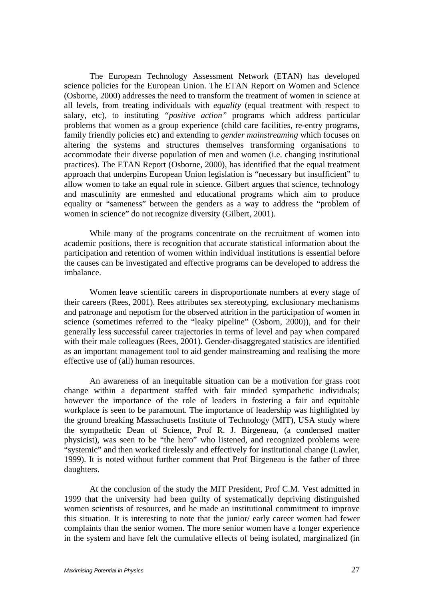The European Technology Assessment Network (ETAN) has developed science policies for the European Union. The ETAN Report on Women and Science (Osborne, 2000) addresses the need to transform the treatment of women in science at all levels, from treating individuals with *equality* (equal treatment with respect to salary, etc), to instituting *"positive action"* programs which address particular problems that women as a group experience (child care facilities, re-entry programs, family friendly policies etc) and extending to *gender mainstreaming* which focuses on altering the systems and structures themselves transforming organisations to accommodate their diverse population of men and women (i.e. changing institutional practices). The ETAN Report (Osborne, 2000), has identified that the equal treatment approach that underpins European Union legislation is "necessary but insufficient" to allow women to take an equal role in science. Gilbert argues that science, technology and masculinity are enmeshed and educational programs which aim to produce equality or "sameness" between the genders as a way to address the "problem of women in science" do not recognize diversity (Gilbert, 2001).

 While many of the programs concentrate on the recruitment of women into academic positions, there is recognition that accurate statistical information about the participation and retention of women within individual institutions is essential before the causes can be investigated and effective programs can be developed to address the imbalance.

 Women leave scientific careers in disproportionate numbers at every stage of their careers (Rees, 2001). Rees attributes sex stereotyping, exclusionary mechanisms and patronage and nepotism for the observed attrition in the participation of women in science (sometimes referred to the "leaky pipeline" (Osborn, 2000)), and for their generally less successful career trajectories in terms of level and pay when compared with their male colleagues (Rees, 2001). Gender-disaggregated statistics are identified as an important management tool to aid gender mainstreaming and realising the more effective use of (all) human resources.

 An awareness of an inequitable situation can be a motivation for grass root change within a department staffed with fair minded sympathetic individuals; however the importance of the role of leaders in fostering a fair and equitable workplace is seen to be paramount. The importance of leadership was highlighted by the ground breaking Massachusetts Institute of Technology (MIT), USA study where the sympathetic Dean of Science, Prof R. J. Birgeneau, (a condensed matter physicist), was seen to be "the hero" who listened, and recognized problems were "systemic" and then worked tirelessly and effectively for institutional change (Lawler, 1999). It is noted without further comment that Prof Birgeneau is the father of three daughters.

 At the conclusion of the study the MIT President, Prof C.M. Vest admitted in 1999 that the university had been guilty of systematically depriving distinguished women scientists of resources, and he made an institutional commitment to improve this situation. It is interesting to note that the junior/ early career women had fewer complaints than the senior women. The more senior women have a longer experience in the system and have felt the cumulative effects of being isolated, marginalized (in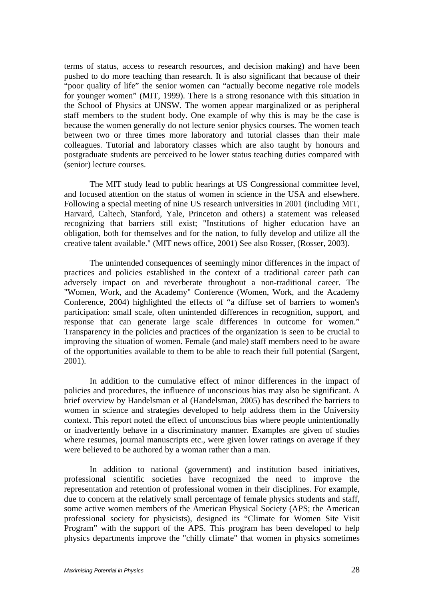terms of status, access to research resources, and decision making) and have been pushed to do more teaching than research. It is also significant that because of their "poor quality of life" the senior women can "actually become negative role models for younger women" (MIT, 1999). There is a strong resonance with this situation in the School of Physics at UNSW. The women appear marginalized or as peripheral staff members to the student body. One example of why this is may be the case is because the women generally do not lecture senior physics courses. The women teach between two or three times more laboratory and tutorial classes than their male colleagues. Tutorial and laboratory classes which are also taught by honours and postgraduate students are perceived to be lower status teaching duties compared with (senior) lecture courses.

 The MIT study lead to public hearings at US Congressional committee level, and focused attention on the status of women in science in the USA and elsewhere. Following a special meeting of nine US research universities in 2001 (including MIT, Harvard, Caltech, Stanford, Yale, Princeton and others) a statement was released recognizing that barriers still exist; "Institutions of higher education have an obligation, both for themselves and for the nation, to fully develop and utilize all the creative talent available." (MIT news office, 2001) See also Rosser, (Rosser, 2003).

 The unintended consequences of seemingly minor differences in the impact of practices and policies established in the context of a traditional career path can adversely impact on and reverberate throughout a non-traditional career. The "Women, Work, and the Academy" Conference (Women, Work, and the Academy Conference, 2004) highlighted the effects of "a diffuse set of barriers to women's participation: small scale, often unintended differences in recognition, support, and response that can generate large scale differences in outcome for women." Transparency in the policies and practices of the organization is seen to be crucial to improving the situation of women. Female (and male) staff members need to be aware of the opportunities available to them to be able to reach their full potential (Sargent, 2001).

 In addition to the cumulative effect of minor differences in the impact of policies and procedures, the influence of unconscious bias may also be significant. A brief overview by Handelsman et al (Handelsman, 2005) has described the barriers to women in science and strategies developed to help address them in the University context. This report noted the effect of unconscious bias where people unintentionally or inadvertently behave in a discriminatory manner. Examples are given of studies where resumes, journal manuscripts etc., were given lower ratings on average if they were believed to be authored by a woman rather than a man.

 In addition to national (government) and institution based initiatives, professional scientific societies have recognized the need to improve the representation and retention of professional women in their disciplines. For example, due to concern at the relatively small percentage of female physics students and staff, some active women members of the American Physical Society (APS; the American professional society for physicists), designed its "Climate for Women Site Visit Program" with the support of the APS. This program has been developed to help physics departments improve the "chilly climate" that women in physics sometimes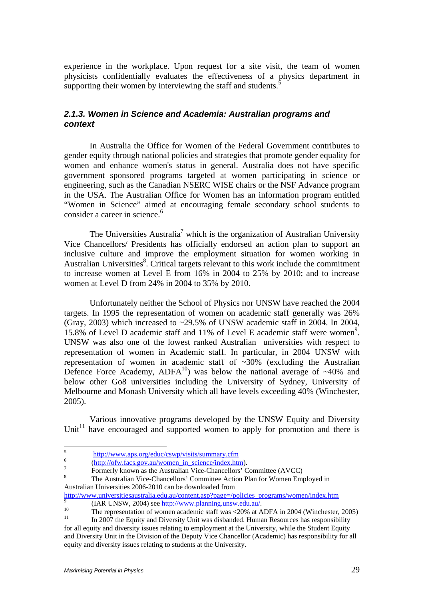experience in the workplace. Upon request for a site visit, the team of women physicists confidentially evaluates the effectiveness of a physics department in supporting their women by interviewing the staff and students. $\cdot$ 

## *2.1.3. Women in Science and Academia: Australian programs and context*

 In Australia the Office for Women of the Federal Government contributes to gender equity through national policies and strategies that promote gender equality for women and enhance women's status in general. Australia does not have specific government sponsored programs targeted at women participating in science or engineering, such as the Canadian NSERC WISE chairs or the NSF Advance program in the USA. The Australian Office for Women has an information program entitled "Women in Science" aimed at encouraging female secondary school students to consider a career in science.<sup>6</sup>

The Universities Australia<sup>7</sup> which is the organization of Australian University Vice Chancellors/ Presidents has officially endorsed an action plan to support an inclusive culture and improve the employment situation for women working in Australian Universities<sup>8</sup>. Critical targets relevant to this work include the commitment to increase women at Level E from 16% in 2004 to 25% by 2010; and to increase women at Level D from 24% in 2004 to 35% by 2010.

 Unfortunately neither the School of Physics nor UNSW have reached the 2004 targets. In 1995 the representation of women on academic staff generally was 26% (Gray, 2003) which increased to ~29.5% of UNSW academic staff in 2004. In 2004, 15.8% of Level D academic staff and 11% of Level E academic staff were women<sup>9</sup>. UNSW was also one of the lowest ranked Australian universities with respect to representation of women in Academic staff. In particular, in 2004 UNSW with representation of women in academic staff of ~30% (excluding the Australian Defence Force Academy,  $ADFA^{10}$ ) was below the national average of ~40% and below other Go8 universities including the University of Sydney, University of Melbourne and Monash University which all have levels exceeding 40% (Winchester, 2005).

Various innovative programs developed by the UNSW Equity and Diversity Unit<sup>11</sup> have encouraged and supported women to apply for promotion and there is

 $\frac{1}{5}$ <sup>5</sup><br>http://www.aps.org/educ/cswp/visits/summary.cfm<br> $\frac{6}{1}$ 

 $\frac{6}{7}$  (http://ofw.facs.gov.au/women\_in\_science/index.htm).

Formerly known as the Australian Vice-Chancellors' Committee (AVCC)

The Australian Vice-Chancellors' Committee Action Plan for Women Employed in Australian Universities 2006-2010 can be downloaded from

http://www.universitiesaustralia.edu.au/content.asp?page=/policies\_programs/women/index.htm (IAR UNSW, 2004) see http://www.planning.unsw.edu.au/.

 $\frac{10}{11}$  The representation of women academic staff was <20% at ADFA in 2004 (Winchester, 2005)

<sup>11</sup> In 2007 the Equity and Diversity Unit was disbanded. Human Resources has responsibility for all equity and diversity issues relating to employment at the University, while the Student Equity and Diversity Unit in the Division of the Deputy Vice Chancellor (Academic) has responsibility for all equity and diversity issues relating to students at the University.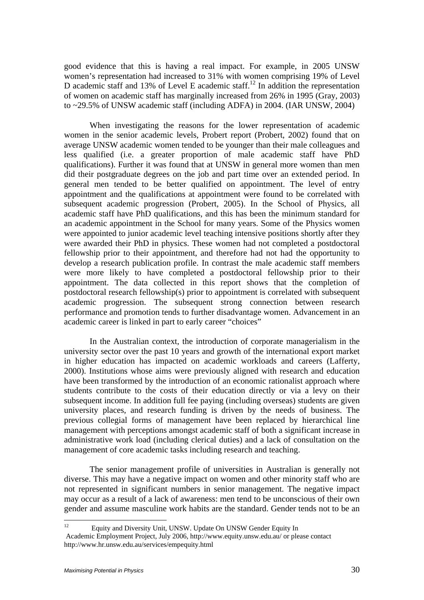good evidence that this is having a real impact. For example, in 2005 UNSW women's representation had increased to 31% with women comprising 19% of Level D academic staff and 13% of Level E academic staff.<sup>12</sup> In addition the representation of women on academic staff has marginally increased from 26% in 1995 (Gray, 2003) to ~29.5% of UNSW academic staff (including ADFA) in 2004. (IAR UNSW, 2004)

When investigating the reasons for the lower representation of academic women in the senior academic levels, Probert report (Probert, 2002) found that on average UNSW academic women tended to be younger than their male colleagues and less qualified (i.e. a greater proportion of male academic staff have PhD qualifications). Further it was found that at UNSW in general more women than men did their postgraduate degrees on the job and part time over an extended period. In general men tended to be better qualified on appointment. The level of entry appointment and the qualifications at appointment were found to be correlated with subsequent academic progression (Probert, 2005). In the School of Physics, all academic staff have PhD qualifications, and this has been the minimum standard for an academic appointment in the School for many years. Some of the Physics women were appointed to junior academic level teaching intensive positions shortly after they were awarded their PhD in physics. These women had not completed a postdoctoral fellowship prior to their appointment, and therefore had not had the opportunity to develop a research publication profile. In contrast the male academic staff members were more likely to have completed a postdoctoral fellowship prior to their appointment. The data collected in this report shows that the completion of postdoctoral research fellowship(s) prior to appointment is correlated with subsequent academic progression. The subsequent strong connection between research performance and promotion tends to further disadvantage women. Advancement in an academic career is linked in part to early career "choices"

 In the Australian context, the introduction of corporate managerialism in the university sector over the past 10 years and growth of the international export market in higher education has impacted on academic workloads and careers (Lafferty, 2000). Institutions whose aims were previously aligned with research and education have been transformed by the introduction of an economic rationalist approach where students contribute to the costs of their education directly or via a levy on their subsequent income. In addition full fee paying (including overseas) students are given university places, and research funding is driven by the needs of business. The previous collegial forms of management have been replaced by hierarchical line management with perceptions amongst academic staff of both a significant increase in administrative work load (including clerical duties) and a lack of consultation on the management of core academic tasks including research and teaching.

 The senior management profile of universities in Australian is generally not diverse. This may have a negative impact on women and other minority staff who are not represented in significant numbers in senior management. The negative impact may occur as a result of a lack of awareness: men tend to be unconscious of their own gender and assume masculine work habits are the standard. Gender tends not to be an

 $12$ 12 Equity and Diversity Unit, UNSW. Update On UNSW Gender Equity In

Academic Employment Project, July 2006, http://www.equity.unsw.edu.au/ or please contact http://www.hr.unsw.edu.au/services/empequity.html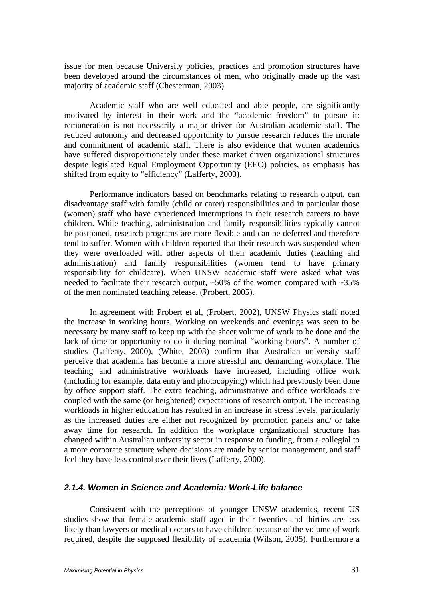issue for men because University policies, practices and promotion structures have been developed around the circumstances of men, who originally made up the vast majority of academic staff (Chesterman, 2003).

 Academic staff who are well educated and able people, are significantly motivated by interest in their work and the "academic freedom" to pursue it: remuneration is not necessarily a major driver for Australian academic staff. The reduced autonomy and decreased opportunity to pursue research reduces the morale and commitment of academic staff. There is also evidence that women academics have suffered disproportionately under these market driven organizational structures despite legislated Equal Employment Opportunity (EEO) policies, as emphasis has shifted from equity to "efficiency" (Lafferty, 2000).

 Performance indicators based on benchmarks relating to research output, can disadvantage staff with family (child or carer) responsibilities and in particular those (women) staff who have experienced interruptions in their research careers to have children. While teaching, administration and family responsibilities typically cannot be postponed, research programs are more flexible and can be deferred and therefore tend to suffer. Women with children reported that their research was suspended when they were overloaded with other aspects of their academic duties (teaching and administration) and family responsibilities (women tend to have primary responsibility for childcare). When UNSW academic staff were asked what was needed to facilitate their research output,  $\sim 50\%$  of the women compared with  $\sim 35\%$ of the men nominated teaching release. (Probert, 2005).

 In agreement with Probert et al, (Probert, 2002), UNSW Physics staff noted the increase in working hours. Working on weekends and evenings was seen to be necessary by many staff to keep up with the sheer volume of work to be done and the lack of time or opportunity to do it during nominal "working hours". A number of studies (Lafferty, 2000), (White, 2003) confirm that Australian university staff perceive that academia has become a more stressful and demanding workplace. The teaching and administrative workloads have increased, including office work (including for example, data entry and photocopying) which had previously been done by office support staff. The extra teaching, administrative and office workloads are coupled with the same (or heightened) expectations of research output. The increasing workloads in higher education has resulted in an increase in stress levels, particularly as the increased duties are either not recognized by promotion panels and/ or take away time for research. In addition the workplace organizational structure has changed within Australian university sector in response to funding, from a collegial to a more corporate structure where decisions are made by senior management, and staff feel they have less control over their lives (Lafferty, 2000).

## *2.1.4. Women in Science and Academia: Work-Life balance*

 Consistent with the perceptions of younger UNSW academics, recent US studies show that female academic staff aged in their twenties and thirties are less likely than lawyers or medical doctors to have children because of the volume of work required, despite the supposed flexibility of academia (Wilson, 2005). Furthermore a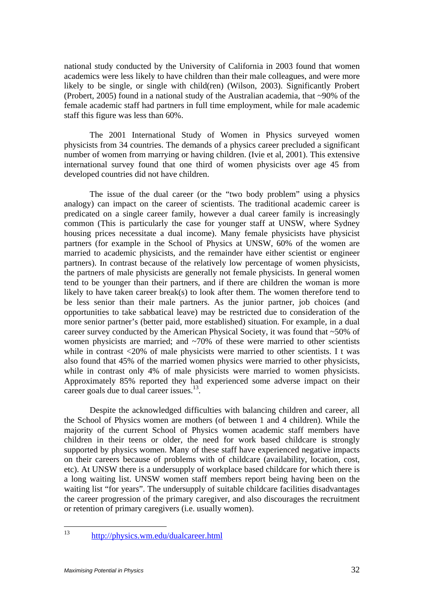national study conducted by the University of California in 2003 found that women academics were less likely to have children than their male colleagues, and were more likely to be single, or single with child(ren) (Wilson, 2003). Significantly Probert (Probert, 2005) found in a national study of the Australian academia, that ~90% of the female academic staff had partners in full time employment, while for male academic staff this figure was less than 60%.

 The 2001 International Study of Women in Physics surveyed women physicists from 34 countries. The demands of a physics career precluded a significant number of women from marrying or having children. (Ivie et al, 2001). This extensive international survey found that one third of women physicists over age 45 from developed countries did not have children.

 The issue of the dual career (or the "two body problem" using a physics analogy) can impact on the career of scientists. The traditional academic career is predicated on a single career family, however a dual career family is increasingly common (This is particularly the case for younger staff at UNSW, where Sydney housing prices necessitate a dual income). Many female physicists have physicist partners (for example in the School of Physics at UNSW, 60% of the women are married to academic physicists, and the remainder have either scientist or engineer partners). In contrast because of the relatively low percentage of women physicists, the partners of male physicists are generally not female physicists. In general women tend to be younger than their partners, and if there are children the woman is more likely to have taken career break(s) to look after them. The women therefore tend to be less senior than their male partners. As the junior partner, job choices (and opportunities to take sabbatical leave) may be restricted due to consideration of the more senior partner's (better paid, more established) situation. For example, in a dual career survey conducted by the American Physical Society, it was found that ~50% of women physicists are married; and  $\sim$ 70% of these were married to other scientists while in contrast <20% of male physicists were married to other scientists. I t was also found that 45% of the married women physics were married to other physicists, while in contrast only 4% of male physicists were married to women physicists. Approximately 85% reported they had experienced some adverse impact on their career goals due to dual career issues.<sup>13</sup>.

 Despite the acknowledged difficulties with balancing children and career, all the School of Physics women are mothers (of between 1 and 4 children). While the majority of the current School of Physics women academic staff members have children in their teens or older, the need for work based childcare is strongly supported by physics women. Many of these staff have experienced negative impacts on their careers because of problems with of childcare (availability, location, cost, etc). At UNSW there is a undersupply of workplace based childcare for which there is a long waiting list. UNSW women staff members report being having been on the waiting list "for years". The undersupply of suitable childcare facilities disadvantages the career progression of the primary caregiver, and also discourages the recruitment or retention of primary caregivers (i.e. usually women).

 $13$ 13 http://physics.wm.edu/dualcareer.html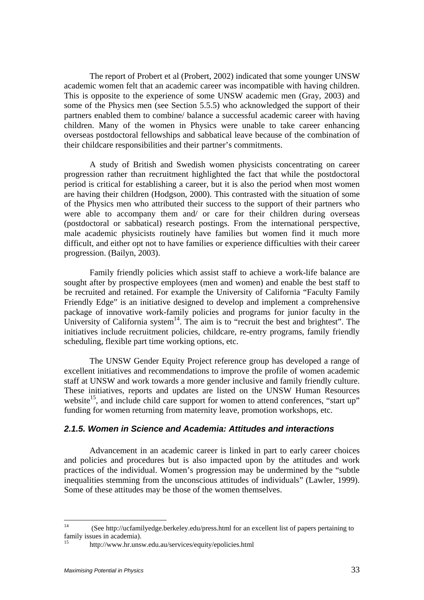The report of Probert et al (Probert, 2002) indicated that some younger UNSW academic women felt that an academic career was incompatible with having children. This is opposite to the experience of some UNSW academic men (Gray, 2003) and some of the Physics men (see Section 5.5.5) who acknowledged the support of their partners enabled them to combine/ balance a successful academic career with having children. Many of the women in Physics were unable to take career enhancing overseas postdoctoral fellowships and sabbatical leave because of the combination of their childcare responsibilities and their partner's commitments.

 A study of British and Swedish women physicists concentrating on career progression rather than recruitment highlighted the fact that while the postdoctoral period is critical for establishing a career, but it is also the period when most women are having their children (Hodgson, 2000). This contrasted with the situation of some of the Physics men who attributed their success to the support of their partners who were able to accompany them and/ or care for their children during overseas (postdoctoral or sabbatical) research postings. From the international perspective, male academic physicists routinely have families but women find it much more difficult, and either opt not to have families or experience difficulties with their career progression. (Bailyn, 2003).

 Family friendly policies which assist staff to achieve a work-life balance are sought after by prospective employees (men and women) and enable the best staff to be recruited and retained. For example the University of California "Faculty Family Friendly Edge" is an initiative designed to develop and implement a comprehensive package of innovative work-family policies and programs for junior faculty in the University of California system<sup>14</sup>. The aim is to "recruit the best and brightest". The initiatives include recruitment policies, childcare, re-entry programs, family friendly scheduling, flexible part time working options, etc.

 The UNSW Gender Equity Project reference group has developed a range of excellent initiatives and recommendations to improve the profile of women academic staff at UNSW and work towards a more gender inclusive and family friendly culture. These initiatives, reports and updates are listed on the UNSW Human Resources website<sup>15</sup>, and include child care support for women to attend conferences, "start up" funding for women returning from maternity leave, promotion workshops, etc.

## *2.1.5. Women in Science and Academia: Attitudes and interactions*

 Advancement in an academic career is linked in part to early career choices and policies and procedures but is also impacted upon by the attitudes and work practices of the individual. Women's progression may be undermined by the "subtle inequalities stemming from the unconscious attitudes of individuals" (Lawler, 1999). Some of these attitudes may be those of the women themselves.

 $14$ 14 (See http://ucfamilyedge.berkeley.edu/press.html for an excellent list of papers pertaining to family issues in academia).

<sup>15</sup> http://www.hr.unsw.edu.au/services/equity/epolicies.html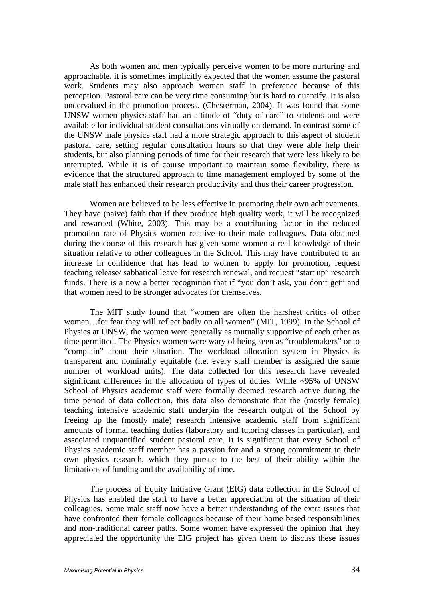As both women and men typically perceive women to be more nurturing and approachable, it is sometimes implicitly expected that the women assume the pastoral work. Students may also approach women staff in preference because of this perception. Pastoral care can be very time consuming but is hard to quantify. It is also undervalued in the promotion process. (Chesterman, 2004). It was found that some UNSW women physics staff had an attitude of "duty of care" to students and were available for individual student consultations virtually on demand. In contrast some of the UNSW male physics staff had a more strategic approach to this aspect of student pastoral care, setting regular consultation hours so that they were able help their students, but also planning periods of time for their research that were less likely to be interrupted. While it is of course important to maintain some flexibility, there is evidence that the structured approach to time management employed by some of the male staff has enhanced their research productivity and thus their career progression.

 Women are believed to be less effective in promoting their own achievements. They have (naive) faith that if they produce high quality work, it will be recognized and rewarded (White, 2003). This may be a contributing factor in the reduced promotion rate of Physics women relative to their male colleagues. Data obtained during the course of this research has given some women a real knowledge of their situation relative to other colleagues in the School. This may have contributed to an increase in confidence that has lead to women to apply for promotion, request teaching release/ sabbatical leave for research renewal, and request "start up" research funds. There is a now a better recognition that if "you don't ask, you don't get" and that women need to be stronger advocates for themselves.

 The MIT study found that "women are often the harshest critics of other women…for fear they will reflect badly on all women" (MIT, 1999). In the School of Physics at UNSW, the women were generally as mutually supportive of each other as time permitted. The Physics women were wary of being seen as "troublemakers" or to "complain" about their situation. The workload allocation system in Physics is transparent and nominally equitable (i.e. every staff member is assigned the same number of workload units). The data collected for this research have revealed significant differences in the allocation of types of duties. While ~95% of UNSW School of Physics academic staff were formally deemed research active during the time period of data collection, this data also demonstrate that the (mostly female) teaching intensive academic staff underpin the research output of the School by freeing up the (mostly male) research intensive academic staff from significant amounts of formal teaching duties (laboratory and tutoring classes in particular), and associated unquantified student pastoral care. It is significant that every School of Physics academic staff member has a passion for and a strong commitment to their own physics research, which they pursue to the best of their ability within the limitations of funding and the availability of time.

 The process of Equity Initiative Grant (EIG) data collection in the School of Physics has enabled the staff to have a better appreciation of the situation of their colleagues. Some male staff now have a better understanding of the extra issues that have confronted their female colleagues because of their home based responsibilities and non-traditional career paths. Some women have expressed the opinion that they appreciated the opportunity the EIG project has given them to discuss these issues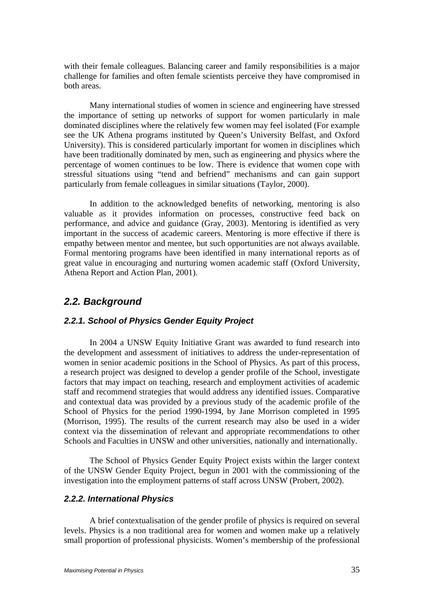with their female colleagues. Balancing career and family responsibilities is a major challenge for families and often female scientists perceive they have compromised in both areas.

 Many international studies of women in science and engineering have stressed the importance of setting up networks of support for women particularly in male dominated disciplines where the relatively few women may feel isolated (For example see the UK Athena programs instituted by Queen's University Belfast, and Oxford University). This is considered particularly important for women in disciplines which have been traditionally dominated by men, such as engineering and physics where the percentage of women continues to be low. There is evidence that women cope with stressful situations using "tend and befriend" mechanisms and can gain support particularly from female colleagues in similar situations (Taylor, 2000).

 In addition to the acknowledged benefits of networking, mentoring is also valuable as it provides information on processes, constructive feed back on performance, and advice and guidance (Gray, 2003). Mentoring is identified as very important in the success of academic careers. Mentoring is more effective if there is empathy between mentor and mentee, but such opportunities are not always available. Formal mentoring programs have been identified in many international reports as of great value in encouraging and nurturing women academic staff (Oxford University, Athena Report and Action Plan, 2001).

## *2.2. Background*

## *2.2.1. School of Physics Gender Equity Project*

In 2004 a UNSW Equity Initiative Grant was awarded to fund research into the development and assessment of initiatives to address the under-representation of women in senior academic positions in the School of Physics. As part of this process, a research project was designed to develop a gender profile of the School, investigate factors that may impact on teaching, research and employment activities of academic staff and recommend strategies that would address any identified issues. Comparative and contextual data was provided by a previous study of the academic profile of the School of Physics for the period 1990-1994, by Jane Morrison completed in 1995 (Morrison, 1995). The results of the current research may also be used in a wider context via the dissemination of relevant and appropriate recommendations to other Schools and Faculties in UNSW and other universities, nationally and internationally.

The School of Physics Gender Equity Project exists within the larger context of the UNSW Gender Equity Project, begun in 2001 with the commissioning of the investigation into the employment patterns of staff across UNSW (Probert, 2002).

#### *2.2.2. International Physics*

A brief contextualisation of the gender profile of physics is required on several levels. Physics is a non traditional area for women and women make up a relatively small proportion of professional physicists. Women's membership of the professional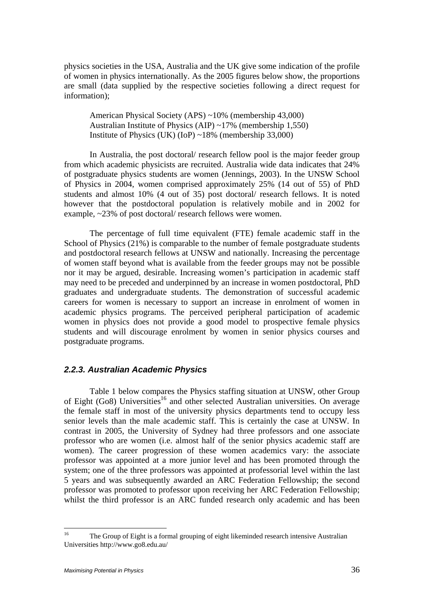physics societies in the USA, Australia and the UK give some indication of the profile of women in physics internationally. As the 2005 figures below show, the proportions are small (data supplied by the respective societies following a direct request for information);

American Physical Society (APS) ~10% (membership 43,000) Australian Institute of Physics (AIP) ~17% (membership 1,550) Institute of Physics (UK) (IoP) ~18% (membership 33,000)

In Australia, the post doctoral/ research fellow pool is the major feeder group from which academic physicists are recruited. Australia wide data indicates that 24% of postgraduate physics students are women (Jennings, 2003). In the UNSW School of Physics in 2004, women comprised approximately 25% (14 out of 55) of PhD students and almost 10% (4 out of 35) post doctoral/ research fellows. It is noted however that the postdoctoral population is relatively mobile and in 2002 for example, ~23% of post doctoral/ research fellows were women.

The percentage of full time equivalent (FTE) female academic staff in the School of Physics (21%) is comparable to the number of female postgraduate students and postdoctoral research fellows at UNSW and nationally. Increasing the percentage of women staff beyond what is available from the feeder groups may not be possible nor it may be argued, desirable. Increasing women's participation in academic staff may need to be preceded and underpinned by an increase in women postdoctoral, PhD graduates and undergraduate students. The demonstration of successful academic careers for women is necessary to support an increase in enrolment of women in academic physics programs. The perceived peripheral participation of academic women in physics does not provide a good model to prospective female physics students and will discourage enrolment by women in senior physics courses and postgraduate programs.

### *2.2.3. Australian Academic Physics*

Table 1 below compares the Physics staffing situation at UNSW, other Group of Eight  $(Go8)$  Universities<sup>16</sup> and other selected Australian universities. On average the female staff in most of the university physics departments tend to occupy less senior levels than the male academic staff. This is certainly the case at UNSW. In contrast in 2005, the University of Sydney had three professors and one associate professor who are women (i.e. almost half of the senior physics academic staff are women). The career progression of these women academics vary: the associate professor was appointed at a more junior level and has been promoted through the system; one of the three professors was appointed at professorial level within the last 5 years and was subsequently awarded an ARC Federation Fellowship; the second professor was promoted to professor upon receiving her ARC Federation Fellowship; whilst the third professor is an ARC funded research only academic and has been

 $16$ 16 The Group of Eight is a formal grouping of eight likeminded research intensive Australian Universities http://www.go8.edu.au/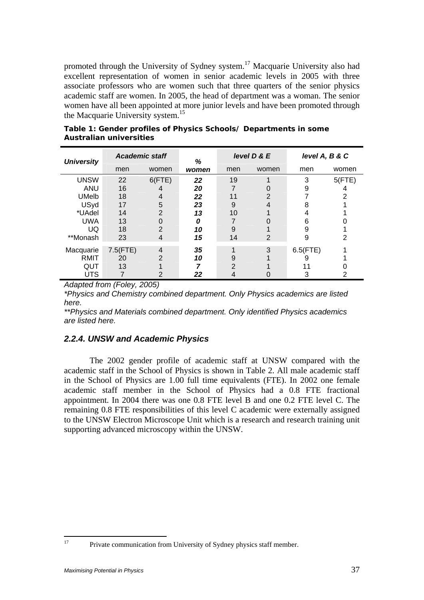promoted through the University of Sydney system.<sup>17</sup> Macquarie University also had excellent representation of women in senior academic levels in 2005 with three associate professors who are women such that three quarters of the senior physics academic staff are women. In 2005, the head of department was a woman. The senior women have all been appointed at more junior levels and have been promoted through the Macquarie University system.<sup>15</sup>

| <b>University</b> | <b>Academic staff</b> |                | %     |               | level D & E | level A, B & C |        |
|-------------------|-----------------------|----------------|-------|---------------|-------------|----------------|--------|
|                   | men                   | women          | women | men           | women       | men            | women  |
| <b>UNSW</b>       | 22                    | 6(FTE)         | 22    | 19            |             | 3              | 5(FTE) |
| <b>ANU</b>        | 16                    | 4              | 20    |               |             | 9              |        |
| <b>UMelb</b>      | 18                    | 4              | 22    | 11            | っ           |                | 2      |
| USyd              | 17                    | 5              | 23    | 9             | 4           | 8              |        |
| *UAdel            | 14                    | $\overline{2}$ | 13    | 10            |             |                |        |
| <b>UWA</b>        | 13                    | 0              | 0     |               |             | 6              |        |
| UQ                | 18                    | $\overline{2}$ | 10    | 9             |             | 9              |        |
| **Monash          | 23                    | 4              | 15    | 14            | 2           | 9              | 2      |
| Macquarie         | 7.5(FTE)              | 4              | 35    | A             | 3           | $6.5$ (FTE)    |        |
| <b>RMIT</b>       | 20                    | $\overline{2}$ | 10    | 9             |             |                |        |
| QUT               | 13                    |                |       | $\mathcal{P}$ |             |                |        |
| <b>UTS</b>        |                       | 2              | 22    | 4             |             |                |        |

**Table 1: Gender profiles of Physics Schools/ Departments in some Australian universities** 

*Adapted from (Foley, 2005)* 

*\*Physics and Chemistry combined department. Only Physics academics are listed here.* 

*\*\*Physics and Materials combined department. Only identified Physics academics are listed here.* 

## *2.2.4. UNSW and Academic Physics*

The 2002 gender profile of academic staff at UNSW compared with the academic staff in the School of Physics is shown in Table 2. All male academic staff in the School of Physics are 1.00 full time equivalents (FTE). In 2002 one female academic staff member in the School of Physics had a 0.8 FTE fractional appointment. In 2004 there was one 0.8 FTE level B and one 0.2 FTE level C. The remaining 0.8 FTE responsibilities of this level C academic were externally assigned to the UNSW Electron Microscope Unit which is a research and research training unit supporting advanced microscopy within the UNSW.

<sup>17</sup> 

Private communication from University of Sydney physics staff member.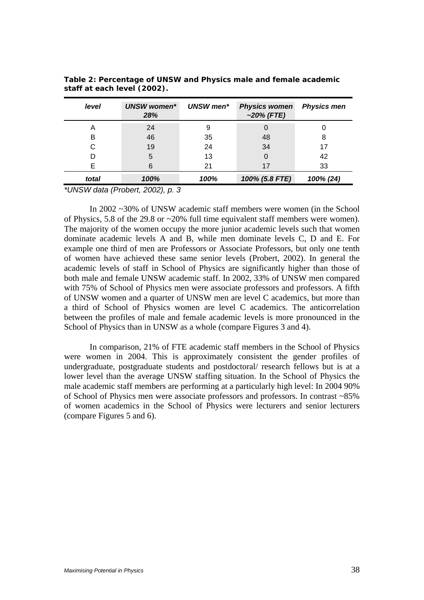| level | <b>UNSW</b> women*<br>28% | UNSW men* | <b>Physics women</b><br>$~20\%$ (FTE) | <b>Physics men</b> |
|-------|---------------------------|-----------|---------------------------------------|--------------------|
| Α     | 24                        |           |                                       |                    |
| в     | 46                        | 35        | 48                                    | 8                  |
|       | 19                        | 24        | 34                                    |                    |
|       | 5                         | 13        | 0                                     | 42                 |
| F     | 6                         | 21        | 17                                    | 33                 |
| total | 100%                      | 100%      | 100% (5.8 FTE)                        | 100% (24)          |

**Table 2: Percentage of UNSW and Physics male and female academic staff at each level (2002).** 

*\*UNSW data (Probert, 2002), p. 3* 

In 2002 ~30% of UNSW academic staff members were women (in the School of Physics, 5.8 of the 29.8 or ~20% full time equivalent staff members were women). The majority of the women occupy the more junior academic levels such that women dominate academic levels A and B, while men dominate levels C, D and E. For example one third of men are Professors or Associate Professors, but only one tenth of women have achieved these same senior levels (Probert, 2002). In general the academic levels of staff in School of Physics are significantly higher than those of both male and female UNSW academic staff. In 2002, 33% of UNSW men compared with 75% of School of Physics men were associate professors and professors. A fifth of UNSW women and a quarter of UNSW men are level C academics, but more than a third of School of Physics women are level C academics. The anticorrelation between the profiles of male and female academic levels is more pronounced in the School of Physics than in UNSW as a whole (compare Figures 3 and 4).

In comparison, 21% of FTE academic staff members in the School of Physics were women in 2004. This is approximately consistent the gender profiles of undergraduate, postgraduate students and postdoctoral/ research fellows but is at a lower level than the average UNSW staffing situation. In the School of Physics the male academic staff members are performing at a particularly high level: In 2004 90% of School of Physics men were associate professors and professors. In contrast ~85% of women academics in the School of Physics were lecturers and senior lecturers (compare Figures 5 and 6).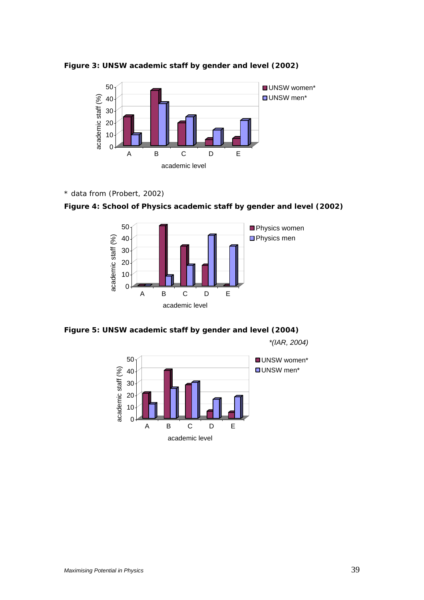

**Figure 3: UNSW academic staff by gender and level (2002)** 

*\* data from (Probert, 2002)* 





### **Figure 5: UNSW academic staff by gender and level (2004)**

*\*(IAR, 2004)* 

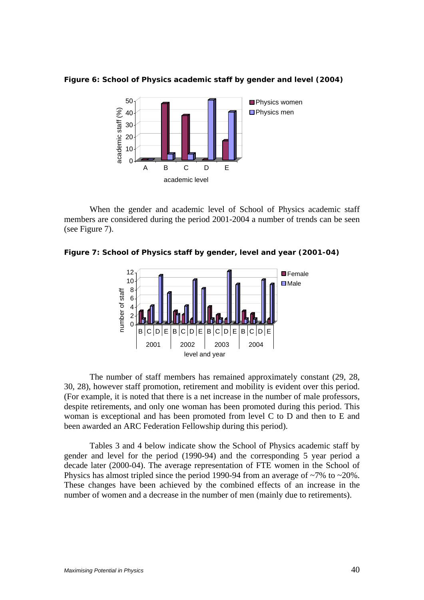

**Figure 6: School of Physics academic staff by gender and level (2004)** 

When the gender and academic level of School of Physics academic staff members are considered during the period 2001-2004 a number of trends can be seen (see Figure 7).

**Figure 7: School of Physics staff by gender, level and year (2001-04)** 



 The number of staff members has remained approximately constant (29, 28, 30, 28), however staff promotion, retirement and mobility is evident over this period. (For example, it is noted that there is a net increase in the number of male professors, despite retirements, and only one woman has been promoted during this period. This woman is exceptional and has been promoted from level C to D and then to E and been awarded an ARC Federation Fellowship during this period).

Tables 3 and 4 below indicate show the School of Physics academic staff by gender and level for the period (1990-94) and the corresponding 5 year period a decade later (2000-04). The average representation of FTE women in the School of Physics has almost tripled since the period 1990-94 from an average of  $\sim$ 7% to  $\sim$ 20%. These changes have been achieved by the combined effects of an increase in the number of women and a decrease in the number of men (mainly due to retirements).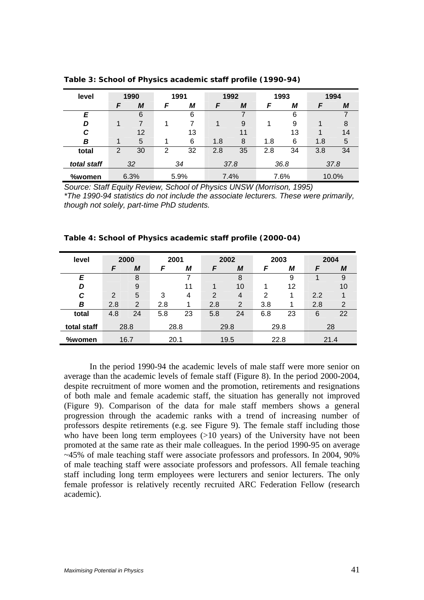| level       |   | 1990 |                | 1991 |     | 1992 |     | 1993 | 1994 |       |
|-------------|---|------|----------------|------|-----|------|-----|------|------|-------|
|             | F | M    | F              | М    | F   | М    | F   | М    | F    | М     |
| E           |   | 6    |                | 6    |     |      |     | 6    |      |       |
| D           |   | 7    |                |      | 1   | 9    |     | 9    |      | 8     |
| C           |   | 12   |                | 13   |     | 11   |     | 13   |      | 14    |
| B           |   | 5    |                | 6    | 1.8 | 8    | 1.8 | 6    | 1.8  | 5     |
| total       | 2 | 30   | $\overline{2}$ | 32   | 2.8 | 35   | 2.8 | 34   | 3.8  | 34    |
| total staff |   | 32   |                | 34   |     | 37.8 |     | 36.8 |      | 37.8  |
| %women      |   | 6.3% |                | 5.9% |     | 7.4% |     | 7.6% |      | 10.0% |

**Table 3: School of Physics academic staff profile (1990-94)** 

*Source: Staff Equity Review, School of Physics UNSW (Morrison, 1995) \*The 1990-94 statistics do not include the associate lecturers. These were primarily, though not solely, part-time PhD students.* 

| level       |     | 2000           | 2001 |    |     | 2002           |     | 2003 |     | 2004           |
|-------------|-----|----------------|------|----|-----|----------------|-----|------|-----|----------------|
|             | F   | M              | F    | М  | F   | M              | F   | М    | F   | М              |
| E           |     | 8              |      | 7  |     | 8              |     | 9    |     | 9              |
| D           |     | 9              |      | 11 | 1   | 10             |     | 12   |     | 10             |
| С           | 2   | 5              | 3    | 4  | 2   | 4              | 2   |      | 2.2 |                |
| B           | 2.8 | $\overline{2}$ | 2.8  |    | 2.8 | $\overline{2}$ | 3.8 |      | 2.8 | $\overline{2}$ |
| total       | 4.8 | 24             | 5.8  | 23 | 5.8 | 24             | 6.8 | 23   | 6   | 22             |
| total staff |     | 28.8           | 28.8 |    |     | 29.8           |     | 29.8 |     | 28             |
| %women      |     | 16.7           | 20.1 |    |     | 19.5           |     | 22.8 |     | 21.4           |

**Table 4: School of Physics academic staff profile (2000-04)** 

In the period 1990-94 the academic levels of male staff were more senior on average than the academic levels of female staff (Figure 8). In the period 2000-2004, despite recruitment of more women and the promotion, retirements and resignations of both male and female academic staff, the situation has generally not improved (Figure 9). Comparison of the data for male staff members shows a general progression through the academic ranks with a trend of increasing number of professors despite retirements (e.g. see Figure 9). The female staff including those who have been long term employees (>10 years) of the University have not been promoted at the same rate as their male colleagues. In the period 1990-95 on average ~45% of male teaching staff were associate professors and professors. In 2004, 90% of male teaching staff were associate professors and professors. All female teaching staff including long term employees were lecturers and senior lecturers. The only female professor is relatively recently recruited ARC Federation Fellow (research academic).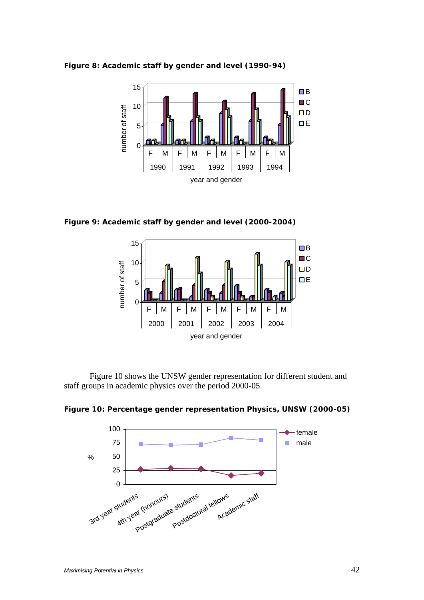



**Figure 9: Academic staff by gender and level (2000-2004)** 



 Figure 10 shows the UNSW gender representation for different student and staff groups in academic physics over the period 2000-05.

**Figure 10: Percentage gender representation Physics, UNSW (2000-05)** 

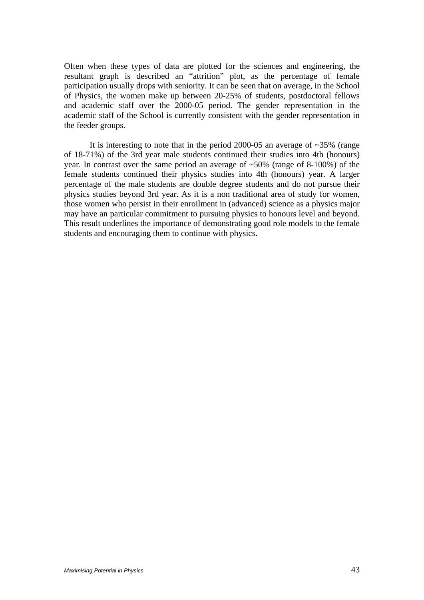Often when these types of data are plotted for the sciences and engineering, the resultant graph is described an "attrition" plot, as the percentage of female participation usually drops with seniority. It can be seen that on average, in the School of Physics, the women make up between 20-25% of students, postdoctoral fellows and academic staff over the 2000-05 period. The gender representation in the academic staff of the School is currently consistent with the gender representation in the feeder groups.

It is interesting to note that in the period 2000-05 an average of  $\sim$ 35% (range of 18-71%) of the 3rd year male students continued their studies into 4th (honours) year. In contrast over the same period an average of ~50% (range of 8-100%) of the female students continued their physics studies into 4th (honours) year. A larger percentage of the male students are double degree students and do not pursue their physics studies beyond 3rd year. As it is a non traditional area of study for women, those women who persist in their enroilment in (advanced) science as a physics major may have an particular commitment to pursuing physics to honours level and beyond. This result underlines the importance of demonstrating good role models to the female students and encouraging them to continue with physics.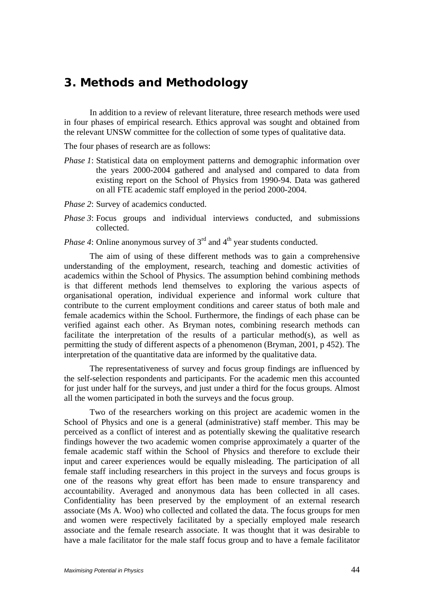# *3. Methods and Methodology*

In addition to a review of relevant literature, three research methods were used in four phases of empirical research. Ethics approval was sought and obtained from the relevant UNSW committee for the collection of some types of qualitative data.

The four phases of research are as follows:

- *Phase 1*: Statistical data on employment patterns and demographic information over the years 2000-2004 gathered and analysed and compared to data from existing report on the School of Physics from 1990-94. Data was gathered on all FTE academic staff employed in the period 2000-2004.
- *Phase 2*: Survey of academics conducted.
- *Phase 3*: Focus groups and individual interviews conducted, and submissions collected.
- *Phase 4*: Online anonymous survey of 3<sup>rd</sup> and 4<sup>th</sup> year students conducted.

The aim of using of these different methods was to gain a comprehensive understanding of the employment, research, teaching and domestic activities of academics within the School of Physics. The assumption behind combining methods is that different methods lend themselves to exploring the various aspects of organisational operation, individual experience and informal work culture that contribute to the current employment conditions and career status of both male and female academics within the School. Furthermore, the findings of each phase can be verified against each other. As Bryman notes, combining research methods can facilitate the interpretation of the results of a particular method(s), as well as permitting the study of different aspects of a phenomenon (Bryman, 2001, p 452). The interpretation of the quantitative data are informed by the qualitative data.

The representativeness of survey and focus group findings are influenced by the self-selection respondents and participants. For the academic men this accounted for just under half for the surveys, and just under a third for the focus groups. Almost all the women participated in both the surveys and the focus group.

Two of the researchers working on this project are academic women in the School of Physics and one is a general (administrative) staff member. This may be perceived as a conflict of interest and as potentially skewing the qualitative research findings however the two academic women comprise approximately a quarter of the female academic staff within the School of Physics and therefore to exclude their input and career experiences would be equally misleading. The participation of all female staff including researchers in this project in the surveys and focus groups is one of the reasons why great effort has been made to ensure transparency and accountability. Averaged and anonymous data has been collected in all cases. Confidentiality has been preserved by the employment of an external research associate (Ms A. Woo) who collected and collated the data. The focus groups for men and women were respectively facilitated by a specially employed male research associate and the female research associate. It was thought that it was desirable to have a male facilitator for the male staff focus group and to have a female facilitator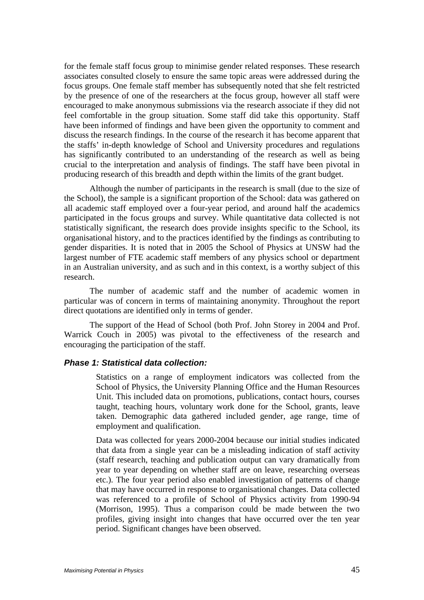for the female staff focus group to minimise gender related responses. These research associates consulted closely to ensure the same topic areas were addressed during the focus groups. One female staff member has subsequently noted that she felt restricted by the presence of one of the researchers at the focus group, however all staff were encouraged to make anonymous submissions via the research associate if they did not feel comfortable in the group situation. Some staff did take this opportunity. Staff have been informed of findings and have been given the opportunity to comment and discuss the research findings. In the course of the research it has become apparent that the staffs' in-depth knowledge of School and University procedures and regulations has significantly contributed to an understanding of the research as well as being crucial to the interpretation and analysis of findings. The staff have been pivotal in producing research of this breadth and depth within the limits of the grant budget.

Although the number of participants in the research is small (due to the size of the School), the sample is a significant proportion of the School: data was gathered on all academic staff employed over a four-year period, and around half the academics participated in the focus groups and survey. While quantitative data collected is not statistically significant, the research does provide insights specific to the School, its organisational history, and to the practices identified by the findings as contributing to gender disparities. It is noted that in 2005 the School of Physics at UNSW had the largest number of FTE academic staff members of any physics school or department in an Australian university, and as such and in this context, is a worthy subject of this research.

The number of academic staff and the number of academic women in particular was of concern in terms of maintaining anonymity. Throughout the report direct quotations are identified only in terms of gender.

The support of the Head of School (both Prof. John Storey in 2004 and Prof. Warrick Couch in 2005) was pivotal to the effectiveness of the research and encouraging the participation of the staff.

### *Phase 1: Statistical data collection:*

Statistics on a range of employment indicators was collected from the School of Physics, the University Planning Office and the Human Resources Unit. This included data on promotions, publications, contact hours, courses taught, teaching hours, voluntary work done for the School, grants, leave taken. Demographic data gathered included gender, age range, time of employment and qualification.

Data was collected for years 2000-2004 because our initial studies indicated that data from a single year can be a misleading indication of staff activity (staff research, teaching and publication output can vary dramatically from year to year depending on whether staff are on leave, researching overseas etc.). The four year period also enabled investigation of patterns of change that may have occurred in response to organisational changes. Data collected was referenced to a profile of School of Physics activity from 1990-94 (Morrison, 1995). Thus a comparison could be made between the two profiles, giving insight into changes that have occurred over the ten year period. Significant changes have been observed.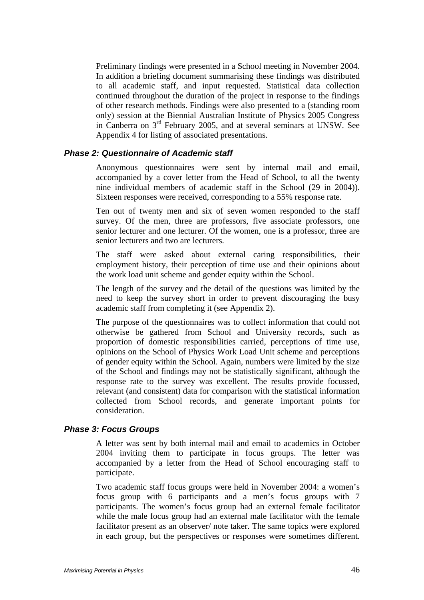Preliminary findings were presented in a School meeting in November 2004. In addition a briefing document summarising these findings was distributed to all academic staff, and input requested. Statistical data collection continued throughout the duration of the project in response to the findings of other research methods. Findings were also presented to a (standing room only) session at the Biennial Australian Institute of Physics 2005 Congress in Canberra on 3rd February 2005, and at several seminars at UNSW. See Appendix 4 for listing of associated presentations.

#### *Phase 2: Questionnaire of Academic staff*

Anonymous questionnaires were sent by internal mail and email, accompanied by a cover letter from the Head of School, to all the twenty nine individual members of academic staff in the School (29 in 2004)). Sixteen responses were received, corresponding to a 55% response rate.

Ten out of twenty men and six of seven women responded to the staff survey. Of the men, three are professors, five associate professors, one senior lecturer and one lecturer. Of the women, one is a professor, three are senior lecturers and two are lecturers.

The staff were asked about external caring responsibilities, their employment history, their perception of time use and their opinions about the work load unit scheme and gender equity within the School.

The length of the survey and the detail of the questions was limited by the need to keep the survey short in order to prevent discouraging the busy academic staff from completing it (see Appendix 2).

The purpose of the questionnaires was to collect information that could not otherwise be gathered from School and University records, such as proportion of domestic responsibilities carried, perceptions of time use, opinions on the School of Physics Work Load Unit scheme and perceptions of gender equity within the School. Again, numbers were limited by the size of the School and findings may not be statistically significant, although the response rate to the survey was excellent. The results provide focussed, relevant (and consistent) data for comparison with the statistical information collected from School records, and generate important points for consideration.

### *Phase 3: Focus Groups*

A letter was sent by both internal mail and email to academics in October 2004 inviting them to participate in focus groups. The letter was accompanied by a letter from the Head of School encouraging staff to participate.

Two academic staff focus groups were held in November 2004: a women's focus group with 6 participants and a men's focus groups with 7 participants. The women's focus group had an external female facilitator while the male focus group had an external male facilitator with the female facilitator present as an observer/ note taker. The same topics were explored in each group, but the perspectives or responses were sometimes different.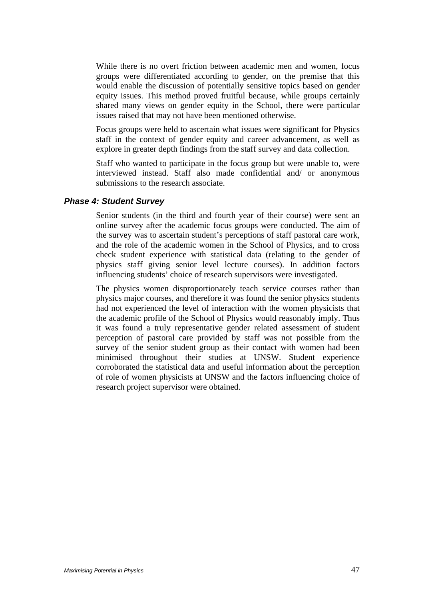While there is no overt friction between academic men and women, focus groups were differentiated according to gender, on the premise that this would enable the discussion of potentially sensitive topics based on gender equity issues. This method proved fruitful because, while groups certainly shared many views on gender equity in the School, there were particular issues raised that may not have been mentioned otherwise.

Focus groups were held to ascertain what issues were significant for Physics staff in the context of gender equity and career advancement, as well as explore in greater depth findings from the staff survey and data collection.

Staff who wanted to participate in the focus group but were unable to, were interviewed instead. Staff also made confidential and/ or anonymous submissions to the research associate.

#### *Phase 4: Student Survey*

Senior students (in the third and fourth year of their course) were sent an online survey after the academic focus groups were conducted. The aim of the survey was to ascertain student's perceptions of staff pastoral care work, and the role of the academic women in the School of Physics, and to cross check student experience with statistical data (relating to the gender of physics staff giving senior level lecture courses). In addition factors influencing students' choice of research supervisors were investigated.

The physics women disproportionately teach service courses rather than physics major courses, and therefore it was found the senior physics students had not experienced the level of interaction with the women physicists that the academic profile of the School of Physics would reasonably imply. Thus it was found a truly representative gender related assessment of student perception of pastoral care provided by staff was not possible from the survey of the senior student group as their contact with women had been minimised throughout their studies at UNSW. Student experience corroborated the statistical data and useful information about the perception of role of women physicists at UNSW and the factors influencing choice of research project supervisor were obtained.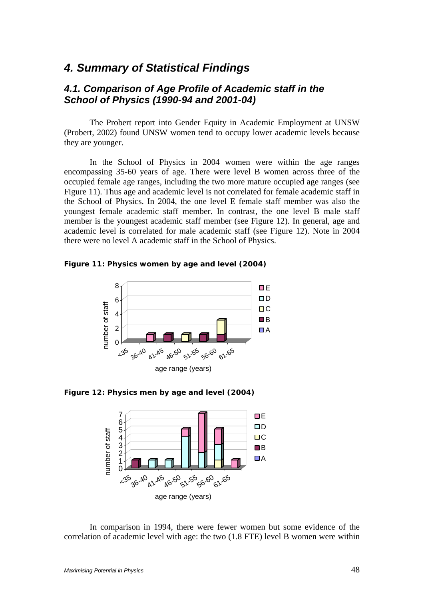# *4. Summary of Statistical Findings*

# *4.1. Comparison of Age Profile of Academic staff in the School of Physics (1990-94 and 2001-04)*

The Probert report into Gender Equity in Academic Employment at UNSW (Probert, 2002) found UNSW women tend to occupy lower academic levels because they are younger.

In the School of Physics in 2004 women were within the age ranges encompassing 35-60 years of age. There were level B women across three of the occupied female age ranges, including the two more mature occupied age ranges (see Figure 11). Thus age and academic level is not correlated for female academic staff in the School of Physics. In 2004, the one level E female staff member was also the youngest female academic staff member. In contrast, the one level B male staff member is the youngest academic staff member (see Figure 12). In general, age and academic level is correlated for male academic staff (see Figure 12). Note in 2004 there were no level A academic staff in the School of Physics.

**Figure 11: Physics women by age and level (2004)** 



**Figure 12: Physics men by age and level (2004)** 



In comparison in 1994, there were fewer women but some evidence of the correlation of academic level with age: the two (1.8 FTE) level B women were within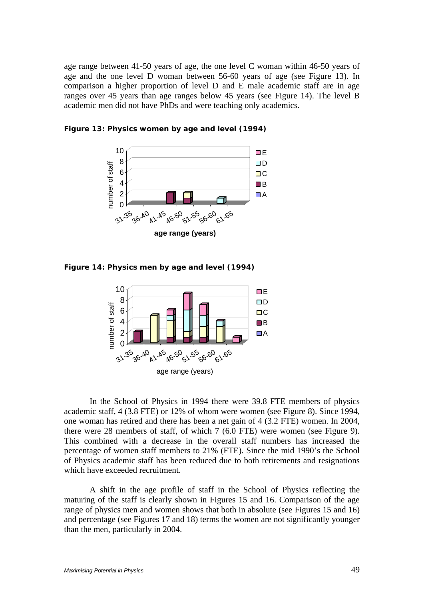age range between 41-50 years of age, the one level C woman within 46-50 years of age and the one level D woman between 56-60 years of age (see Figure 13). In comparison a higher proportion of level D and E male academic staff are in age ranges over 45 years than age ranges below 45 years (see Figure 14). The level B academic men did not have PhDs and were teaching only academics.



**Figure 13: Physics women by age and level (1994)** 

**Figure 14: Physics men by age and level (1994)** 



In the School of Physics in 1994 there were 39.8 FTE members of physics academic staff, 4 (3.8 FTE) or 12% of whom were women (see Figure 8). Since 1994, one woman has retired and there has been a net gain of 4 (3.2 FTE) women. In 2004, there were 28 members of staff, of which 7 (6.0 FTE) were women (see Figure 9). This combined with a decrease in the overall staff numbers has increased the percentage of women staff members to 21% (FTE). Since the mid 1990's the School of Physics academic staff has been reduced due to both retirements and resignations which have exceeded recruitment.

A shift in the age profile of staff in the School of Physics reflecting the maturing of the staff is clearly shown in Figures 15 and 16. Comparison of the age range of physics men and women shows that both in absolute (see Figures 15 and 16) and percentage (see Figures 17 and 18) terms the women are not significantly younger than the men, particularly in 2004.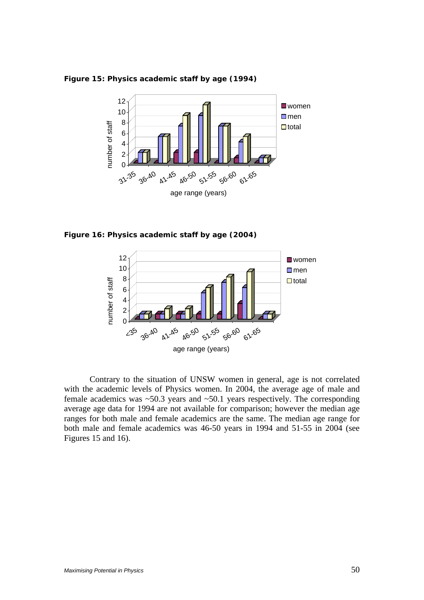

**Figure 15: Physics academic staff by age (1994)** 

**Figure 16: Physics academic staff by age (2004)** 



Contrary to the situation of UNSW women in general, age is not correlated with the academic levels of Physics women. In 2004, the average age of male and female academics was  $\sim$  50.3 years and  $\sim$  50.1 years respectively. The corresponding average age data for 1994 are not available for comparison; however the median age ranges for both male and female academics are the same. The median age range for both male and female academics was 46-50 years in 1994 and 51-55 in 2004 (see Figures 15 and 16).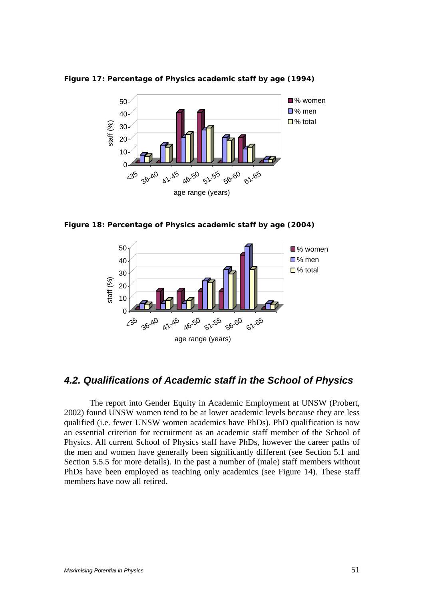

**Figure 17: Percentage of Physics academic staff by age (1994)** 

**Figure 18: Percentage of Physics academic staff by age (2004)** 



# *4.2. Qualifications of Academic staff in the School of Physics*

The report into Gender Equity in Academic Employment at UNSW (Probert, 2002) found UNSW women tend to be at lower academic levels because they are less qualified (i.e. fewer UNSW women academics have PhDs). PhD qualification is now an essential criterion for recruitment as an academic staff member of the School of Physics. All current School of Physics staff have PhDs, however the career paths of the men and women have generally been significantly different (see Section 5.1 and Section 5.5.5 for more details). In the past a number of (male) staff members without PhDs have been employed as teaching only academics (see Figure 14). These staff members have now all retired.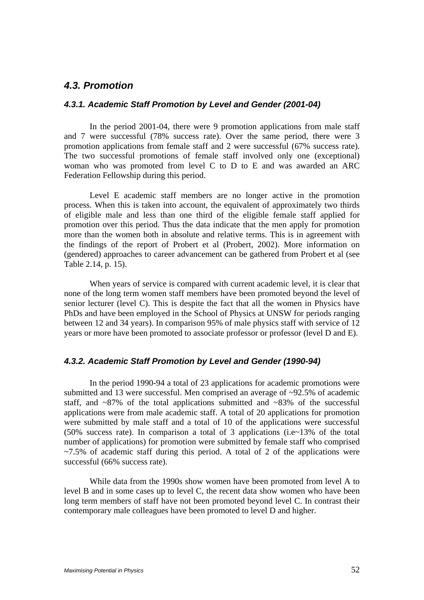## *4.3. Promotion*

#### *4.3.1. Academic Staff Promotion by Level and Gender (2001-04)*

In the period 2001-04, there were 9 promotion applications from male staff and 7 were successful (78% success rate). Over the same period, there were 3 promotion applications from female staff and 2 were successful (67% success rate). The two successful promotions of female staff involved only one (exceptional) woman who was promoted from level C to D to E and was awarded an ARC Federation Fellowship during this period.

Level E academic staff members are no longer active in the promotion process. When this is taken into account, the equivalent of approximately two thirds of eligible male and less than one third of the eligible female staff applied for promotion over this period. Thus the data indicate that the men apply for promotion more than the women both in absolute and relative terms. This is in agreement with the findings of the report of Probert et al (Probert, 2002). More information on (gendered) approaches to career advancement can be gathered from Probert et al (see Table 2.14, p. 15).

 When years of service is compared with current academic level, it is clear that none of the long term women staff members have been promoted beyond the level of senior lecturer (level C). This is despite the fact that all the women in Physics have PhDs and have been employed in the School of Physics at UNSW for periods ranging between 12 and 34 years). In comparison 95% of male physics staff with service of 12 years or more have been promoted to associate professor or professor (level D and E).

## *4.3.2. Academic Staff Promotion by Level and Gender (1990-94)*

 In the period 1990-94 a total of 23 applications for academic promotions were submitted and 13 were successful. Men comprised an average of ~92.5% of academic staff, and  $\sim 87\%$  of the total applications submitted and  $\sim 83\%$  of the successful applications were from male academic staff. A total of 20 applications for promotion were submitted by male staff and a total of 10 of the applications were successful (50% success rate). In comparison a total of 3 applications (i.e~13% of the total number of applications) for promotion were submitted by female staff who comprised  $\approx$  7.5% of academic staff during this period. A total of 2 of the applications were successful (66% success rate).

 While data from the 1990s show women have been promoted from level A to level B and in some cases up to level C, the recent data show women who have been long term members of staff have not been promoted beyond level C. In contrast their contemporary male colleagues have been promoted to level D and higher.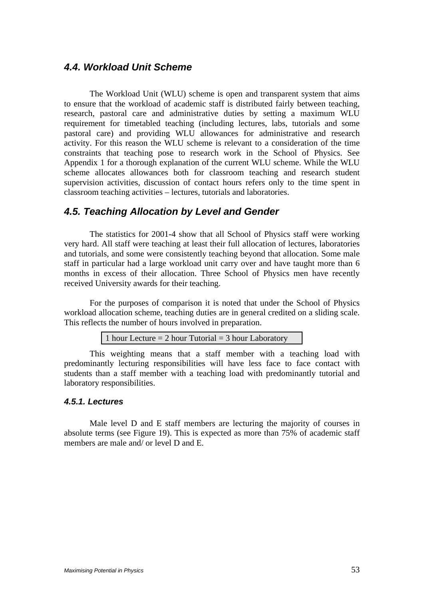# *4.4. Workload Unit Scheme*

The Workload Unit (WLU) scheme is open and transparent system that aims to ensure that the workload of academic staff is distributed fairly between teaching, research, pastoral care and administrative duties by setting a maximum WLU requirement for timetabled teaching (including lectures, labs, tutorials and some pastoral care) and providing WLU allowances for administrative and research activity. For this reason the WLU scheme is relevant to a consideration of the time constraints that teaching pose to research work in the School of Physics. See Appendix 1 for a thorough explanation of the current WLU scheme. While the WLU scheme allocates allowances both for classroom teaching and research student supervision activities, discussion of contact hours refers only to the time spent in classroom teaching activities – lectures, tutorials and laboratories.

# *4.5. Teaching Allocation by Level and Gender*

The statistics for 2001-4 show that all School of Physics staff were working very hard. All staff were teaching at least their full allocation of lectures, laboratories and tutorials, and some were consistently teaching beyond that allocation. Some male staff in particular had a large workload unit carry over and have taught more than 6 months in excess of their allocation. Three School of Physics men have recently received University awards for their teaching.

For the purposes of comparison it is noted that under the School of Physics workload allocation scheme, teaching duties are in general credited on a sliding scale. This reflects the number of hours involved in preparation.

1 hour Lecture  $= 2$  hour Tutorial  $= 3$  hour Laboratory

 This weighting means that a staff member with a teaching load with predominantly lecturing responsibilities will have less face to face contact with students than a staff member with a teaching load with predominantly tutorial and laboratory responsibilities.

#### *4.5.1. Lectures*

Male level D and E staff members are lecturing the majority of courses in absolute terms (see Figure 19). This is expected as more than 75% of academic staff members are male and/ or level D and E.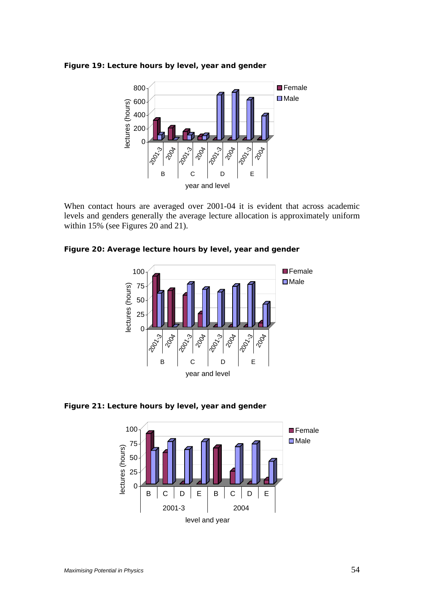



When contact hours are averaged over 2001-04 it is evident that across academic levels and genders generally the average lecture allocation is approximately uniform within 15% (see Figures 20 and 21).

**Figure 20: Average lecture hours by level, year and gender** 



**Figure 21: Lecture hours by level, year and gender** 

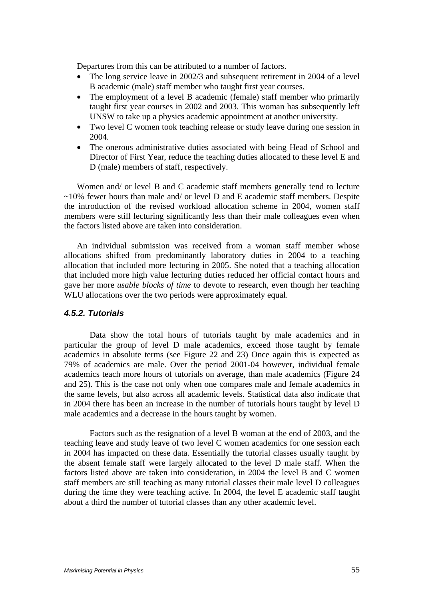Departures from this can be attributed to a number of factors.

- The long service leave in 2002/3 and subsequent retirement in 2004 of a level B academic (male) staff member who taught first year courses.
- The employment of a level B academic (female) staff member who primarily taught first year courses in 2002 and 2003. This woman has subsequently left UNSW to take up a physics academic appointment at another university.
- Two level C women took teaching release or study leave during one session in 2004.
- The onerous administrative duties associated with being Head of School and Director of First Year, reduce the teaching duties allocated to these level E and D (male) members of staff, respectively.

Women and/ or level B and C academic staff members generally tend to lecture  $\sim$ 10% fewer hours than male and/ or level D and E academic staff members. Despite the introduction of the revised workload allocation scheme in 2004, women staff members were still lecturing significantly less than their male colleagues even when the factors listed above are taken into consideration.

An individual submission was received from a woman staff member whose allocations shifted from predominantly laboratory duties in 2004 to a teaching allocation that included more lecturing in 2005. She noted that a teaching allocation that included more high value lecturing duties reduced her official contact hours and gave her more *usable blocks of time* to devote to research, even though her teaching WLU allocations over the two periods were approximately equal.

### *4.5.2. Tutorials*

Data show the total hours of tutorials taught by male academics and in particular the group of level D male academics, exceed those taught by female academics in absolute terms (see Figure 22 and 23) Once again this is expected as 79% of academics are male. Over the period 2001-04 however, individual female academics teach more hours of tutorials on average, than male academics (Figure 24 and 25). This is the case not only when one compares male and female academics in the same levels, but also across all academic levels. Statistical data also indicate that in 2004 there has been an increase in the number of tutorials hours taught by level D male academics and a decrease in the hours taught by women.

Factors such as the resignation of a level B woman at the end of 2003, and the teaching leave and study leave of two level C women academics for one session each in 2004 has impacted on these data. Essentially the tutorial classes usually taught by the absent female staff were largely allocated to the level D male staff. When the factors listed above are taken into consideration, in 2004 the level B and C women staff members are still teaching as many tutorial classes their male level D colleagues during the time they were teaching active. In 2004, the level E academic staff taught about a third the number of tutorial classes than any other academic level.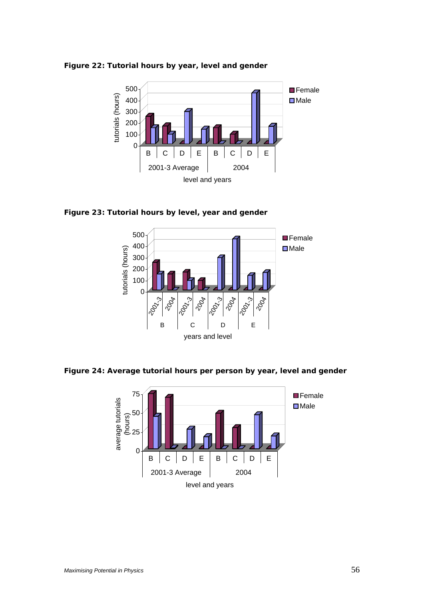



**Figure 23: Tutorial hours by level, year and gender** 



**Figure 24: Average tutorial hours per person by year, level and gender** 

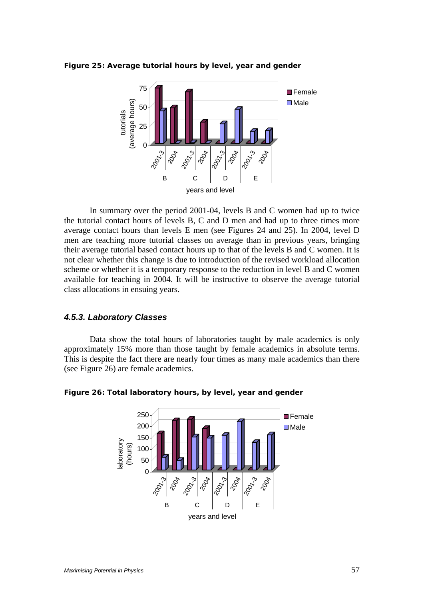



 In summary over the period 2001-04, levels B and C women had up to twice the tutorial contact hours of levels B, C and D men and had up to three times more average contact hours than levels E men (see Figures 24 and 25). In 2004, level D men are teaching more tutorial classes on average than in previous years, bringing their average tutorial based contact hours up to that of the levels B and C women. It is not clear whether this change is due to introduction of the revised workload allocation scheme or whether it is a temporary response to the reduction in level B and C women available for teaching in 2004. It will be instructive to observe the average tutorial class allocations in ensuing years.

#### *4.5.3. Laboratory Classes*

Data show the total hours of laboratories taught by male academics is only approximately 15% more than those taught by female academics in absolute terms. This is despite the fact there are nearly four times as many male academics than there (see Figure 26) are female academics.



#### **Figure 26: Total laboratory hours, by level, year and gender**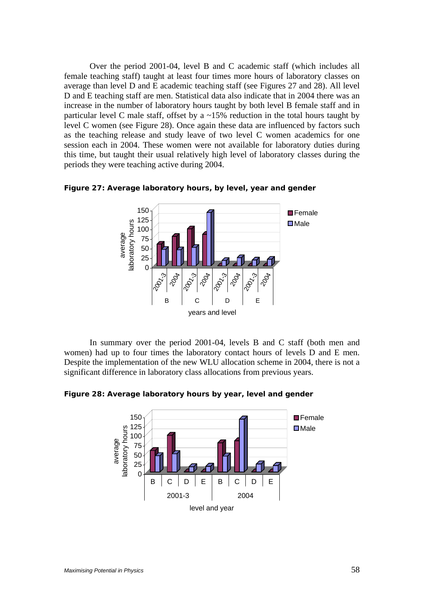Over the period 2001-04, level B and C academic staff (which includes all female teaching staff) taught at least four times more hours of laboratory classes on average than level D and E academic teaching staff (see Figures 27 and 28). All level D and E teaching staff are men. Statistical data also indicate that in 2004 there was an increase in the number of laboratory hours taught by both level B female staff and in particular level C male staff, offset by a  $\sim$ 15% reduction in the total hours taught by level C women (see Figure 28). Once again these data are influenced by factors such as the teaching release and study leave of two level C women academics for one session each in 2004. These women were not available for laboratory duties during this time, but taught their usual relatively high level of laboratory classes during the periods they were teaching active during 2004.





 In summary over the period 2001-04, levels B and C staff (both men and women) had up to four times the laboratory contact hours of levels D and E men. Despite the implementation of the new WLU allocation scheme in 2004, there is not a significant difference in laboratory class allocations from previous years.

**Figure 28: Average laboratory hours by year, level and gender** 

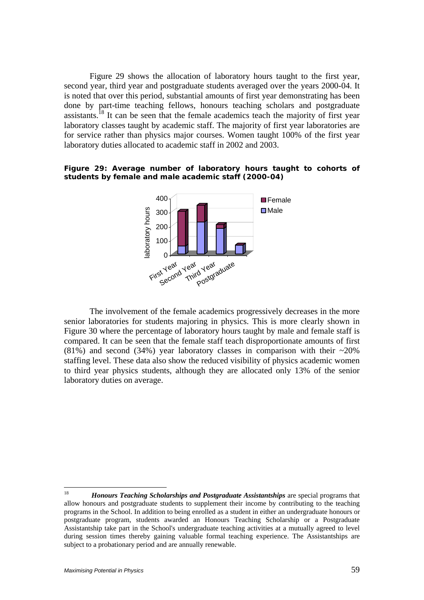Figure 29 shows the allocation of laboratory hours taught to the first year, second year, third year and postgraduate students averaged over the years 2000-04. It is noted that over this period, substantial amounts of first year demonstrating has been done by part-time teaching fellows, honours teaching scholars and postgraduate assistants.<sup>18</sup> It can be seen that the female academics teach the majority of first year laboratory classes taught by academic staff. The majority of first year laboratories are for service rather than physics major courses. Women taught 100% of the first year laboratory duties allocated to academic staff in 2002 and 2003.

#### **Figure 29: Average number of laboratory hours taught to cohorts of students by female and male academic staff (2000-04)**



 The involvement of the female academics progressively decreases in the more senior laboratories for students majoring in physics. This is more clearly shown in Figure 30 where the percentage of laboratory hours taught by male and female staff is compared. It can be seen that the female staff teach disproportionate amounts of first (81%) and second (34%) year laboratory classes in comparison with their  $\sim$ 20% staffing level. These data also show the reduced visibility of physics academic women to third year physics students, although they are allocated only 13% of the senior laboratory duties on average.

<sup>18</sup> 18 *Honours Teaching Scholarships and Postgraduate Assistantships* are special programs that allow honours and postgraduate students to supplement their income by contributing to the teaching programs in the School. In addition to being enrolled as a student in either an undergraduate honours or postgraduate program, students awarded an Honours Teaching Scholarship or a Postgraduate Assistantship take part in the School's undergraduate teaching activities at a mutually agreed to level during session times thereby gaining valuable formal teaching experience. The Assistantships are subject to a probationary period and are annually renewable.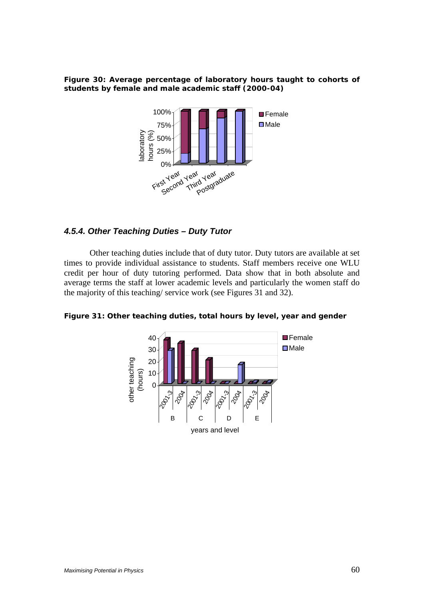**Figure 30: Average percentage of laboratory hours taught to cohorts of students by female and male academic staff (2000-04)** 



## *4.5.4. Other Teaching Duties – Duty Tutor*

Other teaching duties include that of duty tutor. Duty tutors are available at set times to provide individual assistance to students. Staff members receive one WLU credit per hour of duty tutoring performed. Data show that in both absolute and average terms the staff at lower academic levels and particularly the women staff do the majority of this teaching/ service work (see Figures 31 and 32).

**Figure 31: Other teaching duties, total hours by level, year and gender** 

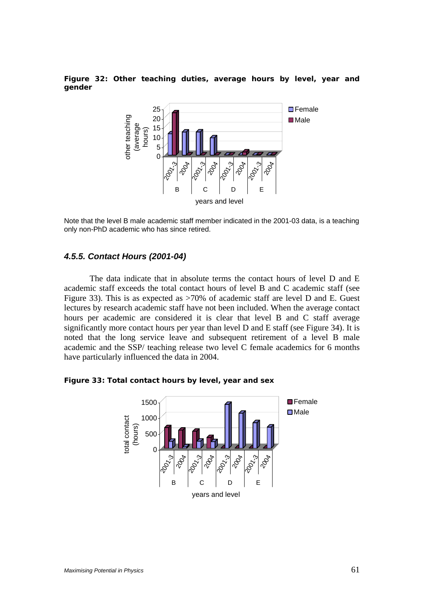**Figure 32: Other teaching duties, average hours by level, year and gender** 



Note that the level B male academic staff member indicated in the 2001-03 data, is a teaching only non-PhD academic who has since retired.

### *4.5.5. Contact Hours (2001-04)*

The data indicate that in absolute terms the contact hours of level D and E academic staff exceeds the total contact hours of level B and C academic staff (see Figure 33). This is as expected as >70% of academic staff are level D and E. Guest lectures by research academic staff have not been included. When the average contact hours per academic are considered it is clear that level B and C staff average significantly more contact hours per year than level D and E staff (see Figure 34). It is noted that the long service leave and subsequent retirement of a level B male academic and the SSP/ teaching release two level C female academics for 6 months have particularly influenced the data in 2004.

**Figure 33: Total contact hours by level, year and sex** 

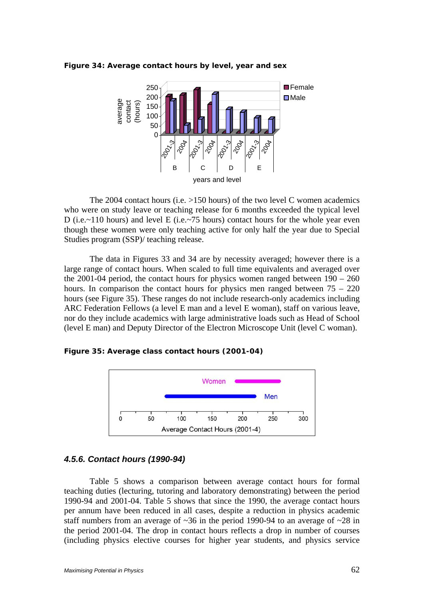**Figure 34: Average contact hours by level, year and sex** 



The 2004 contact hours (i.e.  $>150$  hours) of the two level C women academics who were on study leave or teaching release for 6 months exceeded the typical level D (i.e.~110 hours) and level E (i.e.~75 hours) contact hours for the whole year even though these women were only teaching active for only half the year due to Special Studies program (SSP)/ teaching release.

The data in Figures 33 and 34 are by necessity averaged; however there is a large range of contact hours. When scaled to full time equivalents and averaged over the 2001-04 period, the contact hours for physics women ranged between  $190 - 260$ hours. In comparison the contact hours for physics men ranged between  $75 - 220$ hours (see Figure 35). These ranges do not include research-only academics including ARC Federation Fellows (a level E man and a level E woman), staff on various leave, nor do they include academics with large administrative loads such as Head of School (level E man) and Deputy Director of the Electron Microscope Unit (level C woman).

**Figure 35: Average class contact hours (2001-04)** 



### *4.5.6. Contact hours (1990-94)*

 Table 5 shows a comparison between average contact hours for formal teaching duties (lecturing, tutoring and laboratory demonstrating) between the period 1990-94 and 2001-04. Table 5 shows that since the 1990, the average contact hours per annum have been reduced in all cases, despite a reduction in physics academic staff numbers from an average of  $\sim$ 36 in the period 1990-94 to an average of  $\sim$ 28 in the period 2001-04. The drop in contact hours reflects a drop in number of courses (including physics elective courses for higher year students, and physics service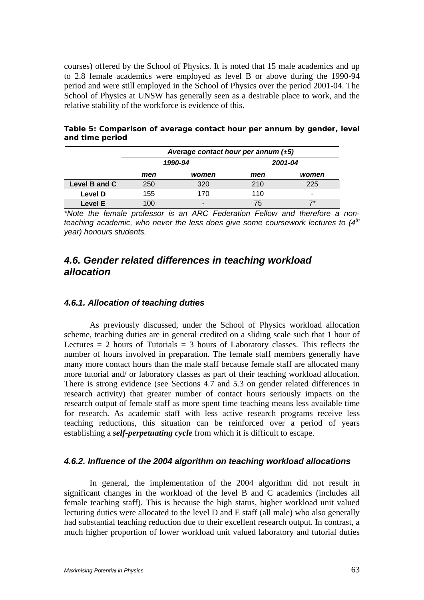courses) offered by the School of Physics. It is noted that 15 male academics and up to 2.8 female academics were employed as level B or above during the 1990-94 period and were still employed in the School of Physics over the period 2001-04. The School of Physics at UNSW has generally seen as a desirable place to work, and the relative stability of the workforce is evidence of this.

|               | Average contact hour per annum $(\pm 5)$ |                |         |       |  |  |
|---------------|------------------------------------------|----------------|---------|-------|--|--|
|               |                                          | 1990-94        | 2001-04 |       |  |  |
|               | men                                      | women          | men     | women |  |  |
| Level B and C | 250                                      | 320            | 210     | 225   |  |  |
| Level D       | 155                                      | 170            | 110     | -     |  |  |
| Level E       | 100                                      | $\blacksquare$ | 75      | "7*   |  |  |

**Table 5: Comparison of average contact hour per annum by gender, level and time period** 

*\*Note the female professor is an ARC Federation Fellow and therefore a nonteaching academic, who never the less does give some coursework lectures to (4th year) honours students.* 

# *4.6. Gender related differences in teaching workload allocation*

## *4.6.1. Allocation of teaching duties*

As previously discussed, under the School of Physics workload allocation scheme, teaching duties are in general credited on a sliding scale such that 1 hour of Lectures  $= 2$  hours of Tutorials  $= 3$  hours of Laboratory classes. This reflects the number of hours involved in preparation. The female staff members generally have many more contact hours than the male staff because female staff are allocated many more tutorial and/ or laboratory classes as part of their teaching workload allocation. There is strong evidence (see Sections 4.7 and 5.3 on gender related differences in research activity) that greater number of contact hours seriously impacts on the research output of female staff as more spent time teaching means less available time for research. As academic staff with less active research programs receive less teaching reductions, this situation can be reinforced over a period of years establishing a *self-perpetuating cycle* from which it is difficult to escape.

## *4.6.2. Influence of the 2004 algorithm on teaching workload allocations*

In general, the implementation of the 2004 algorithm did not result in significant changes in the workload of the level B and C academics (includes all female teaching staff). This is because the high status, higher workload unit valued lecturing duties were allocated to the level D and E staff (all male) who also generally had substantial teaching reduction due to their excellent research output. In contrast, a much higher proportion of lower workload unit valued laboratory and tutorial duties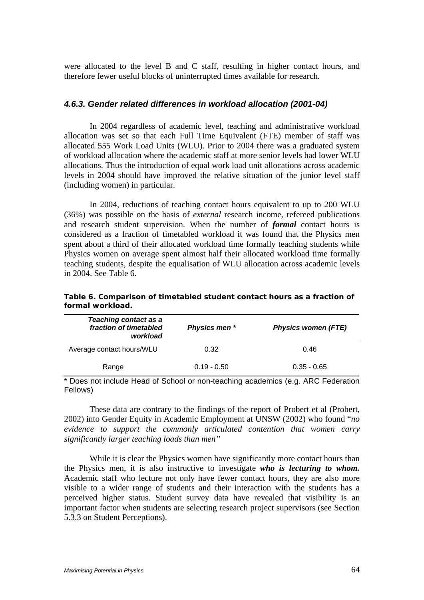were allocated to the level B and C staff, resulting in higher contact hours, and therefore fewer useful blocks of uninterrupted times available for research.

## *4.6.3. Gender related differences in workload allocation (2001-04)*

In 2004 regardless of academic level, teaching and administrative workload allocation was set so that each Full Time Equivalent (FTE) member of staff was allocated 555 Work Load Units (WLU). Prior to 2004 there was a graduated system of workload allocation where the academic staff at more senior levels had lower WLU allocations. Thus the introduction of equal work load unit allocations across academic levels in 2004 should have improved the relative situation of the junior level staff (including women) in particular.

In 2004, reductions of teaching contact hours equivalent to up to 200 WLU (36%) was possible on the basis of *external* research income, refereed publications and research student supervision. When the number of *formal* contact hours is considered as a fraction of timetabled workload it was found that the Physics men spent about a third of their allocated workload time formally teaching students while Physics women on average spent almost half their allocated workload time formally teaching students, despite the equalisation of WLU allocation across academic levels in 2004. See Table 6.

| <b>Teaching contact as a</b><br>fraction of timetabled<br>workload | Physics men * | <b>Physics women (FTE)</b> |  |
|--------------------------------------------------------------------|---------------|----------------------------|--|
| Average contact hours/WLU                                          | 0.32          | 0.46                       |  |
| Range                                                              | $0.19 - 0.50$ | $0.35 - 0.65$              |  |

**Table 6. Comparison of timetabled student contact hours as a fraction of formal workload.** 

\* Does not include Head of School or non-teaching academics (e.g. ARC Federation Fellows)

These data are contrary to the findings of the report of Probert et al (Probert, 2002) into Gender Equity in Academic Employment at UNSW (2002) who found "*no evidence to support the commonly articulated contention that women carry significantly larger teaching loads than men"* 

While it is clear the Physics women have significantly more contact hours than the Physics men, it is also instructive to investigate *who is lecturing to whom.*  Academic staff who lecture not only have fewer contact hours, they are also more visible to a wider range of students and their interaction with the students has a perceived higher status. Student survey data have revealed that visibility is an important factor when students are selecting research project supervisors (see Section 5.3.3 on Student Perceptions).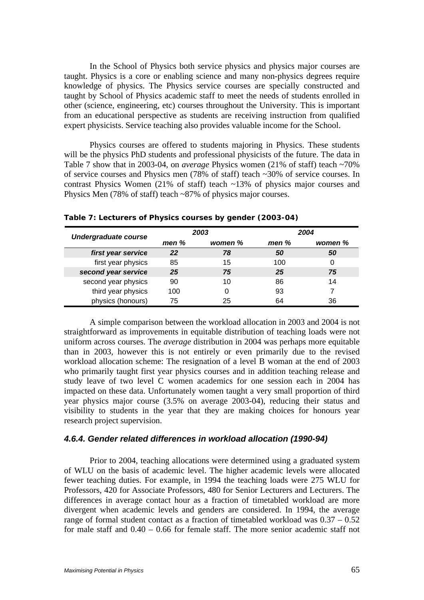In the School of Physics both service physics and physics major courses are taught. Physics is a core or enabling science and many non-physics degrees require knowledge of physics. The Physics service courses are specially constructed and taught by School of Physics academic staff to meet the needs of students enrolled in other (science, engineering, etc) courses throughout the University. This is important from an educational perspective as students are receiving instruction from qualified expert physicists. Service teaching also provides valuable income for the School.

Physics courses are offered to students majoring in Physics. These students will be the physics PhD students and professional physicists of the future. The data in Table 7 show that in 2003-04, on *average* Physics women (21% of staff) teach ~70% of service courses and Physics men (78% of staff) teach ~30% of service courses. In contrast Physics Women (21% of staff) teach ~13% of physics major courses and Physics Men (78% of staff) teach ~87% of physics major courses.

| <b>Undergraduate course</b> |      | 2003    | 2004  |         |  |
|-----------------------------|------|---------|-------|---------|--|
|                             | men% | women % | men % | women % |  |
| first year service          | 22   | 78      | 50    | 50      |  |
| first year physics          | 85   | 15      | 100   | 0       |  |
| second year service         | 25   | 75      | 25    | 75      |  |
| second year physics         | 90   | 10      | 86    | 14      |  |
| third year physics          | 100  |         | 93    |         |  |
| physics (honours)           | 75   | 25      | 64    | 36      |  |

**Table 7: Lecturers of Physics courses by gender (2003-04)** 

A simple comparison between the workload allocation in 2003 and 2004 is not straightforward as improvements in equitable distribution of teaching loads were not uniform across courses. The *average* distribution in 2004 was perhaps more equitable than in 2003, however this is not entirely or even primarily due to the revised workload allocation scheme: The resignation of a level B woman at the end of 2003 who primarily taught first year physics courses and in addition teaching release and study leave of two level C women academics for one session each in 2004 has impacted on these data. Unfortunately women taught a very small proportion of third year physics major course (3.5% on average 2003-04), reducing their status and visibility to students in the year that they are making choices for honours year research project supervision.

#### *4.6.4. Gender related differences in workload allocation (1990-94)*

Prior to 2004, teaching allocations were determined using a graduated system of WLU on the basis of academic level. The higher academic levels were allocated fewer teaching duties. For example, in 1994 the teaching loads were 275 WLU for Professors, 420 for Associate Professors, 480 for Senior Lecturers and Lecturers. The differences in average contact hour as a fraction of timetabled workload are more divergent when academic levels and genders are considered. In 1994, the average range of formal student contact as a fraction of timetabled workload was  $0.37 - 0.52$ for male staff and 0.40 – 0.66 for female staff. The more senior academic staff not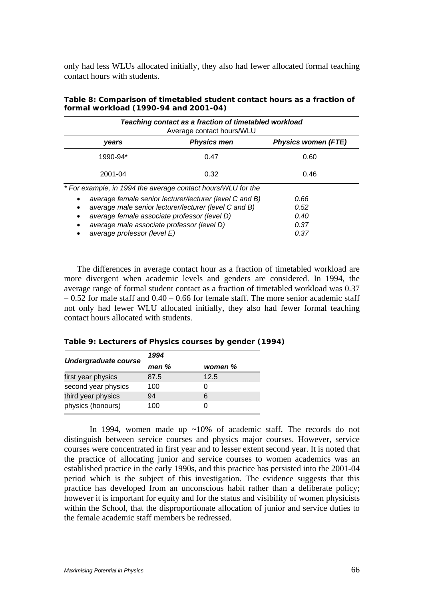only had less WLUs allocated initially, they also had fewer allocated formal teaching contact hours with students.

| Teaching contact as a fraction of timetabled workload<br>Average contact hours/WLU |                                                         |                            |  |  |  |  |
|------------------------------------------------------------------------------------|---------------------------------------------------------|----------------------------|--|--|--|--|
| years                                                                              | <b>Physics men</b>                                      | <b>Physics women (FTE)</b> |  |  |  |  |
| 1990-94*                                                                           | 0.47                                                    | 0.60                       |  |  |  |  |
| 2001-04                                                                            | 0.32                                                    | 0.46                       |  |  |  |  |
| * For example, in 1994 the average contact hours/WLU for the                       |                                                         |                            |  |  |  |  |
|                                                                                    | average female senior lecturer/lecturer (level C and B) | 0.66                       |  |  |  |  |
| average male senior lecturer/lecturer (level C and B)                              | 0.52                                                    |                            |  |  |  |  |
| average female associate professor (level D)                                       | 0.40                                                    |                            |  |  |  |  |
| average male associate professor (level D)                                         | 0.37                                                    |                            |  |  |  |  |
| average professor (level E)                                                        |                                                         | 0.37                       |  |  |  |  |

#### **Table 8: Comparison of timetabled student contact hours as a fraction of formal workload (1990-94 and 2001-04)**

The differences in average contact hour as a fraction of timetabled workload are more divergent when academic levels and genders are considered. In 1994, the average range of formal student contact as a fraction of timetabled workload was 0.37  $-0.52$  for male staff and  $0.40 - 0.66$  for female staff. The more senior academic staff not only had fewer WLU allocated initially, they also had fewer formal teaching contact hours allocated with students.

| Table 9: Lecturers of Physics courses by gender (1994) |  |  |  |  |
|--------------------------------------------------------|--|--|--|--|
|--------------------------------------------------------|--|--|--|--|

|                             | 1994  |         |
|-----------------------------|-------|---------|
| <b>Undergraduate course</b> | men % | women % |
| first year physics          | 87.5  | 12.5    |
| second year physics         | 100   |         |
| third year physics          | 94    | 6       |
| physics (honours)           | 100   |         |

In 1994, women made up  $\sim 10\%$  of academic staff. The records do not distinguish between service courses and physics major courses. However, service courses were concentrated in first year and to lesser extent second year. It is noted that the practice of allocating junior and service courses to women academics was an established practice in the early 1990s, and this practice has persisted into the 2001-04 period which is the subject of this investigation. The evidence suggests that this practice has developed from an unconscious habit rather than a deliberate policy; however it is important for equity and for the status and visibility of women physicists within the School, that the disproportionate allocation of junior and service duties to the female academic staff members be redressed.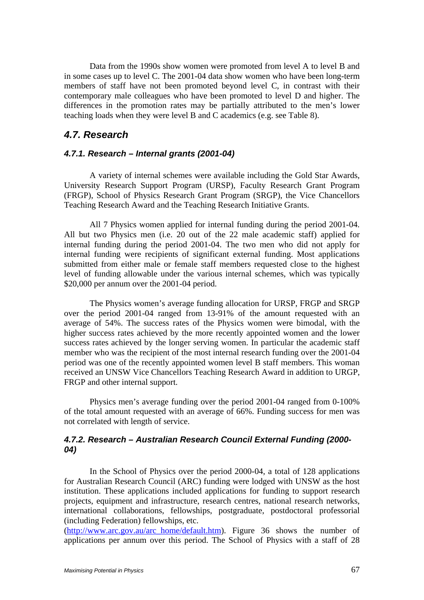Data from the 1990s show women were promoted from level A to level B and in some cases up to level C. The 2001-04 data show women who have been long-term members of staff have not been promoted beyond level C, in contrast with their contemporary male colleagues who have been promoted to level D and higher. The differences in the promotion rates may be partially attributed to the men's lower teaching loads when they were level B and C academics (e.g. see Table 8).

## *4.7. Research*

### *4.7.1. Research – Internal grants (2001-04)*

A variety of internal schemes were available including the Gold Star Awards, University Research Support Program (URSP), Faculty Research Grant Program (FRGP), School of Physics Research Grant Program (SRGP), the Vice Chancellors Teaching Research Award and the Teaching Research Initiative Grants.

All 7 Physics women applied for internal funding during the period 2001-04. All but two Physics men (i.e. 20 out of the 22 male academic staff) applied for internal funding during the period 2001-04. The two men who did not apply for internal funding were recipients of significant external funding. Most applications submitted from either male or female staff members requested close to the highest level of funding allowable under the various internal schemes, which was typically \$20,000 per annum over the 2001-04 period.

The Physics women's average funding allocation for URSP, FRGP and SRGP over the period 2001-04 ranged from 13-91% of the amount requested with an average of 54%. The success rates of the Physics women were bimodal, with the higher success rates achieved by the more recently appointed women and the lower success rates achieved by the longer serving women. In particular the academic staff member who was the recipient of the most internal research funding over the 2001-04 period was one of the recently appointed women level B staff members. This woman received an UNSW Vice Chancellors Teaching Research Award in addition to URGP, FRGP and other internal support.

Physics men's average funding over the period 2001-04 ranged from 0-100% of the total amount requested with an average of 66%. Funding success for men was not correlated with length of service.

### *4.7.2. Research – Australian Research Council External Funding (2000- 04)*

 In the School of Physics over the period 2000-04, a total of 128 applications for Australian Research Council (ARC) funding were lodged with UNSW as the host institution. These applications included applications for funding to support research projects, equipment and infrastructure, research centres, national research networks, international collaborations, fellowships, postgraduate, postdoctoral professorial (including Federation) fellowships, etc.

(http://www.arc.gov.au/arc\_home/default.htm). Figure 36 shows the number of applications per annum over this period. The School of Physics with a staff of 28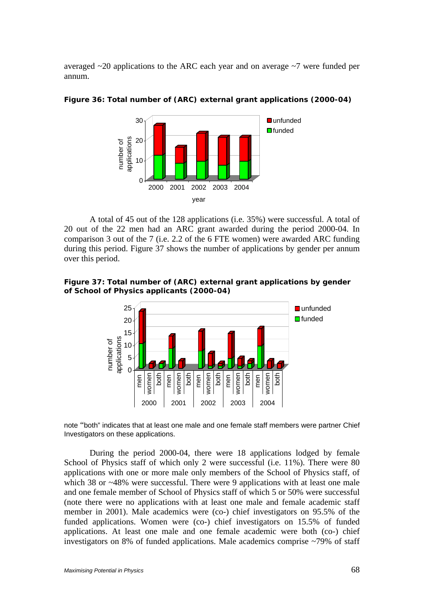averaged ~20 applications to the ARC each year and on average ~7 were funded per annum.



**Figure 36: Total number of (ARC) external grant applications (2000-04)** 

 A total of 45 out of the 128 applications (i.e. 35%) were successful. A total of 20 out of the 22 men had an ARC grant awarded during the period 2000-04. In comparison 3 out of the 7 (i.e. 2.2 of the 6 FTE women) were awarded ARC funding during this period. Figure 37 shows the number of applications by gender per annum over this period.

**Figure 37: Total number of (ARC) external grant applications by gender of School of Physics applicants (2000-04)** 



note "both" indicates that at least one male and one female staff members were partner Chief Investigators on these applications.

During the period 2000-04, there were 18 applications lodged by female School of Physics staff of which only 2 were successful (i.e. 11%). There were 80 applications with one or more male only members of the School of Physics staff, of which 38 or ~48% were successful. There were 9 applications with at least one male and one female member of School of Physics staff of which 5 or 50% were successful (note there were no applications with at least one male and female academic staff member in 2001). Male academics were (co-) chief investigators on 95.5% of the funded applications. Women were (co-) chief investigators on 15.5% of funded applications. At least one male and one female academic were both (co-) chief investigators on 8% of funded applications. Male academics comprise ~79% of staff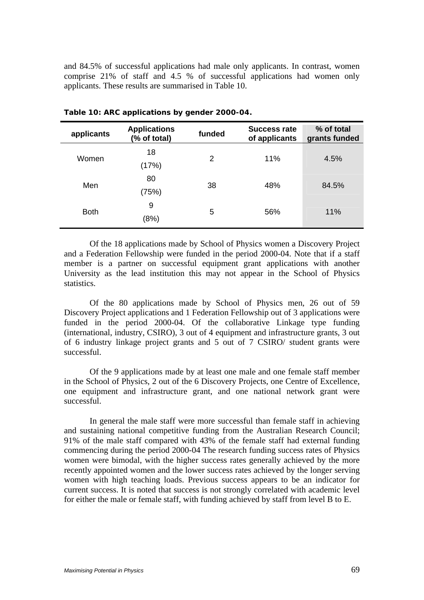and 84.5% of successful applications had male only applicants. In contrast, women comprise 21% of staff and 4.5 % of successful applications had women only applicants. These results are summarised in Table 10.

| applicants  | <b>Applications</b><br>(% of total) | funded | <b>Success rate</b><br>of applicants | % of total<br>grants funded |  |
|-------------|-------------------------------------|--------|--------------------------------------|-----------------------------|--|
| Women       | 18<br>(17%)                         | 2      | 11%                                  | 4.5%                        |  |
| Men         | 80                                  | 38     | 48%                                  | 84.5%                       |  |
| <b>Both</b> | (75%)<br>9                          | 5      | 56%                                  | 11%                         |  |
|             | (8%)                                |        |                                      |                             |  |

**Table 10: ARC applications by gender 2000-04.** 

 Of the 18 applications made by School of Physics women a Discovery Project and a Federation Fellowship were funded in the period 2000-04. Note that if a staff member is a partner on successful equipment grant applications with another University as the lead institution this may not appear in the School of Physics statistics.

 Of the 80 applications made by School of Physics men, 26 out of 59 Discovery Project applications and 1 Federation Fellowship out of 3 applications were funded in the period 2000-04. Of the collaborative Linkage type funding (international, industry, CSIRO), 3 out of 4 equipment and infrastructure grants, 3 out of 6 industry linkage project grants and 5 out of 7 CSIRO/ student grants were successful.

 Of the 9 applications made by at least one male and one female staff member in the School of Physics, 2 out of the 6 Discovery Projects, one Centre of Excellence, one equipment and infrastructure grant, and one national network grant were successful.

 In general the male staff were more successful than female staff in achieving and sustaining national competitive funding from the Australian Research Council; 91% of the male staff compared with 43% of the female staff had external funding commencing during the period 2000-04 The research funding success rates of Physics women were bimodal, with the higher success rates generally achieved by the more recently appointed women and the lower success rates achieved by the longer serving women with high teaching loads. Previous success appears to be an indicator for current success. It is noted that success is not strongly correlated with academic level for either the male or female staff, with funding achieved by staff from level B to E.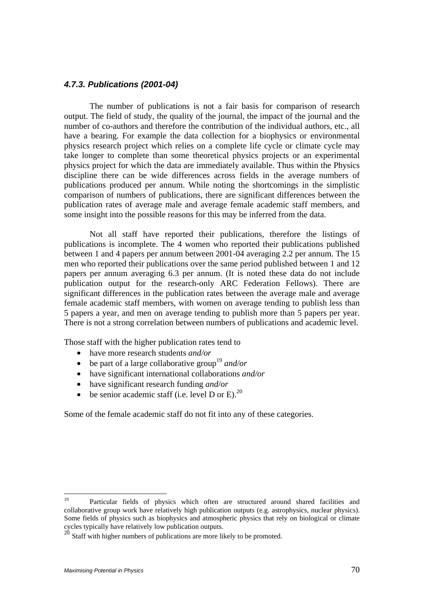#### *4.7.3. Publications (2001-04)*

 The number of publications is not a fair basis for comparison of research output. The field of study, the quality of the journal, the impact of the journal and the number of co-authors and therefore the contribution of the individual authors, etc., all have a bearing. For example the data collection for a biophysics or environmental physics research project which relies on a complete life cycle or climate cycle may take longer to complete than some theoretical physics projects or an experimental physics project for which the data are immediately available. Thus within the Physics discipline there can be wide differences across fields in the average numbers of publications produced per annum. While noting the shortcomings in the simplistic comparison of numbers of publications, there are significant differences between the publication rates of average male and average female academic staff members, and some insight into the possible reasons for this may be inferred from the data.

 Not all staff have reported their publications, therefore the listings of publications is incomplete. The 4 women who reported their publications published between 1 and 4 papers per annum between 2001-04 averaging 2.2 per annum. The 15 men who reported their publications over the same period published between 1 and 12 papers per annum averaging 6.3 per annum. (It is noted these data do not include publication output for the research-only ARC Federation Fellows). There are significant differences in the publication rates between the average male and average female academic staff members, with women on average tending to publish less than 5 papers a year, and men on average tending to publish more than 5 papers per year. There is not a strong correlation between numbers of publications and academic level.

Those staff with the higher publication rates tend to

- have more research students *and/or*
- be part of a large collaborative group<sup>19</sup> and/or
- have significant international collaborations *and/or*
- have significant research funding *and/or*
- be senior academic staff (i.e. level D or E). $^{20}$

Some of the female academic staff do not fit into any of these categories.

<sup>19</sup> 19 Particular fields of physics which often are structured around shared facilities and collaborative group work have relatively high publication outputs (e.g. astrophysics, nuclear physics). Some fields of physics such as biophysics and atmospheric physics that rely on biological or climate cycles typically have relatively low publication outputs.

 $20$  Staff with higher numbers of publications are more likely to be promoted.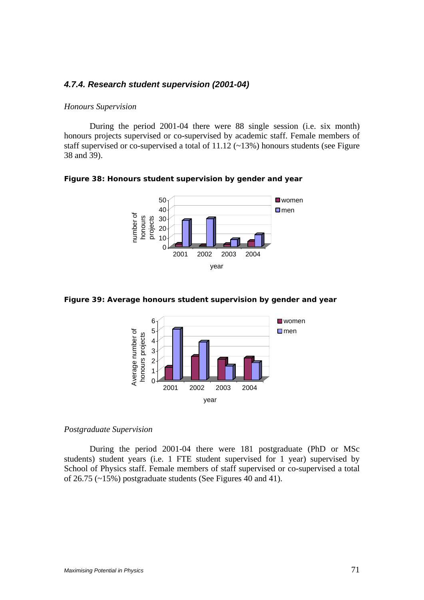## *4.7.4. Research student supervision (2001-04)*

#### *Honours Supervision*

 During the period 2001-04 there were 88 single session (i.e. six month) honours projects supervised or co-supervised by academic staff. Female members of staff supervised or co-supervised a total of 11.12 (~13%) honours students (see Figure 38 and 39).

**Figure 38: Honours student supervision by gender and year** 



**Figure 39: Average honours student supervision by gender and year** 



#### *Postgraduate Supervision*

 During the period 2001-04 there were 181 postgraduate (PhD or MSc students) student years (i.e. 1 FTE student supervised for 1 year) supervised by School of Physics staff. Female members of staff supervised or co-supervised a total of 26.75 (~15%) postgraduate students (See Figures 40 and 41).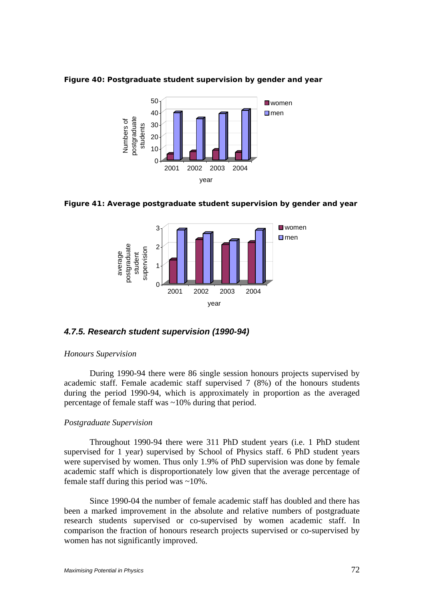

**Figure 40: Postgraduate student supervision by gender and year** 

**Figure 41: Average postgraduate student supervision by gender and year** 



### *4.7.5. Research student supervision (1990-94)*

#### *Honours Supervision*

 During 1990-94 there were 86 single session honours projects supervised by academic staff. Female academic staff supervised 7 (8%) of the honours students during the period 1990-94, which is approximately in proportion as the averaged percentage of female staff was ~10% during that period.

### *Postgraduate Supervision*

 Throughout 1990-94 there were 311 PhD student years (i.e. 1 PhD student supervised for 1 year) supervised by School of Physics staff. 6 PhD student years were supervised by women. Thus only 1.9% of PhD supervision was done by female academic staff which is disproportionately low given that the average percentage of female staff during this period was ~10%.

 Since 1990-04 the number of female academic staff has doubled and there has been a marked improvement in the absolute and relative numbers of postgraduate research students supervised or co-supervised by women academic staff. In comparison the fraction of honours research projects supervised or co-supervised by women has not significantly improved.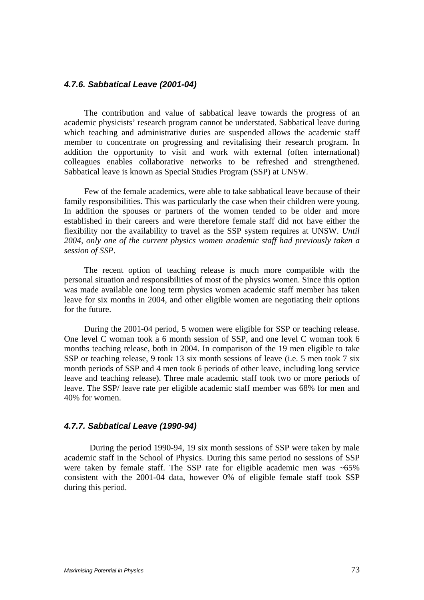## *4.7.6. Sabbatical Leave (2001-04)*

The contribution and value of sabbatical leave towards the progress of an academic physicists' research program cannot be understated. Sabbatical leave during which teaching and administrative duties are suspended allows the academic staff member to concentrate on progressing and revitalising their research program. In addition the opportunity to visit and work with external (often international) colleagues enables collaborative networks to be refreshed and strengthened. Sabbatical leave is known as Special Studies Program (SSP) at UNSW.

Few of the female academics, were able to take sabbatical leave because of their family responsibilities. This was particularly the case when their children were young. In addition the spouses or partners of the women tended to be older and more established in their careers and were therefore female staff did not have either the flexibility nor the availability to travel as the SSP system requires at UNSW. *Until 2004, only one of the current physics women academic staff had previously taken a session of SSP*.

The recent option of teaching release is much more compatible with the personal situation and responsibilities of most of the physics women. Since this option was made available one long term physics women academic staff member has taken leave for six months in 2004, and other eligible women are negotiating their options for the future.

During the 2001-04 period, 5 women were eligible for SSP or teaching release. One level C woman took a 6 month session of SSP, and one level C woman took 6 months teaching release, both in 2004. In comparison of the 19 men eligible to take SSP or teaching release, 9 took 13 six month sessions of leave (i.e. 5 men took 7 six month periods of SSP and 4 men took 6 periods of other leave, including long service leave and teaching release). Three male academic staff took two or more periods of leave. The SSP/ leave rate per eligible academic staff member was 68% for men and 40% for women.

#### *4.7.7. Sabbatical Leave (1990-94)*

 During the period 1990-94, 19 six month sessions of SSP were taken by male academic staff in the School of Physics. During this same period no sessions of SSP were taken by female staff. The SSP rate for eligible academic men was ~65% consistent with the 2001-04 data, however 0% of eligible female staff took SSP during this period.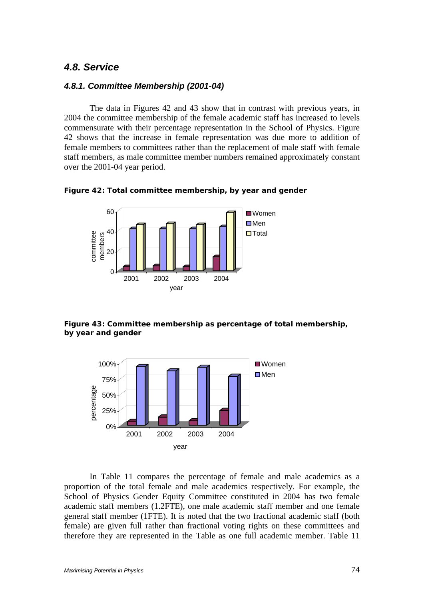## *4.8. Service*

#### *4.8.1. Committee Membership (2001-04)*

The data in Figures 42 and 43 show that in contrast with previous years, in 2004 the committee membership of the female academic staff has increased to levels commensurate with their percentage representation in the School of Physics. Figure 42 shows that the increase in female representation was due more to addition of female members to committees rather than the replacement of male staff with female staff members, as male committee member numbers remained approximately constant over the 2001-04 year period.





**Figure 43: Committee membership as percentage of total membership, by year and gender** 



In Table 11 compares the percentage of female and male academics as a proportion of the total female and male academics respectively. For example, the School of Physics Gender Equity Committee constituted in 2004 has two female academic staff members (1.2FTE), one male academic staff member and one female general staff member (1FTE). It is noted that the two fractional academic staff (both female) are given full rather than fractional voting rights on these committees and therefore they are represented in the Table as one full academic member. Table 11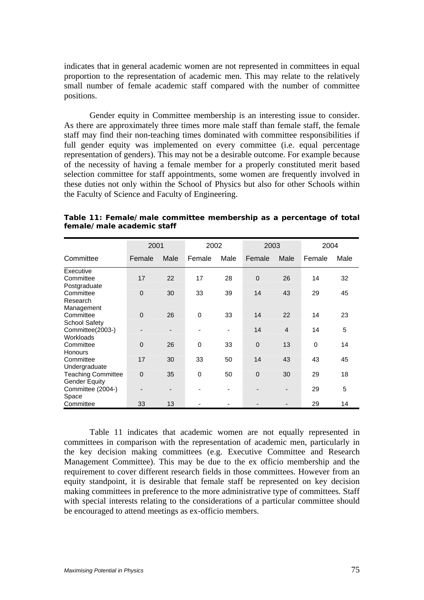indicates that in general academic women are not represented in committees in equal proportion to the representation of academic men. This may relate to the relatively small number of female academic staff compared with the number of committee positions.

Gender equity in Committee membership is an interesting issue to consider. As there are approximately three times more male staff than female staff, the female staff may find their non-teaching times dominated with committee responsibilities if full gender equity was implemented on every committee (i.e. equal percentage representation of genders). This may not be a desirable outcome. For example because of the necessity of having a female member for a properly constituted merit based selection committee for staff appointments, some women are frequently involved in these duties not only within the School of Physics but also for other Schools within the Faculty of Science and Faculty of Engineering.

|                           | 2001        |                              | 2002   |      | 2003        |                | 2004     |      |
|---------------------------|-------------|------------------------------|--------|------|-------------|----------------|----------|------|
| Committee                 | Female      | Male                         | Female | Male | Female      | Male           | Female   | Male |
| Executive                 |             |                              |        |      |             |                |          |      |
| Committee                 | 17          | 22                           | 17     | 28   | $\Omega$    | 26             | 14       | 32   |
| Postgraduate              |             |                              |        |      |             |                |          |      |
| Committee                 | $\mathbf 0$ | 30                           | 33     | 39   | 14          | 43             | 29       | 45   |
| Research                  |             |                              |        |      |             |                |          |      |
| Management                |             |                              |        |      |             |                |          |      |
| Committee                 | $\mathbf 0$ | 26                           | 0      | 33   | 14          | 22             | 14       | 23   |
| <b>School Safety</b>      |             |                              |        |      |             |                |          |      |
| Committee(2003-)          |             | $\qquad \qquad \blacksquare$ |        |      | 14          | $\overline{4}$ | 14       | 5    |
| Workloads                 |             |                              |        |      |             |                |          |      |
| Committee                 | $\Omega$    | 26                           | 0      | 33   | $\mathbf 0$ | 13             | $\Omega$ | 14   |
| <b>Honours</b>            |             |                              |        |      |             |                |          |      |
| Committee                 | 17          | 30                           | 33     | 50   | 14          | 43             | 43       | 45   |
| Undergraduate             |             |                              |        |      |             |                |          |      |
| <b>Teaching Committee</b> | $\mathbf 0$ | 35                           | 0      | 50   | $\mathbf 0$ | 30             | 29       | 18   |
| <b>Gender Equity</b>      |             |                              |        |      |             |                |          |      |
| Committee (2004-)         |             | $\overline{\phantom{0}}$     |        |      |             |                | 29       | 5    |
| Space                     |             |                              |        |      |             |                |          |      |
| Committee                 | 33          | 13                           |        |      |             |                | 29       | 14   |

**Table 11: Female/male committee membership as a percentage of total female/male academic staff** 

Table 11 indicates that academic women are not equally represented in committees in comparison with the representation of academic men, particularly in the key decision making committees (e.g. Executive Committee and Research Management Committee). This may be due to the ex officio membership and the requirement to cover different research fields in those committees. However from an equity standpoint, it is desirable that female staff be represented on key decision making committees in preference to the more administrative type of committees. Staff with special interests relating to the considerations of a particular committee should be encouraged to attend meetings as ex-officio members.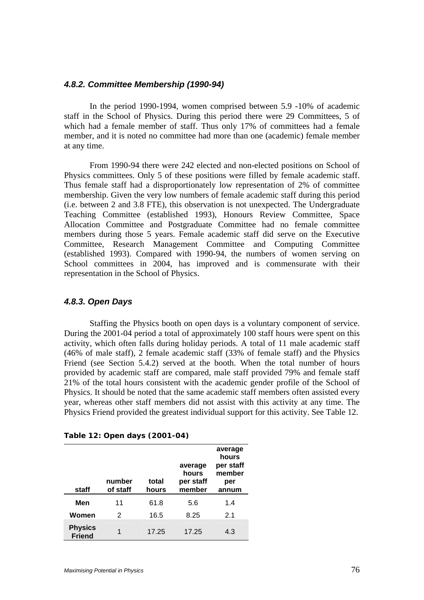#### *4.8.2. Committee Membership (1990-94)*

 In the period 1990-1994, women comprised between 5.9 -10% of academic staff in the School of Physics. During this period there were 29 Committees, 5 of which had a female member of staff. Thus only 17% of committees had a female member, and it is noted no committee had more than one (academic) female member at any time.

 From 1990-94 there were 242 elected and non-elected positions on School of Physics committees. Only 5 of these positions were filled by female academic staff. Thus female staff had a disproportionately low representation of 2% of committee membership. Given the very low numbers of female academic staff during this period (i.e. between 2 and 3.8 FTE), this observation is not unexpected. The Undergraduate Teaching Committee (established 1993), Honours Review Committee, Space Allocation Committee and Postgraduate Committee had no female committee members during those 5 years. Female academic staff did serve on the Executive Committee, Research Management Committee and Computing Committee (established 1993). Compared with 1990-94, the numbers of women serving on School committees in 2004, has improved and is commensurate with their representation in the School of Physics.

#### *4.8.3. Open Days*

 Staffing the Physics booth on open days is a voluntary component of service. During the 2001-04 period a total of approximately 100 staff hours were spent on this activity, which often falls during holiday periods. A total of 11 male academic staff (46% of male staff), 2 female academic staff (33% of female staff) and the Physics Friend (see Section 5.4.2) served at the booth. When the total number of hours provided by academic staff are compared, male staff provided 79% and female staff 21% of the total hours consistent with the academic gender profile of the School of Physics. It should be noted that the same academic staff members often assisted every year, whereas other staff members did not assist with this activity at any time. The Physics Friend provided the greatest individual support for this activity. See Table 12.

| staff                           | number<br>of staff | total<br>hours | average<br>hours<br>per staff<br>member | average<br>hours<br>per staff<br>member<br>per<br>annum |
|---------------------------------|--------------------|----------------|-----------------------------------------|---------------------------------------------------------|
| Men                             | 11                 | 61.8           | 5.6                                     | 1.4                                                     |
| Women                           | 2                  | 16.5           | 8.25                                    | 2.1                                                     |
| <b>Physics</b><br><b>Friend</b> | 1                  | 17.25          | 17.25                                   | 4.3                                                     |

**Table 12: Open days (2001-04)**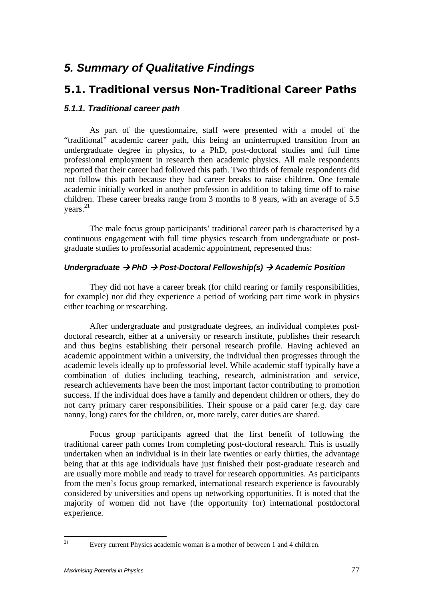# *5. Summary of Qualitative Findings*

# *5.1. Traditional versus Non-Traditional Career Paths*

## *5.1.1. Traditional career path*

As part of the questionnaire, staff were presented with a model of the "traditional" academic career path, this being an uninterrupted transition from an undergraduate degree in physics, to a PhD, post-doctoral studies and full time professional employment in research then academic physics. All male respondents reported that their career had followed this path. Two thirds of female respondents did not follow this path because they had career breaks to raise children. One female academic initially worked in another profession in addition to taking time off to raise children. These career breaks range from 3 months to 8 years, with an average of 5.5 years. 21

The male focus group participants' traditional career path is characterised by a continuous engagement with full time physics research from undergraduate or postgraduate studies to professorial academic appointment, represented thus:

#### *Undergraduate → PhD → Post-Doctoral Fellowship(s) → Academic Position*

They did not have a career break (for child rearing or family responsibilities, for example) nor did they experience a period of working part time work in physics either teaching or researching.

After undergraduate and postgraduate degrees, an individual completes postdoctoral research, either at a university or research institute, publishes their research and thus begins establishing their personal research profile. Having achieved an academic appointment within a university, the individual then progresses through the academic levels ideally up to professorial level. While academic staff typically have a combination of duties including teaching, research, administration and service, research achievements have been the most important factor contributing to promotion success. If the individual does have a family and dependent children or others, they do not carry primary carer responsibilities. Their spouse or a paid carer (e.g. day care nanny, long) cares for the children, or, more rarely, carer duties are shared.

Focus group participants agreed that the first benefit of following the traditional career path comes from completing post-doctoral research. This is usually undertaken when an individual is in their late twenties or early thirties, the advantage being that at this age individuals have just finished their post-graduate research and are usually more mobile and ready to travel for research opportunities. As participants from the men's focus group remarked, international research experience is favourably considered by universities and opens up networking opportunities. It is noted that the majority of women did not have (the opportunity for) international postdoctoral experience.

 $21$ 

Every current Physics academic woman is a mother of between 1 and 4 children.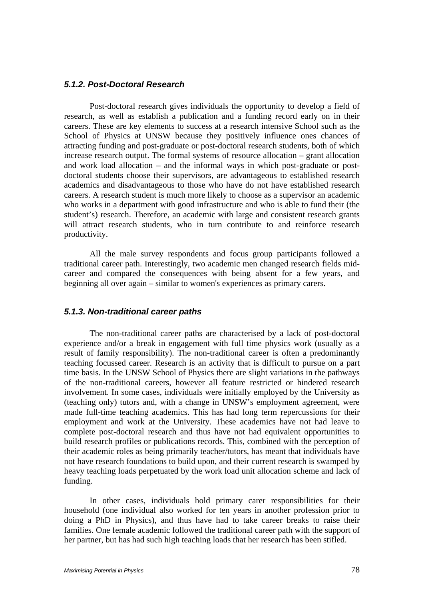#### *5.1.2. Post-Doctoral Research*

Post-doctoral research gives individuals the opportunity to develop a field of research, as well as establish a publication and a funding record early on in their careers. These are key elements to success at a research intensive School such as the School of Physics at UNSW because they positively influence ones chances of attracting funding and post-graduate or post-doctoral research students, both of which increase research output. The formal systems of resource allocation – grant allocation and work load allocation – and the informal ways in which post-graduate or postdoctoral students choose their supervisors, are advantageous to established research academics and disadvantageous to those who have do not have established research careers. A research student is much more likely to choose as a supervisor an academic who works in a department with good infrastructure and who is able to fund their (the student's) research. Therefore, an academic with large and consistent research grants will attract research students, who in turn contribute to and reinforce research productivity.

All the male survey respondents and focus group participants followed a traditional career path. Interestingly, two academic men changed research fields midcareer and compared the consequences with being absent for a few years, and beginning all over again – similar to women's experiences as primary carers.

#### *5.1.3. Non-traditional career paths*

The non-traditional career paths are characterised by a lack of post-doctoral experience and/or a break in engagement with full time physics work (usually as a result of family responsibility). The non-traditional career is often a predominantly teaching focussed career. Research is an activity that is difficult to pursue on a part time basis. In the UNSW School of Physics there are slight variations in the pathways of the non-traditional careers, however all feature restricted or hindered research involvement. In some cases, individuals were initially employed by the University as (teaching only) tutors and, with a change in UNSW's employment agreement, were made full-time teaching academics. This has had long term repercussions for their employment and work at the University. These academics have not had leave to complete post-doctoral research and thus have not had equivalent opportunities to build research profiles or publications records. This, combined with the perception of their academic roles as being primarily teacher/tutors, has meant that individuals have not have research foundations to build upon, and their current research is swamped by heavy teaching loads perpetuated by the work load unit allocation scheme and lack of funding.

In other cases, individuals hold primary carer responsibilities for their household (one individual also worked for ten years in another profession prior to doing a PhD in Physics), and thus have had to take career breaks to raise their families. One female academic followed the traditional career path with the support of her partner, but has had such high teaching loads that her research has been stifled.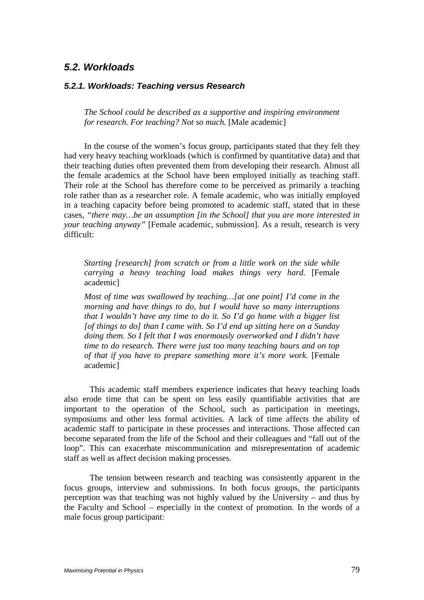# *5.2. Workloads*

#### *5.2.1. Workloads: Teaching versus Research*

*The School could be described as a supportive and inspiring environment for research. For teaching? Not so much.* [Male academic]

In the course of the women's focus group, participants stated that they felt they had very heavy teaching workloads (which is confirmed by quantitative data) and that their teaching duties often prevented them from developing their research. Almost all the female academics at the School have been employed initially as teaching staff. Their role at the School has therefore come to be perceived as primarily a teaching role rather than as a researcher role. A female academic, who was initially employed in a teaching capacity before being promoted to academic staff, stated that in these cases, *"there may…be an assumption [in the School] that you are more interested in your teaching anyway"* [Female academic, submission]. As a result, research is very difficult:

*Starting [research] from scratch or from a little work on the side while carrying a heavy teaching load makes things very hard.* [Female academic]

*Most of time was swallowed by teaching…[at one point] I'd come in the morning and have things to do, but I would have so many interruptions that I wouldn't have any time to do it. So I'd go home with a bigger list [of things to do] than I came with. So I'd end up sitting here on a Sunday doing them. So I felt that I was enormously overworked and I didn't have time to do research. There were just too many teaching hours and on top of that if you have to prepare something more it's more work.* [Female academic]

 This academic staff members experience indicates that heavy teaching loads also erode time that can be spent on less easily quantifiable activities that are important to the operation of the School, such as participation in meetings, symposiums and other less formal activities. A lack of time affects the ability of academic staff to participate in these processes and interactions. Those affected can become separated from the life of the School and their colleagues and "fall out of the loop". This can exacerbate miscommunication and misrepresentation of academic staff as well as affect decision making processes.

The tension between research and teaching was consistently apparent in the focus groups, interview and submissions. In both focus groups, the participants perception was that teaching was not highly valued by the University – and thus by the Faculty and School – especially in the context of promotion. In the words of a male focus group participant: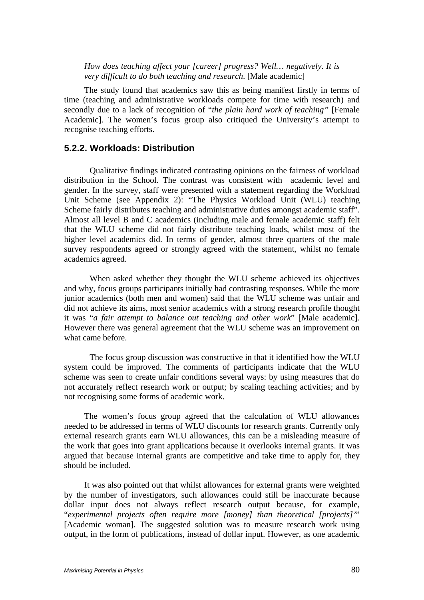*How does teaching affect your [career] progress? Well… negatively. It is very difficult to do both teaching and research*. [Male academic]

The study found that academics saw this as being manifest firstly in terms of time (teaching and administrative workloads compete for time with research) and secondly due to a lack of recognition of "*the plain hard work of teaching"* [Female Academic]. The women's focus group also critiqued the University's attempt to recognise teaching efforts.

#### **5.2.2. Workloads: Distribution**

Qualitative findings indicated contrasting opinions on the fairness of workload distribution in the School. The contrast was consistent with academic level and gender. In the survey, staff were presented with a statement regarding the Workload Unit Scheme (see Appendix 2): "The Physics Workload Unit (WLU) teaching Scheme fairly distributes teaching and administrative duties amongst academic staff". Almost all level B and C academics (including male and female academic staff) felt that the WLU scheme did not fairly distribute teaching loads, whilst most of the higher level academics did. In terms of gender, almost three quarters of the male survey respondents agreed or strongly agreed with the statement, whilst no female academics agreed.

When asked whether they thought the WLU scheme achieved its objectives and why, focus groups participants initially had contrasting responses. While the more junior academics (both men and women) said that the WLU scheme was unfair and did not achieve its aims, most senior academics with a strong research profile thought it was "*a fair attempt to balance out teaching and other work*" [Male academic]. However there was general agreement that the WLU scheme was an improvement on what came before.

The focus group discussion was constructive in that it identified how the WLU system could be improved. The comments of participants indicate that the WLU scheme was seen to create unfair conditions several ways: by using measures that do not accurately reflect research work or output; by scaling teaching activities; and by not recognising some forms of academic work.

The women's focus group agreed that the calculation of WLU allowances needed to be addressed in terms of WLU discounts for research grants. Currently only external research grants earn WLU allowances, this can be a misleading measure of the work that goes into grant applications because it overlooks internal grants. It was argued that because internal grants are competitive and take time to apply for, they should be included.

It was also pointed out that whilst allowances for external grants were weighted by the number of investigators, such allowances could still be inaccurate because dollar input does not always reflect research output because, for example, "*experimental projects often require more [money] than theoretical [projects]'*" [Academic woman]. The suggested solution was to measure research work using output, in the form of publications, instead of dollar input. However, as one academic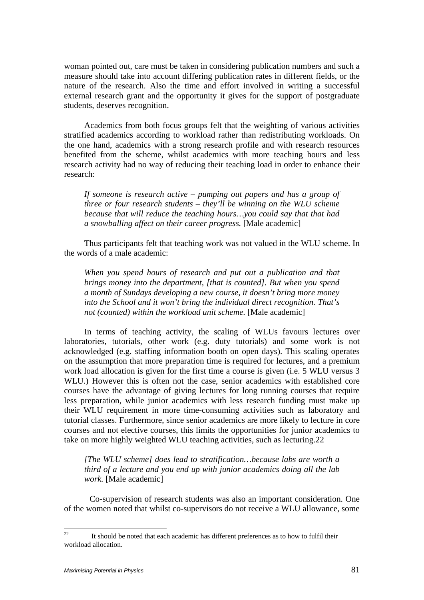woman pointed out, care must be taken in considering publication numbers and such a measure should take into account differing publication rates in different fields, or the nature of the research. Also the time and effort involved in writing a successful external research grant and the opportunity it gives for the support of postgraduate students, deserves recognition.

Academics from both focus groups felt that the weighting of various activities stratified academics according to workload rather than redistributing workloads. On the one hand, academics with a strong research profile and with research resources benefited from the scheme, whilst academics with more teaching hours and less research activity had no way of reducing their teaching load in order to enhance their research:

*If someone is research active – pumping out papers and has a group of three or four research students – they'll be winning on the WLU scheme because that will reduce the teaching hours…you could say that that had a snowballing affect on their career progress.* [Male academic]

Thus participants felt that teaching work was not valued in the WLU scheme. In the words of a male academic:

*When you spend hours of research and put out a publication and that brings money into the department, [that is counted]. But when you spend a month of Sundays developing a new course, it doesn't bring more money into the School and it won't bring the individual direct recognition. That's not (counted) within the workload unit scheme.* [Male academic]

In terms of teaching activity, the scaling of WLUs favours lectures over laboratories, tutorials, other work (e.g. duty tutorials) and some work is not acknowledged (e.g. staffing information booth on open days). This scaling operates on the assumption that more preparation time is required for lectures, and a premium work load allocation is given for the first time a course is given (i.e. 5 WLU versus 3 WLU.) However this is often not the case, senior academics with established core courses have the advantage of giving lectures for long running courses that require less preparation, while junior academics with less research funding must make up their WLU requirement in more time-consuming activities such as laboratory and tutorial classes. Furthermore, since senior academics are more likely to lecture in core courses and not elective courses, this limits the opportunities for junior academics to take on more highly weighted WLU teaching activities, such as lecturing.22

*[The WLU scheme] does lead to stratification…because labs are worth a third of a lecture and you end up with junior academics doing all the lab work.* [Male academic]

Co-supervision of research students was also an important consideration. One of the women noted that whilst co-supervisors do not receive a WLU allowance, some

 $22$ 22 It should be noted that each academic has different preferences as to how to fulfil their workload allocation.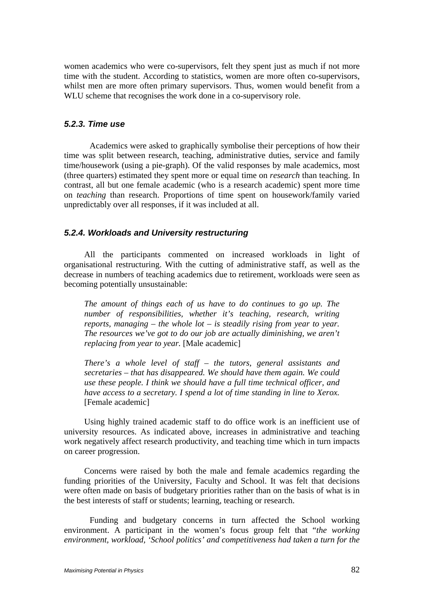women academics who were co-supervisors, felt they spent just as much if not more time with the student. According to statistics, women are more often co-supervisors, whilst men are more often primary supervisors. Thus, women would benefit from a WLU scheme that recognises the work done in a co-supervisory role.

## *5.2.3. Time use*

Academics were asked to graphically symbolise their perceptions of how their time was split between research, teaching, administrative duties, service and family time/housework (using a pie-graph). Of the valid responses by male academics, most (three quarters) estimated they spent more or equal time on *research* than teaching. In contrast, all but one female academic (who is a research academic) spent more time on *teaching* than research. Proportions of time spent on housework/family varied unpredictably over all responses, if it was included at all.

## *5.2.4. Workloads and University restructuring*

All the participants commented on increased workloads in light of organisational restructuring. With the cutting of administrative staff, as well as the decrease in numbers of teaching academics due to retirement, workloads were seen as becoming potentially unsustainable:

*The amount of things each of us have to do continues to go up. The number of responsibilities, whether it's teaching, research, writing reports, managing – the whole lot – is steadily rising from year to year. The resources we've got to do our job are actually diminishing, we aren't replacing from year to year.* [Male academic]

*There's a whole level of staff – the tutors, general assistants and secretaries – that has disappeared. We should have them again. We could use these people. I think we should have a full time technical officer, and have access to a secretary. I spend a lot of time standing in line to Xerox.*  [Female academic]

Using highly trained academic staff to do office work is an inefficient use of university resources. As indicated above, increases in administrative and teaching work negatively affect research productivity, and teaching time which in turn impacts on career progression.

Concerns were raised by both the male and female academics regarding the funding priorities of the University, Faculty and School. It was felt that decisions were often made on basis of budgetary priorities rather than on the basis of what is in the best interests of staff or students; learning, teaching or research.

Funding and budgetary concerns in turn affected the School working environment. A participant in the women's focus group felt that "*the working environment, workload, 'School politics' and competitiveness had taken a turn for the*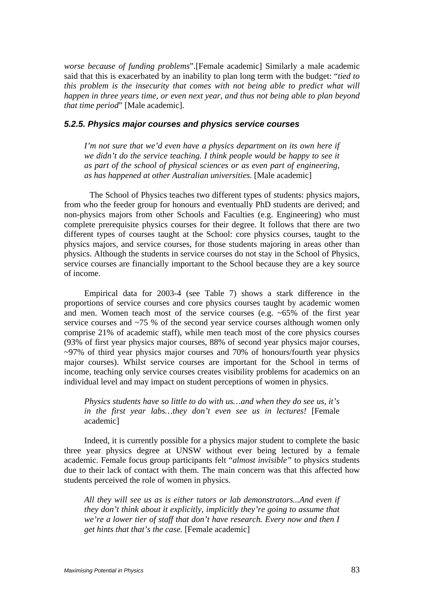*worse because of funding problems*".[Female academic] Similarly a male academic said that this is exacerbated by an inability to plan long term with the budget: "*tied to this problem is the insecurity that comes with not being able to predict what will happen in three years time, or even next year, and thus not being able to plan beyond that time period*" [Male academic].

#### *5.2.5. Physics major courses and physics service courses*

*I'm not sure that we'd even have a physics department on its own here if we didn't do the service teaching. I think people would be happy to see it as part of the school of physical sciences or as even part of engineering, as has happened at other Australian universities.* [Male academic]

The School of Physics teaches two different types of students: physics majors, from who the feeder group for honours and eventually PhD students are derived; and non-physics majors from other Schools and Faculties (e.g. Engineering) who must complete prerequisite physics courses for their degree. It follows that there are two different types of courses taught at the School: core physics courses, taught to the physics majors, and service courses, for those students majoring in areas other than physics. Although the students in service courses do not stay in the School of Physics, service courses are financially important to the School because they are a key source of income.

Empirical data for 2003-4 (see Table 7) shows a stark difference in the proportions of service courses and core physics courses taught by academic women and men. Women teach most of the service courses (e.g. ~65% of the first year service courses and ~75 % of the second year service courses although women only comprise 21% of academic staff), while men teach most of the core physics courses (93% of first year physics major courses, 88% of second year physics major courses,  $\sim$ 97% of third year physics major courses and 70% of honours/fourth year physics major courses). Whilst service courses are important for the School in terms of income, teaching only service courses creates visibility problems for academics on an individual level and may impact on student perceptions of women in physics.

## *Physics students have so little to do with us…and when they do see us, it's in the first year labs…they don't even see us in lectures!* [Female academic]

Indeed, it is currently possible for a physics major student to complete the basic three year physics degree at UNSW without ever being lectured by a female academic. Female focus group participants felt "*almost invisible"* to physics students due to their lack of contact with them. The main concern was that this affected how students perceived the role of women in physics.

*All they will see us as is either tutors or lab demonstrators...And even if they don't think about it explicitly, implicitly they're going to assume that we're a lower tier of staff that don't have research. Every now and then I get hints that that's the case.* [Female academic]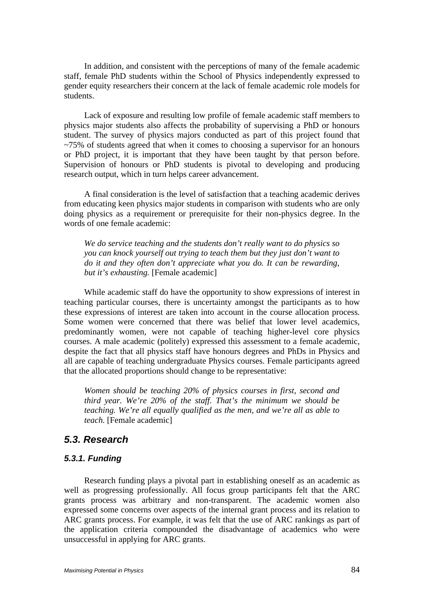In addition, and consistent with the perceptions of many of the female academic staff, female PhD students within the School of Physics independently expressed to gender equity researchers their concern at the lack of female academic role models for students.

Lack of exposure and resulting low profile of female academic staff members to physics major students also affects the probability of supervising a PhD or honours student. The survey of physics majors conducted as part of this project found that  $\approx$ 75% of students agreed that when it comes to choosing a supervisor for an honours or PhD project, it is important that they have been taught by that person before. Supervision of honours or PhD students is pivotal to developing and producing research output, which in turn helps career advancement.

A final consideration is the level of satisfaction that a teaching academic derives from educating keen physics major students in comparison with students who are only doing physics as a requirement or prerequisite for their non-physics degree. In the words of one female academic:

*We do service teaching and the students don't really want to do physics so you can knock yourself out trying to teach them but they just don't want to do it and they often don't appreciate what you do. It can be rewarding, but it's exhausting.* [Female academic]

While academic staff do have the opportunity to show expressions of interest in teaching particular courses, there is uncertainty amongst the participants as to how these expressions of interest are taken into account in the course allocation process. Some women were concerned that there was belief that lower level academics, predominantly women, were not capable of teaching higher-level core physics courses. A male academic (politely) expressed this assessment to a female academic, despite the fact that all physics staff have honours degrees and PhDs in Physics and all are capable of teaching undergraduate Physics courses. Female participants agreed that the allocated proportions should change to be representative:

*Women should be teaching 20% of physics courses in first, second and third year. We're 20% of the staff. That's the minimum we should be teaching. We're all equally qualified as the men, and we're all as able to teach.* [Female academic]

## *5.3. Research*

#### *5.3.1. Funding*

Research funding plays a pivotal part in establishing oneself as an academic as well as progressing professionally. All focus group participants felt that the ARC grants process was arbitrary and non-transparent. The academic women also expressed some concerns over aspects of the internal grant process and its relation to ARC grants process. For example, it was felt that the use of ARC rankings as part of the application criteria compounded the disadvantage of academics who were unsuccessful in applying for ARC grants.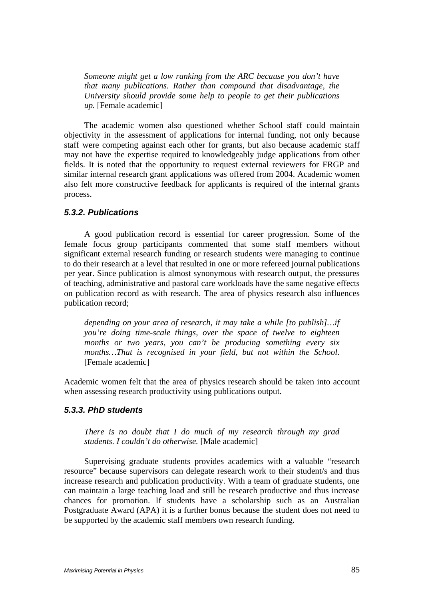*Someone might get a low ranking from the ARC because you don't have that many publications. Rather than compound that disadvantage, the University should provide some help to people to get their publications up.* [Female academic]

The academic women also questioned whether School staff could maintain objectivity in the assessment of applications for internal funding, not only because staff were competing against each other for grants, but also because academic staff may not have the expertise required to knowledgeably judge applications from other fields. It is noted that the opportunity to request external reviewers for FRGP and similar internal research grant applications was offered from 2004. Academic women also felt more constructive feedback for applicants is required of the internal grants process.

#### *5.3.2. Publications*

A good publication record is essential for career progression. Some of the female focus group participants commented that some staff members without significant external research funding or research students were managing to continue to do their research at a level that resulted in one or more refereed journal publications per year. Since publication is almost synonymous with research output, the pressures of teaching, administrative and pastoral care workloads have the same negative effects on publication record as with research. The area of physics research also influences publication record;

*depending on your area of research, it may take a while [to publish]…if you're doing time-scale things, over the space of twelve to eighteen months or two years, you can't be producing something every six months…That is recognised in your field, but not within the School*. [Female academic]

Academic women felt that the area of physics research should be taken into account when assessing research productivity using publications output.

## *5.3.3. PhD students*

*There is no doubt that I do much of my research through my grad students. I couldn't do otherwise.* [Male academic]

Supervising graduate students provides academics with a valuable "research resource" because supervisors can delegate research work to their student/s and thus increase research and publication productivity. With a team of graduate students, one can maintain a large teaching load and still be research productive and thus increase chances for promotion. If students have a scholarship such as an Australian Postgraduate Award (APA) it is a further bonus because the student does not need to be supported by the academic staff members own research funding.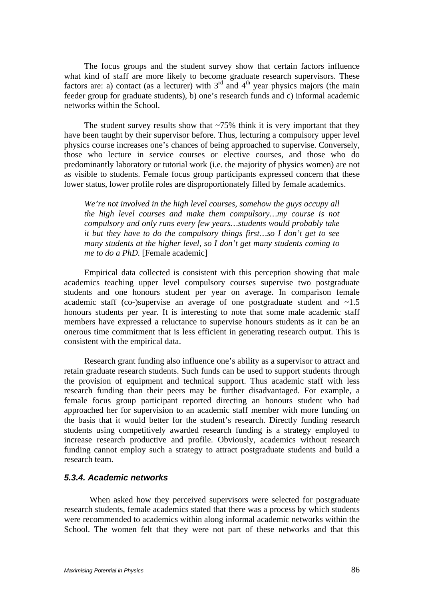The focus groups and the student survey show that certain factors influence what kind of staff are more likely to become graduate research supervisors. These factors are: a) contact (as a lecturer) with  $3<sup>rd</sup>$  and  $4<sup>th</sup>$  year physics majors (the main feeder group for graduate students), b) one's research funds and c) informal academic networks within the School.

The student survey results show that  $\sim$ 75% think it is very important that they have been taught by their supervisor before. Thus, lecturing a compulsory upper level physics course increases one's chances of being approached to supervise. Conversely, those who lecture in service courses or elective courses, and those who do predominantly laboratory or tutorial work (i.e. the majority of physics women) are not as visible to students. Female focus group participants expressed concern that these lower status, lower profile roles are disproportionately filled by female academics.

*We're not involved in the high level courses, somehow the guys occupy all the high level courses and make them compulsory…my course is not compulsory and only runs every few years…students would probably take it but they have to do the compulsory things first…so I don't get to see many students at the higher level, so I don't get many students coming to me to do a PhD.* [Female academic]

Empirical data collected is consistent with this perception showing that male academics teaching upper level compulsory courses supervise two postgraduate students and one honours student per year on average. In comparison female academic staff (co-)supervise an average of one postgraduate student and  $\sim$ 1.5 honours students per year. It is interesting to note that some male academic staff members have expressed a reluctance to supervise honours students as it can be an onerous time commitment that is less efficient in generating research output. This is consistent with the empirical data.

Research grant funding also influence one's ability as a supervisor to attract and retain graduate research students. Such funds can be used to support students through the provision of equipment and technical support. Thus academic staff with less research funding than their peers may be further disadvantaged. For example, a female focus group participant reported directing an honours student who had approached her for supervision to an academic staff member with more funding on the basis that it would better for the student's research. Directly funding research students using competitively awarded research funding is a strategy employed to increase research productive and profile. Obviously, academics without research funding cannot employ such a strategy to attract postgraduate students and build a research team.

#### *5.3.4. Academic networks*

When asked how they perceived supervisors were selected for postgraduate research students, female academics stated that there was a process by which students were recommended to academics within along informal academic networks within the School. The women felt that they were not part of these networks and that this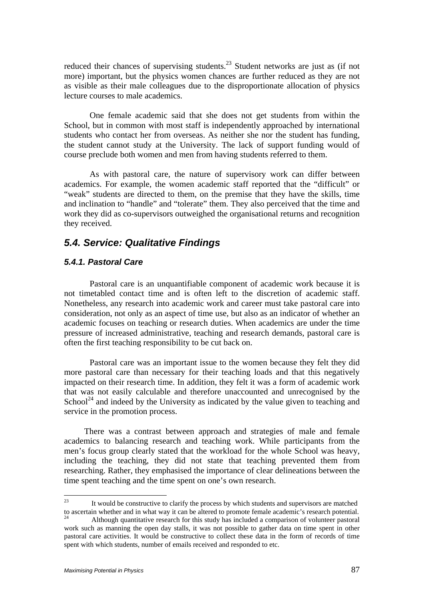reduced their chances of supervising students.<sup>23</sup> Student networks are just as (if not more) important, but the physics women chances are further reduced as they are not as visible as their male colleagues due to the disproportionate allocation of physics lecture courses to male academics.

One female academic said that she does not get students from within the School, but in common with most staff is independently approached by international students who contact her from overseas. As neither she nor the student has funding, the student cannot study at the University. The lack of support funding would of course preclude both women and men from having students referred to them.

As with pastoral care, the nature of supervisory work can differ between academics. For example, the women academic staff reported that the "difficult" or "weak" students are directed to them, on the premise that they have the skills, time and inclination to "handle" and "tolerate" them. They also perceived that the time and work they did as co-supervisors outweighed the organisational returns and recognition they received.

## *5.4. Service: Qualitative Findings*

## *5.4.1. Pastoral Care*

Pastoral care is an unquantifiable component of academic work because it is not timetabled contact time and is often left to the discretion of academic staff. Nonetheless, any research into academic work and career must take pastoral care into consideration, not only as an aspect of time use, but also as an indicator of whether an academic focuses on teaching or research duties. When academics are under the time pressure of increased administrative, teaching and research demands, pastoral care is often the first teaching responsibility to be cut back on.

Pastoral care was an important issue to the women because they felt they did more pastoral care than necessary for their teaching loads and that this negatively impacted on their research time. In addition, they felt it was a form of academic work that was not easily calculable and therefore unaccounted and unrecognised by the School<sup>24</sup> and indeed by the University as indicated by the value given to teaching and service in the promotion process.

There was a contrast between approach and strategies of male and female academics to balancing research and teaching work. While participants from the men's focus group clearly stated that the workload for the whole School was heavy, including the teaching, they did not state that teaching prevented them from researching. Rather, they emphasised the importance of clear delineations between the time spent teaching and the time spent on one's own research.

 $23$ 23 It would be constructive to clarify the process by which students and supervisors are matched to ascertain whether and in what way it can be altered to promote female academic's research potential.<br><sup>24</sup> Although quantitative research for this study has included a comparison of volunteer pastoral

work such as manning the open day stalls, it was not possible to gather data on time spent in other pastoral care activities. It would be constructive to collect these data in the form of records of time spent with which students, number of emails received and responded to etc.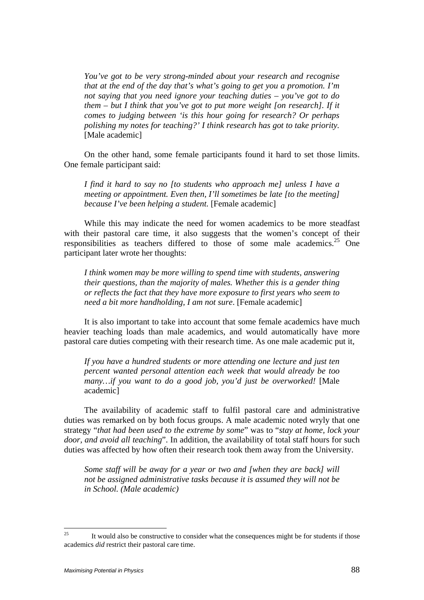*You've got to be very strong-minded about your research and recognise that at the end of the day that's what's going to get you a promotion. I'm not saying that you need ignore your teaching duties – you've got to do them – but I think that you've got to put more weight [on research]. If it comes to judging between 'is this hour going for research? Or perhaps polishing my notes for teaching?' I think research has got to take priority.*  [Male academic]

On the other hand, some female participants found it hard to set those limits. One female participant said:

*I find it hard to say no [to students who approach me] unless I have a meeting or appointment. Even then, I'll sometimes be late [to the meeting] because I've been helping a student.* [Female academic]

While this may indicate the need for women academics to be more steadfast with their pastoral care time, it also suggests that the women's concept of their responsibilities as teachers differed to those of some male academics.<sup>25</sup> One participant later wrote her thoughts:

*I think women may be more willing to spend time with students, answering their questions, than the majority of males. Whether this is a gender thing or reflects the fact that they have more exposure to first years who seem to need a bit more handholding, I am not sure*. [Female academic]

It is also important to take into account that some female academics have much heavier teaching loads than male academics, and would automatically have more pastoral care duties competing with their research time. As one male academic put it,

*If you have a hundred students or more attending one lecture and just ten percent wanted personal attention each week that would already be too many…if you want to do a good job, you'd just be overworked!* [Male academic]

The availability of academic staff to fulfil pastoral care and administrative duties was remarked on by both focus groups. A male academic noted wryly that one strategy "*that had been used to the extreme by some*" was to "*stay at home, lock your door, and avoid all teaching*". In addition, the availability of total staff hours for such duties was affected by how often their research took them away from the University.

*Some staff will be away for a year or two and [when they are back] will not be assigned administrative tasks because it is assumed they will not be in School. (Male academic)* 

 $25$ 25 It would also be constructive to consider what the consequences might be for students if those academics *did* restrict their pastoral care time.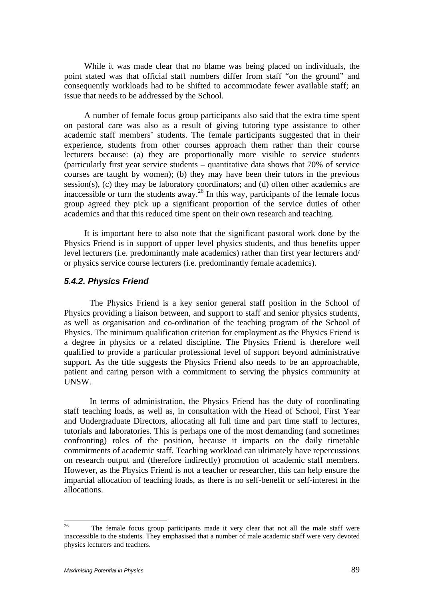While it was made clear that no blame was being placed on individuals, the point stated was that official staff numbers differ from staff "on the ground" and consequently workloads had to be shifted to accommodate fewer available staff; an issue that needs to be addressed by the School.

A number of female focus group participants also said that the extra time spent on pastoral care was also as a result of giving tutoring type assistance to other academic staff members' students. The female participants suggested that in their experience, students from other courses approach them rather than their course lecturers because: (a) they are proportionally more visible to service students (particularly first year service students – quantitative data shows that 70% of service courses are taught by women); (b) they may have been their tutors in the previous session(s), (c) they may be laboratory coordinators; and (d) often other academics are inaccessible or turn the students away.<sup>26</sup> In this way, participants of the female focus group agreed they pick up a significant proportion of the service duties of other academics and that this reduced time spent on their own research and teaching.

It is important here to also note that the significant pastoral work done by the Physics Friend is in support of upper level physics students, and thus benefits upper level lecturers (i.e. predominantly male academics) rather than first year lecturers and/ or physics service course lecturers (i.e. predominantly female academics).

## *5.4.2. Physics Friend*

The Physics Friend is a key senior general staff position in the School of Physics providing a liaison between, and support to staff and senior physics students, as well as organisation and co-ordination of the teaching program of the School of Physics. The minimum qualification criterion for employment as the Physics Friend is a degree in physics or a related discipline. The Physics Friend is therefore well qualified to provide a particular professional level of support beyond administrative support. As the title suggests the Physics Friend also needs to be an approachable, patient and caring person with a commitment to serving the physics community at UNSW.

In terms of administration, the Physics Friend has the duty of coordinating staff teaching loads, as well as, in consultation with the Head of School, First Year and Undergraduate Directors, allocating all full time and part time staff to lectures, tutorials and laboratories. This is perhaps one of the most demanding (and sometimes confronting) roles of the position, because it impacts on the daily timetable commitments of academic staff. Teaching workload can ultimately have repercussions on research output and (therefore indirectly) promotion of academic staff members. However, as the Physics Friend is not a teacher or researcher, this can help ensure the impartial allocation of teaching loads, as there is no self-benefit or self-interest in the allocations.

 $26\,$ 26 The female focus group participants made it very clear that not all the male staff were inaccessible to the students. They emphasised that a number of male academic staff were very devoted physics lecturers and teachers.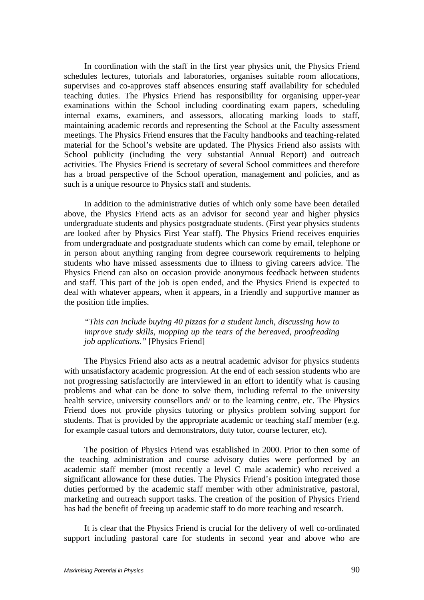In coordination with the staff in the first year physics unit, the Physics Friend schedules lectures, tutorials and laboratories, organises suitable room allocations, supervises and co-approves staff absences ensuring staff availability for scheduled teaching duties. The Physics Friend has responsibility for organising upper-year examinations within the School including coordinating exam papers, scheduling internal exams, examiners, and assessors, allocating marking loads to staff, maintaining academic records and representing the School at the Faculty assessment meetings. The Physics Friend ensures that the Faculty handbooks and teaching-related material for the School's website are updated. The Physics Friend also assists with School publicity (including the very substantial Annual Report) and outreach activities. The Physics Friend is secretary of several School committees and therefore has a broad perspective of the School operation, management and policies, and as such is a unique resource to Physics staff and students.

In addition to the administrative duties of which only some have been detailed above, the Physics Friend acts as an advisor for second year and higher physics undergraduate students and physics postgraduate students. (First year physics students are looked after by Physics First Year staff). The Physics Friend receives enquiries from undergraduate and postgraduate students which can come by email, telephone or in person about anything ranging from degree coursework requirements to helping students who have missed assessments due to illness to giving careers advice. The Physics Friend can also on occasion provide anonymous feedback between students and staff. This part of the job is open ended, and the Physics Friend is expected to deal with whatever appears, when it appears, in a friendly and supportive manner as the position title implies.

#### *"This can include buying 40 pizzas for a student lunch, discussing how to improve study skills, mopping up the tears of the bereaved, proofreading job applications."* [Physics Friend]

The Physics Friend also acts as a neutral academic advisor for physics students with unsatisfactory academic progression. At the end of each session students who are not progressing satisfactorily are interviewed in an effort to identify what is causing problems and what can be done to solve them, including referral to the university health service, university counsellors and/ or to the learning centre, etc. The Physics Friend does not provide physics tutoring or physics problem solving support for students. That is provided by the appropriate academic or teaching staff member (e.g. for example casual tutors and demonstrators, duty tutor, course lecturer, etc).

The position of Physics Friend was established in 2000. Prior to then some of the teaching administration and course advisory duties were performed by an academic staff member (most recently a level C male academic) who received a significant allowance for these duties. The Physics Friend's position integrated those duties performed by the academic staff member with other administrative, pastoral, marketing and outreach support tasks. The creation of the position of Physics Friend has had the benefit of freeing up academic staff to do more teaching and research.

It is clear that the Physics Friend is crucial for the delivery of well co-ordinated support including pastoral care for students in second year and above who are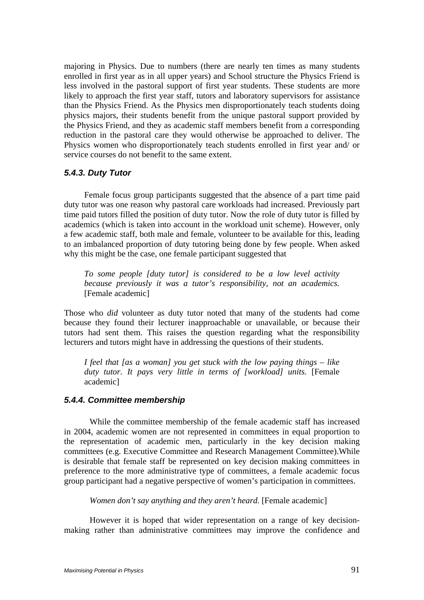majoring in Physics. Due to numbers (there are nearly ten times as many students enrolled in first year as in all upper years) and School structure the Physics Friend is less involved in the pastoral support of first year students. These students are more likely to approach the first year staff, tutors and laboratory supervisors for assistance than the Physics Friend. As the Physics men disproportionately teach students doing physics majors, their students benefit from the unique pastoral support provided by the Physics Friend, and they as academic staff members benefit from a corresponding reduction in the pastoral care they would otherwise be approached to deliver. The Physics women who disproportionately teach students enrolled in first year and/ or service courses do not benefit to the same extent.

## *5.4.3. Duty Tutor*

Female focus group participants suggested that the absence of a part time paid duty tutor was one reason why pastoral care workloads had increased. Previously part time paid tutors filled the position of duty tutor. Now the role of duty tutor is filled by academics (which is taken into account in the workload unit scheme). However, only a few academic staff, both male and female, volunteer to be available for this, leading to an imbalanced proportion of duty tutoring being done by few people. When asked why this might be the case, one female participant suggested that

*To some people [duty tutor] is considered to be a low level activity because previously it was a tutor's responsibility, not an academics.*  [Female academic]

Those who *did* volunteer as duty tutor noted that many of the students had come because they found their lecturer inapproachable or unavailable, or because their tutors had sent them. This raises the question regarding what the responsibility lecturers and tutors might have in addressing the questions of their students.

*I feel that [as a woman] you get stuck with the low paying things – like duty tutor. It pays very little in terms of [workload] units.* [Female academic]

## *5.4.4. Committee membership*

 While the committee membership of the female academic staff has increased in 2004, academic women are not represented in committees in equal proportion to the representation of academic men, particularly in the key decision making committees (e.g. Executive Committee and Research Management Committee).While is desirable that female staff be represented on key decision making committees in preference to the more administrative type of committees, a female academic focus group participant had a negative perspective of women's participation in committees.

*Women don't say anything and they aren't heard.* [Female academic]

However it is hoped that wider representation on a range of key decisionmaking rather than administrative committees may improve the confidence and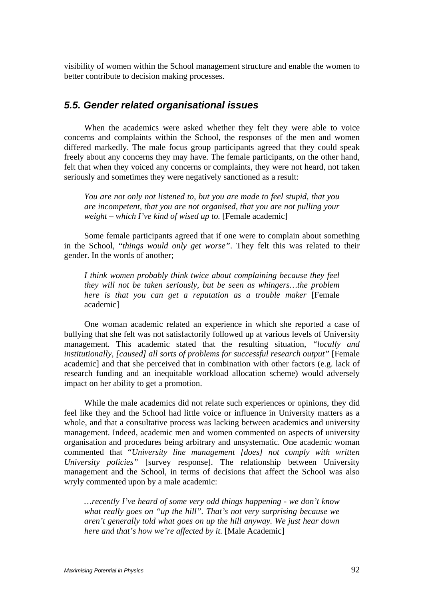visibility of women within the School management structure and enable the women to better contribute to decision making processes.

## *5.5. Gender related organisational issues*

When the academics were asked whether they felt they were able to voice concerns and complaints within the School, the responses of the men and women differed markedly. The male focus group participants agreed that they could speak freely about any concerns they may have. The female participants, on the other hand, felt that when they voiced any concerns or complaints, they were not heard, not taken seriously and sometimes they were negatively sanctioned as a result:

*You are not only not listened to, but you are made to feel stupid, that you are incompetent, that you are not organised, that you are not pulling your weight – which I've kind of wised up to.* [Female academic]

Some female participants agreed that if one were to complain about something in the School, "*things would only get worse"*. They felt this was related to their gender. In the words of another;

*I think women probably think twice about complaining because they feel they will not be taken seriously, but be seen as whingers…the problem here is that you can get a reputation as a trouble maker* [Female academic]

One woman academic related an experience in which she reported a case of bullying that she felt was not satisfactorily followed up at various levels of University management. This academic stated that the resulting situation*, "locally and institutionally, [caused] all sorts of problems for successful research output"* [Female academic] and that she perceived that in combination with other factors (e.g. lack of research funding and an inequitable workload allocation scheme) would adversely impact on her ability to get a promotion.

While the male academics did not relate such experiences or opinions, they did feel like they and the School had little voice or influence in University matters as a whole, and that a consultative process was lacking between academics and university management. Indeed, academic men and women commented on aspects of university organisation and procedures being arbitrary and unsystematic. One academic woman commented that "*University line management [does] not comply with written University policies"* [survey response]. The relationship between University management and the School, in terms of decisions that affect the School was also wryly commented upon by a male academic:

*…recently I've heard of some very odd things happening - we don't know what really goes on "up the hill". That's not very surprising because we aren't generally told what goes on up the hill anyway. We just hear down here and that's how we're affected by it.* [Male Academic]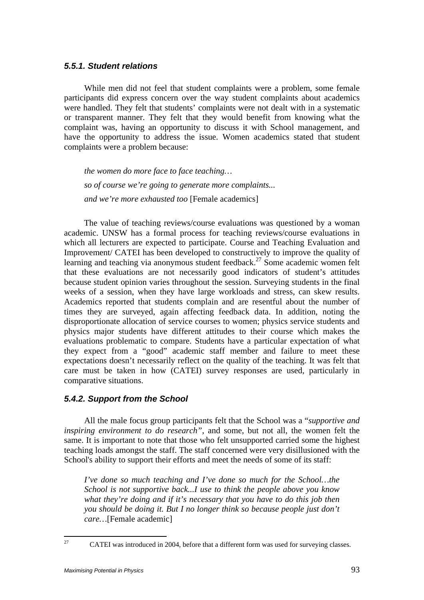## *5.5.1. Student relations*

While men did not feel that student complaints were a problem, some female participants did express concern over the way student complaints about academics were handled. They felt that students' complaints were not dealt with in a systematic or transparent manner. They felt that they would benefit from knowing what the complaint was, having an opportunity to discuss it with School management, and have the opportunity to address the issue. Women academics stated that student complaints were a problem because:

*the women do more face to face teaching… so of course we're going to generate more complaints... and we're more exhausted too* [Female academics]

The value of teaching reviews/course evaluations was questioned by a woman academic. UNSW has a formal process for teaching reviews/course evaluations in which all lecturers are expected to participate. Course and Teaching Evaluation and Improvement/ CATEI has been developed to constructively to improve the quality of learning and teaching via anonymous student feedback.<sup>27</sup> Some academic women felt that these evaluations are not necessarily good indicators of student's attitudes because student opinion varies throughout the session. Surveying students in the final weeks of a session, when they have large workloads and stress, can skew results. Academics reported that students complain and are resentful about the number of times they are surveyed, again affecting feedback data. In addition, noting the disproportionate allocation of service courses to women; physics service students and physics major students have different attitudes to their course which makes the evaluations problematic to compare. Students have a particular expectation of what they expect from a "good" academic staff member and failure to meet these expectations doesn't necessarily reflect on the quality of the teaching. It was felt that care must be taken in how (CATEI) survey responses are used, particularly in comparative situations.

## *5.4.2. Support from the School*

All the male focus group participants felt that the School was a "*supportive and inspiring environment to do research"*, and some, but not all, the women felt the same. It is important to note that those who felt unsupported carried some the highest teaching loads amongst the staff. The staff concerned were very disillusioned with the School's ability to support their efforts and meet the needs of some of its staff:

*I've done so much teaching and I've done so much for the School...the School is not supportive back...I use to think the people above you know what they're doing and if it's necessary that you have to do this job then you should be doing it. But I no longer think so because people just don't care…*[Female academic]

<sup>27</sup> 27 CATEI was introduced in 2004, before that a different form was used for surveying classes.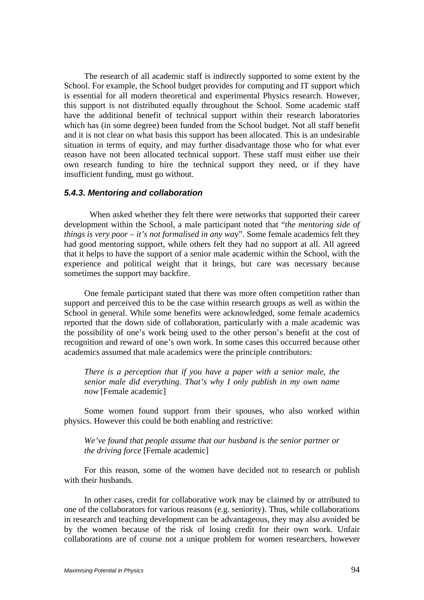The research of all academic staff is indirectly supported to some extent by the School. For example, the School budget provides for computing and IT support which is essential for all modern theoretical and experimental Physics research. However, this support is not distributed equally throughout the School. Some academic staff have the additional benefit of technical support within their research laboratories which has (in some degree) been funded from the School budget. Not all staff benefit and it is not clear on what basis this support has been allocated. This is an undesirable situation in terms of equity, and may further disadvantage those who for what ever reason have not been allocated technical support. These staff must either use their own research funding to hire the technical support they need, or if they have insufficient funding, must go without.

#### *5.4.3. Mentoring and collaboration*

When asked whether they felt there were networks that supported their career development within the School, a male participant noted that "*the mentoring side of things is very poor – it's not formalised in any wa*y". Some female academics felt they had good mentoring support, while others felt they had no support at all. All agreed that it helps to have the support of a senior male academic within the School, with the experience and political weight that it brings, but care was necessary because sometimes the support may backfire.

One female participant stated that there was more often competition rather than support and perceived this to be the case within research groups as well as within the School in general. While some benefits were acknowledged, some female academics reported that the down side of collaboration, particularly with a male academic was the possibility of one's work being used to the other person's benefit at the cost of recognition and reward of one's own work. In some cases this occurred because other academics assumed that male academics were the principle contributors:

*There is a perception that if you have a paper with a senior male, the senior male did everything. That's why I only publish in my own name now* [Female academic]

Some women found support from their spouses, who also worked within physics. However this could be both enabling and restrictive:

#### *We've found that people assume that our husband is the senior partner or the driving force* [Female academic]

For this reason, some of the women have decided not to research or publish with their husbands.

In other cases, credit for collaborative work may be claimed by or attributed to one of the collaborators for various reasons (e.g. seniority). Thus, while collaborations in research and teaching development can be advantageous, they may also avoided be by the women because of the risk of losing credit for their own work. Unfair collaborations are of course not a unique problem for women researchers, however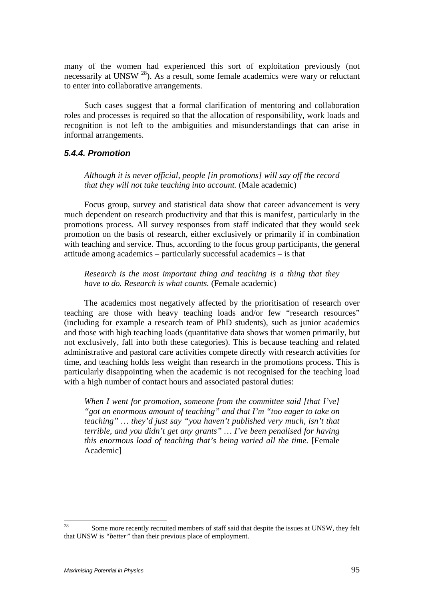many of the women had experienced this sort of exploitation previously (not necessarily at UNSW <sup>28</sup>). As a result, some female academics were wary or reluctant to enter into collaborative arrangements.

Such cases suggest that a formal clarification of mentoring and collaboration roles and processes is required so that the allocation of responsibility, work loads and recognition is not left to the ambiguities and misunderstandings that can arise in informal arrangements.

## *5.4.4. Promotion*

*Although it is never official, people [in promotions] will say off the record that they will not take teaching into account.* (Male academic)

Focus group, survey and statistical data show that career advancement is very much dependent on research productivity and that this is manifest, particularly in the promotions process. All survey responses from staff indicated that they would seek promotion on the basis of research, either exclusively or primarily if in combination with teaching and service. Thus, according to the focus group participants, the general attitude among academics – particularly successful academics – is that

*Research is the most important thing and teaching is a thing that they have to do. Research is what counts.* (Female academic)

The academics most negatively affected by the prioritisation of research over teaching are those with heavy teaching loads and/or few "research resources" (including for example a research team of PhD students), such as junior academics and those with high teaching loads (quantitative data shows that women primarily, but not exclusively, fall into both these categories). This is because teaching and related administrative and pastoral care activities compete directly with research activities for time, and teaching holds less weight than research in the promotions process. This is particularly disappointing when the academic is not recognised for the teaching load with a high number of contact hours and associated pastoral duties:

*When I went for promotion, someone from the committee said [that I've] "got an enormous amount of teaching" and that I'm "too eager to take on teaching" … they'd just say "you haven't published very much, isn't that terrible, and you didn't get any grants" … I've been penalised for having this enormous load of teaching that's being varied all the time.* [Female Academic]

<sup>28</sup> 28 Some more recently recruited members of staff said that despite the issues at UNSW, they felt that UNSW is *"better"* than their previous place of employment.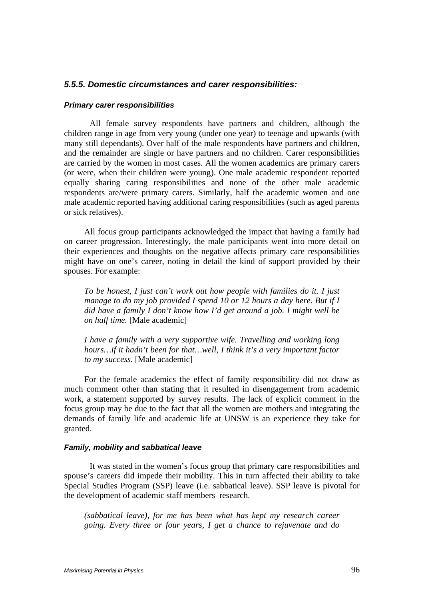#### *5.5.5. Domestic circumstances and carer responsibilities:*

#### *Primary carer responsibilities*

All female survey respondents have partners and children, although the children range in age from very young (under one year) to teenage and upwards (with many still dependants). Over half of the male respondents have partners and children, and the remainder are single or have partners and no children. Carer responsibilities are carried by the women in most cases. All the women academics are primary carers (or were, when their children were young). One male academic respondent reported equally sharing caring responsibilities and none of the other male academic respondents are/were primary carers. Similarly, half the academic women and one male academic reported having additional caring responsibilities (such as aged parents or sick relatives).

All focus group participants acknowledged the impact that having a family had on career progression. Interestingly, the male participants went into more detail on their experiences and thoughts on the negative affects primary care responsibilities might have on one's career, noting in detail the kind of support provided by their spouses. For example:

*To be honest, I just can't work out how people with families do it. I just manage to do my job provided I spend 10 or 12 hours a day here. But if I did have a family I don't know how I'd get around a job. I might well be on half time.* [Male academic]

*I have a family with a very supportive wife. Travelling and working long hours…if it hadn't been for that…well, I think it's a very important factor to my success.* [Male academic]

For the female academics the effect of family responsibility did not draw as much comment other than stating that it resulted in disengagement from academic work, a statement supported by survey results. The lack of explicit comment in the focus group may be due to the fact that all the women are mothers and integrating the demands of family life and academic life at UNSW is an experience they take for granted.

#### *Family, mobility and sabbatical leave*

It was stated in the women's focus group that primary care responsibilities and spouse's careers did impede their mobility. This in turn affected their ability to take Special Studies Program (SSP) leave (i.e. sabbatical leave). SSP leave is pivotal for the development of academic staff members research.

*(sabbatical leave), for me has been what has kept my research career going. Every three or four years, I get a chance to rejuvenate and do*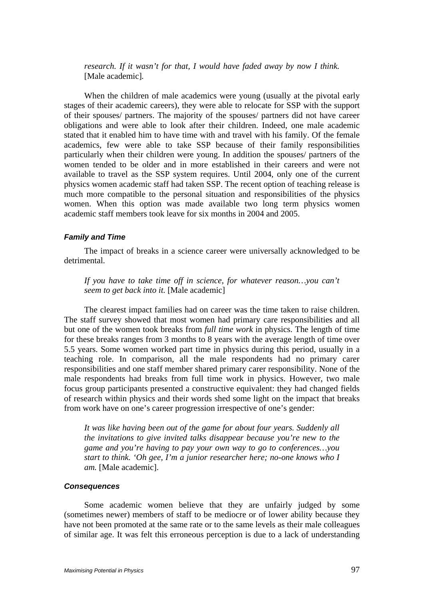*research. If it wasn't for that, I would have faded away by now I think.*  [Male academic]*.* 

When the children of male academics were young (usually at the pivotal early stages of their academic careers), they were able to relocate for SSP with the support of their spouses/ partners. The majority of the spouses/ partners did not have career obligations and were able to look after their children. Indeed, one male academic stated that it enabled him to have time with and travel with his family. Of the female academics, few were able to take SSP because of their family responsibilities particularly when their children were young. In addition the spouses/ partners of the women tended to be older and in more established in their careers and were not available to travel as the SSP system requires. Until 2004, only one of the current physics women academic staff had taken SSP. The recent option of teaching release is much more compatible to the personal situation and responsibilities of the physics women. When this option was made available two long term physics women academic staff members took leave for six months in 2004 and 2005.

#### *Family and Time*

The impact of breaks in a science career were universally acknowledged to be detrimental.

*If you have to take time off in science, for whatever reason…you can't seem to get back into it.* [Male academic]

The clearest impact families had on career was the time taken to raise children. The staff survey showed that most women had primary care responsibilities and all but one of the women took breaks from *full time work* in physics. The length of time for these breaks ranges from 3 months to 8 years with the average length of time over 5.5 years. Some women worked part time in physics during this period, usually in a teaching role. In comparison, all the male respondents had no primary carer responsibilities and one staff member shared primary carer responsibility. None of the male respondents had breaks from full time work in physics. However, two male focus group participants presented a constructive equivalent: they had changed fields of research within physics and their words shed some light on the impact that breaks from work have on one's career progression irrespective of one's gender:

*It was like having been out of the game for about four years. Suddenly all the invitations to give invited talks disappear because you're new to the game and you're having to pay your own way to go to conferences…you start to think. 'Oh gee, I'm a junior researcher here; no-one knows who I am.* [Male academic].

#### *Consequences*

Some academic women believe that they are unfairly judged by some (sometimes newer) members of staff to be mediocre or of lower ability because they have not been promoted at the same rate or to the same levels as their male colleagues of similar age. It was felt this erroneous perception is due to a lack of understanding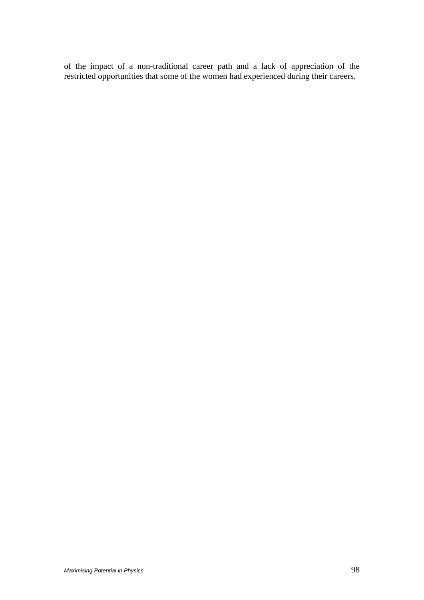of the impact of a non-traditional career path and a lack of appreciation of the restricted opportunities that some of the women had experienced during their careers.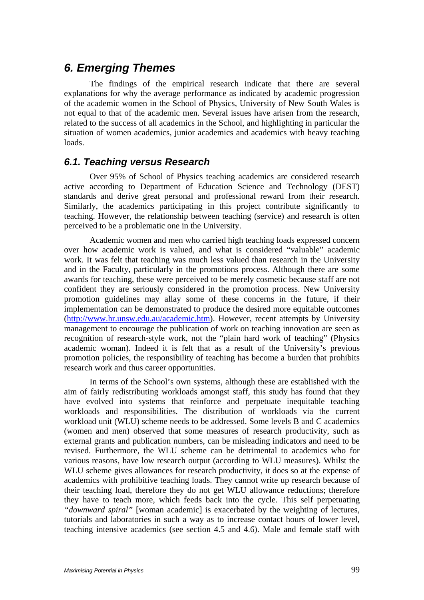# *6. Emerging Themes*

The findings of the empirical research indicate that there are several explanations for why the average performance as indicated by academic progression of the academic women in the School of Physics, University of New South Wales is not equal to that of the academic men. Several issues have arisen from the research, related to the success of all academics in the School, and highlighting in particular the situation of women academics, junior academics and academics with heavy teaching loads.

# *6.1. Teaching versus Research*

Over 95% of School of Physics teaching academics are considered research active according to Department of Education Science and Technology (DEST) standards and derive great personal and professional reward from their research. Similarly, the academics participating in this project contribute significantly to teaching. However, the relationship between teaching (service) and research is often perceived to be a problematic one in the University.

Academic women and men who carried high teaching loads expressed concern over how academic work is valued, and what is considered "valuable" academic work. It was felt that teaching was much less valued than research in the University and in the Faculty, particularly in the promotions process. Although there are some awards for teaching, these were perceived to be merely cosmetic because staff are not confident they are seriously considered in the promotion process. New University promotion guidelines may allay some of these concerns in the future, if their implementation can be demonstrated to produce the desired more equitable outcomes (http://www.hr.unsw.edu.au/academic.htm). However, recent attempts by University management to encourage the publication of work on teaching innovation are seen as recognition of research-style work, not the "plain hard work of teaching" (Physics academic woman). Indeed it is felt that as a result of the University's previous promotion policies, the responsibility of teaching has become a burden that prohibits research work and thus career opportunities.

In terms of the School's own systems, although these are established with the aim of fairly redistributing workloads amongst staff, this study has found that they have evolved into systems that reinforce and perpetuate inequitable teaching workloads and responsibilities. The distribution of workloads via the current workload unit (WLU) scheme needs to be addressed. Some levels B and C academics (women and men) observed that some measures of research productivity, such as external grants and publication numbers, can be misleading indicators and need to be revised. Furthermore, the WLU scheme can be detrimental to academics who for various reasons, have low research output (according to WLU measures). Whilst the WLU scheme gives allowances for research productivity, it does so at the expense of academics with prohibitive teaching loads. They cannot write up research because of their teaching load, therefore they do not get WLU allowance reductions; therefore they have to teach more, which feeds back into the cycle. This self perpetuating *"downward spiral"* [woman academic] is exacerbated by the weighting of lectures, tutorials and laboratories in such a way as to increase contact hours of lower level, teaching intensive academics (see section 4.5 and 4.6). Male and female staff with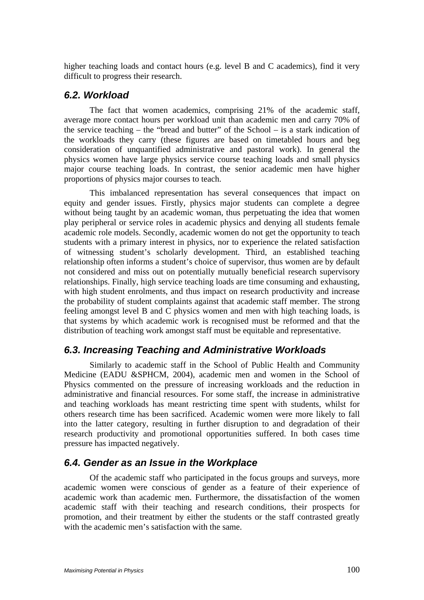higher teaching loads and contact hours (e.g. level B and C academics), find it very difficult to progress their research.

# *6.2. Workload*

The fact that women academics, comprising 21% of the academic staff, average more contact hours per workload unit than academic men and carry 70% of the service teaching – the "bread and butter" of the School – is a stark indication of the workloads they carry (these figures are based on timetabled hours and beg consideration of unquantified administrative and pastoral work). In general the physics women have large physics service course teaching loads and small physics major course teaching loads. In contrast, the senior academic men have higher proportions of physics major courses to teach.

This imbalanced representation has several consequences that impact on equity and gender issues. Firstly, physics major students can complete a degree without being taught by an academic woman, thus perpetuating the idea that women play peripheral or service roles in academic physics and denying all students female academic role models. Secondly, academic women do not get the opportunity to teach students with a primary interest in physics, nor to experience the related satisfaction of witnessing student's scholarly development. Third, an established teaching relationship often informs a student's choice of supervisor, thus women are by default not considered and miss out on potentially mutually beneficial research supervisory relationships. Finally, high service teaching loads are time consuming and exhausting, with high student enrolments, and thus impact on research productivity and increase the probability of student complaints against that academic staff member. The strong feeling amongst level B and C physics women and men with high teaching loads, is that systems by which academic work is recognised must be reformed and that the distribution of teaching work amongst staff must be equitable and representative.

# *6.3. Increasing Teaching and Administrative Workloads*

Similarly to academic staff in the School of Public Health and Community Medicine (EADU &SPHCM, 2004), academic men and women in the School of Physics commented on the pressure of increasing workloads and the reduction in administrative and financial resources. For some staff, the increase in administrative and teaching workloads has meant restricting time spent with students, whilst for others research time has been sacrificed. Academic women were more likely to fall into the latter category, resulting in further disruption to and degradation of their research productivity and promotional opportunities suffered. In both cases time pressure has impacted negatively.

# *6.4. Gender as an Issue in the Workplace*

Of the academic staff who participated in the focus groups and surveys, more academic women were conscious of gender as a feature of their experience of academic work than academic men. Furthermore, the dissatisfaction of the women academic staff with their teaching and research conditions, their prospects for promotion, and their treatment by either the students or the staff contrasted greatly with the academic men's satisfaction with the same.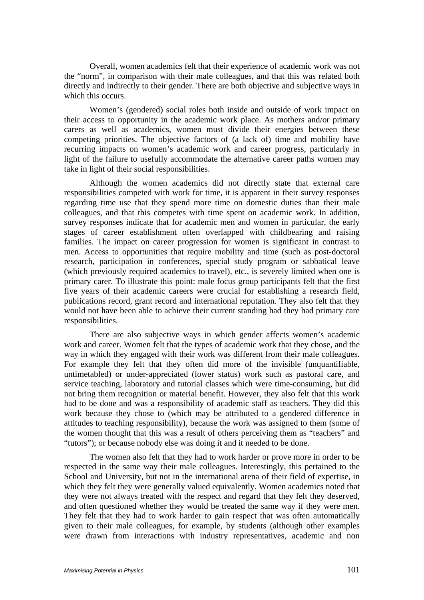Overall, women academics felt that their experience of academic work was not the "norm", in comparison with their male colleagues, and that this was related both directly and indirectly to their gender. There are both objective and subjective ways in which this occurs.

Women's (gendered) social roles both inside and outside of work impact on their access to opportunity in the academic work place. As mothers and/or primary carers as well as academics, women must divide their energies between these competing priorities. The objective factors of (a lack of) time and mobility have recurring impacts on women's academic work and career progress, particularly in light of the failure to usefully accommodate the alternative career paths women may take in light of their social responsibilities.

Although the women academics did not directly state that external care responsibilities competed with work for time, it is apparent in their survey responses regarding time use that they spend more time on domestic duties than their male colleagues, and that this competes with time spent on academic work. In addition, survey responses indicate that for academic men and women in particular, the early stages of career establishment often overlapped with childbearing and raising families. The impact on career progression for women is significant in contrast to men. Access to opportunities that require mobility and time (such as post-doctoral research, participation in conferences, special study program or sabbatical leave (which previously required academics to travel), etc., is severely limited when one is primary carer. To illustrate this point: male focus group participants felt that the first five years of their academic careers were crucial for establishing a research field, publications record, grant record and international reputation. They also felt that they would not have been able to achieve their current standing had they had primary care responsibilities.

There are also subjective ways in which gender affects women's academic work and career. Women felt that the types of academic work that they chose, and the way in which they engaged with their work was different from their male colleagues. For example they felt that they often did more of the invisible (unquantifiable, untimetabled) or under-appreciated (lower status) work such as pastoral care, and service teaching, laboratory and tutorial classes which were time-consuming, but did not bring them recognition or material benefit. However, they also felt that this work had to be done and was a responsibility of academic staff as teachers. They did this work because they chose to (which may be attributed to a gendered difference in attitudes to teaching responsibility), because the work was assigned to them (some of the women thought that this was a result of others perceiving them as "teachers" and "tutors"); or because nobody else was doing it and it needed to be done.

The women also felt that they had to work harder or prove more in order to be respected in the same way their male colleagues. Interestingly, this pertained to the School and University, but not in the international arena of their field of expertise, in which they felt they were generally valued equivalently. Women academics noted that they were not always treated with the respect and regard that they felt they deserved, and often questioned whether they would be treated the same way if they were men. They felt that they had to work harder to gain respect that was often automatically given to their male colleagues, for example, by students (although other examples were drawn from interactions with industry representatives, academic and non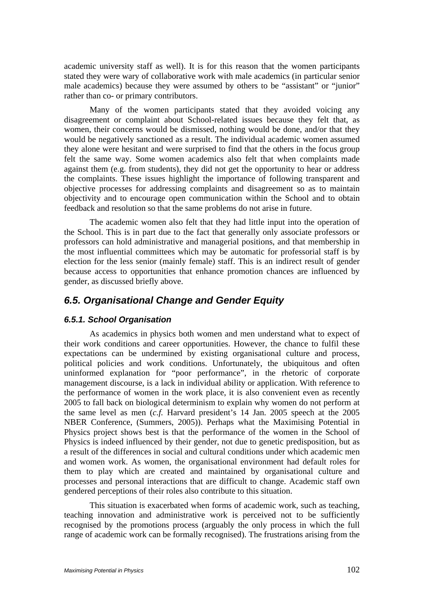academic university staff as well). It is for this reason that the women participants stated they were wary of collaborative work with male academics (in particular senior male academics) because they were assumed by others to be "assistant" or "junior" rather than co- or primary contributors.

Many of the women participants stated that they avoided voicing any disagreement or complaint about School-related issues because they felt that, as women, their concerns would be dismissed, nothing would be done, and/or that they would be negatively sanctioned as a result. The individual academic women assumed they alone were hesitant and were surprised to find that the others in the focus group felt the same way. Some women academics also felt that when complaints made against them (e.g. from students), they did not get the opportunity to hear or address the complaints. These issues highlight the importance of following transparent and objective processes for addressing complaints and disagreement so as to maintain objectivity and to encourage open communication within the School and to obtain feedback and resolution so that the same problems do not arise in future.

The academic women also felt that they had little input into the operation of the School. This is in part due to the fact that generally only associate professors or professors can hold administrative and managerial positions, and that membership in the most influential committees which may be automatic for professorial staff is by election for the less senior (mainly female) staff. This is an indirect result of gender because access to opportunities that enhance promotion chances are influenced by gender, as discussed briefly above.

# *6.5. Organisational Change and Gender Equity*

## *6.5.1. School Organisation*

As academics in physics both women and men understand what to expect of their work conditions and career opportunities. However, the chance to fulfil these expectations can be undermined by existing organisational culture and process, political policies and work conditions. Unfortunately, the ubiquitous and often uninformed explanation for "poor performance", in the rhetoric of corporate management discourse, is a lack in individual ability or application. With reference to the performance of women in the work place, it is also convenient even as recently 2005 to fall back on biological determinism to explain why women do not perform at the same level as men (*c.f.* Harvard president's 14 Jan. 2005 speech at the 2005 NBER Conference, (Summers, 2005)). Perhaps what the Maximising Potential in Physics project shows best is that the performance of the women in the School of Physics is indeed influenced by their gender, not due to genetic predisposition, but as a result of the differences in social and cultural conditions under which academic men and women work. As women, the organisational environment had default roles for them to play which are created and maintained by organisational culture and processes and personal interactions that are difficult to change. Academic staff own gendered perceptions of their roles also contribute to this situation.

This situation is exacerbated when forms of academic work, such as teaching, teaching innovation and administrative work is perceived not to be sufficiently recognised by the promotions process (arguably the only process in which the full range of academic work can be formally recognised). The frustrations arising from the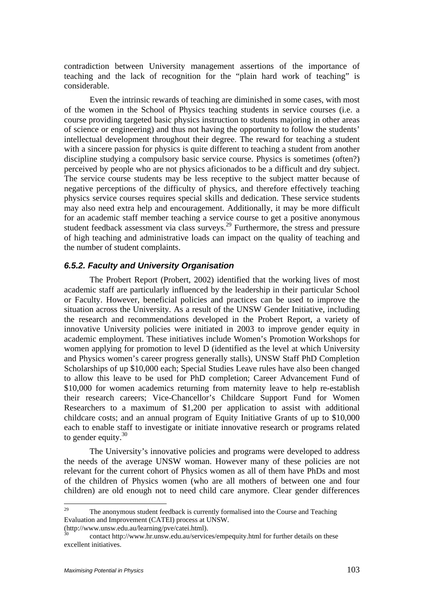contradiction between University management assertions of the importance of teaching and the lack of recognition for the "plain hard work of teaching" is considerable.

Even the intrinsic rewards of teaching are diminished in some cases, with most of the women in the School of Physics teaching students in service courses (i.e. a course providing targeted basic physics instruction to students majoring in other areas of science or engineering) and thus not having the opportunity to follow the students' intellectual development throughout their degree. The reward for teaching a student with a sincere passion for physics is quite different to teaching a student from another discipline studying a compulsory basic service course. Physics is sometimes (often?) perceived by people who are not physics aficionados to be a difficult and dry subject. The service course students may be less receptive to the subject matter because of negative perceptions of the difficulty of physics, and therefore effectively teaching physics service courses requires special skills and dedication. These service students may also need extra help and encouragement. Additionally, it may be more difficult for an academic staff member teaching a service course to get a positive anonymous student feedback assessment via class surveys.<sup>29</sup> Furthermore, the stress and pressure of high teaching and administrative loads can impact on the quality of teaching and the number of student complaints.

## *6.5.2. Faculty and University Organisation*

The Probert Report (Probert, 2002) identified that the working lives of most academic staff are particularly influenced by the leadership in their particular School or Faculty. However, beneficial policies and practices can be used to improve the situation across the University. As a result of the UNSW Gender Initiative, including the research and recommendations developed in the Probert Report, a variety of innovative University policies were initiated in 2003 to improve gender equity in academic employment. These initiatives include Women's Promotion Workshops for women applying for promotion to level D (identified as the level at which University and Physics women's career progress generally stalls), UNSW Staff PhD Completion Scholarships of up \$10,000 each; Special Studies Leave rules have also been changed to allow this leave to be used for PhD completion; Career Advancement Fund of \$10,000 for women academics returning from maternity leave to help re-establish their research careers; Vice-Chancellor's Childcare Support Fund for Women Researchers to a maximum of \$1,200 per application to assist with additional childcare costs; and an annual program of Equity Initiative Grants of up to \$10,000 each to enable staff to investigate or initiate innovative research or programs related to gender equity. $30$ 

The University's innovative policies and programs were developed to address the needs of the average UNSW woman. However many of these policies are not relevant for the current cohort of Physics women as all of them have PhDs and most of the children of Physics women (who are all mothers of between one and four children) are old enough not to need child care anymore. Clear gender differences

 $29$ The anonymous student feedback is currently formalised into the Course and Teaching Evaluation and Improvement (CATEI) process at UNSW.

<sup>(</sup>http://www.unsw.edu.au/learning/pve/catei.html).

<sup>30</sup> contact http://www.hr.unsw.edu.au/services/empequity.html for further details on these excellent initiatives.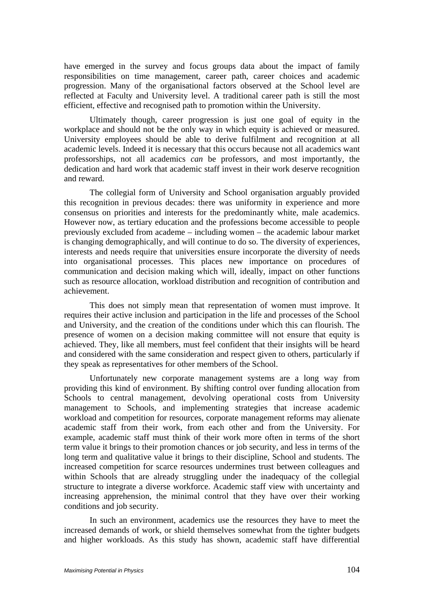have emerged in the survey and focus groups data about the impact of family responsibilities on time management, career path, career choices and academic progression. Many of the organisational factors observed at the School level are reflected at Faculty and University level. A traditional career path is still the most efficient, effective and recognised path to promotion within the University.

Ultimately though, career progression is just one goal of equity in the workplace and should not be the only way in which equity is achieved or measured. University employees should be able to derive fulfilment and recognition at all academic levels. Indeed it is necessary that this occurs because not all academics want professorships, not all academics *can* be professors, and most importantly, the dedication and hard work that academic staff invest in their work deserve recognition and reward.

The collegial form of University and School organisation arguably provided this recognition in previous decades: there was uniformity in experience and more consensus on priorities and interests for the predominantly white, male academics. However now, as tertiary education and the professions become accessible to people previously excluded from academe – including women – the academic labour market is changing demographically, and will continue to do so. The diversity of experiences, interests and needs require that universities ensure incorporate the diversity of needs into organisational processes. This places new importance on procedures of communication and decision making which will, ideally, impact on other functions such as resource allocation, workload distribution and recognition of contribution and achievement.

This does not simply mean that representation of women must improve. It requires their active inclusion and participation in the life and processes of the School and University, and the creation of the conditions under which this can flourish. The presence of women on a decision making committee will not ensure that equity is achieved. They, like all members, must feel confident that their insights will be heard and considered with the same consideration and respect given to others, particularly if they speak as representatives for other members of the School.

Unfortunately new corporate management systems are a long way from providing this kind of environment. By shifting control over funding allocation from Schools to central management, devolving operational costs from University management to Schools, and implementing strategies that increase academic workload and competition for resources, corporate management reforms may alienate academic staff from their work, from each other and from the University. For example, academic staff must think of their work more often in terms of the short term value it brings to their promotion chances or job security, and less in terms of the long term and qualitative value it brings to their discipline, School and students. The increased competition for scarce resources undermines trust between colleagues and within Schools that are already struggling under the inadequacy of the collegial structure to integrate a diverse workforce. Academic staff view with uncertainty and increasing apprehension, the minimal control that they have over their working conditions and job security.

In such an environment, academics use the resources they have to meet the increased demands of work, or shield themselves somewhat from the tighter budgets and higher workloads. As this study has shown, academic staff have differential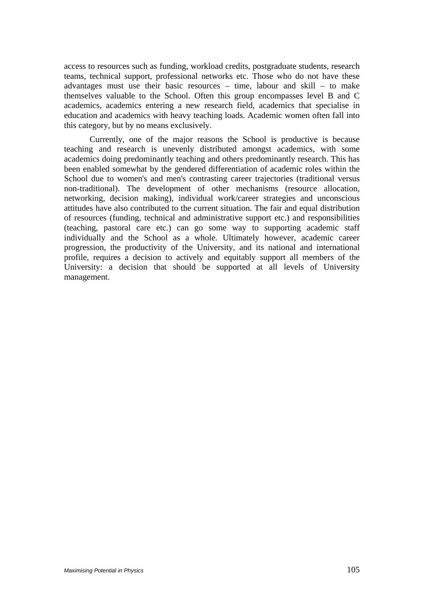access to resources such as funding, workload credits, postgraduate students, research teams, technical support, professional networks etc. Those who do not have these advantages must use their basic resources – time, labour and skill – to make themselves valuable to the School. Often this group encompasses level B and C academics, academics entering a new research field, academics that specialise in education and academics with heavy teaching loads. Academic women often fall into this category, but by no means exclusively.

Currently, one of the major reasons the School is productive is because teaching and research is unevenly distributed amongst academics, with some academics doing predominantly teaching and others predominantly research. This has been enabled somewhat by the gendered differentiation of academic roles within the School due to women's and men's contrasting career trajectories (traditional versus non-traditional). The development of other mechanisms (resource allocation, networking, decision making), individual work/career strategies and unconscious attitudes have also contributed to the current situation. The fair and equal distribution of resources (funding, technical and administrative support etc.) and responsibilities (teaching, pastoral care etc.) can go some way to supporting academic staff individually and the School as a whole. Ultimately however, academic career progression, the productivity of the University, and its national and international profile, requires a decision to actively and equitably support all members of the University: a decision that should be supported at all levels of University management.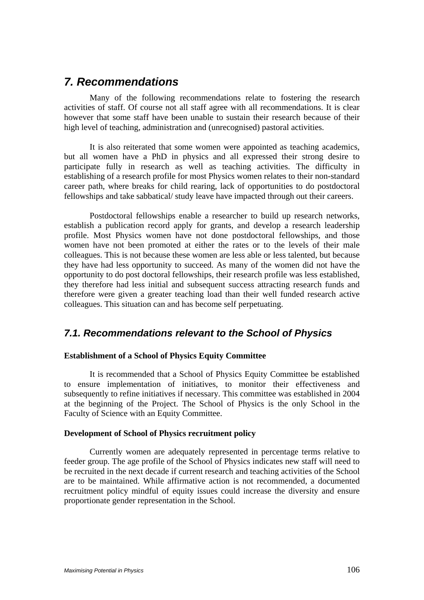# *7. Recommendations*

Many of the following recommendations relate to fostering the research activities of staff. Of course not all staff agree with all recommendations. It is clear however that some staff have been unable to sustain their research because of their high level of teaching, administration and (unrecognised) pastoral activities.

It is also reiterated that some women were appointed as teaching academics, but all women have a PhD in physics and all expressed their strong desire to participate fully in research as well as teaching activities. The difficulty in establishing of a research profile for most Physics women relates to their non-standard career path, where breaks for child rearing, lack of opportunities to do postdoctoral fellowships and take sabbatical/ study leave have impacted through out their careers.

Postdoctoral fellowships enable a researcher to build up research networks, establish a publication record apply for grants, and develop a research leadership profile. Most Physics women have not done postdoctoral fellowships, and those women have not been promoted at either the rates or to the levels of their male colleagues. This is not because these women are less able or less talented, but because they have had less opportunity to succeed. As many of the women did not have the opportunity to do post doctoral fellowships, their research profile was less established, they therefore had less initial and subsequent success attracting research funds and therefore were given a greater teaching load than their well funded research active colleagues. This situation can and has become self perpetuating.

# *7.1. Recommendations relevant to the School of Physics*

## **Establishment of a School of Physics Equity Committee**

It is recommended that a School of Physics Equity Committee be established to ensure implementation of initiatives, to monitor their effectiveness and subsequently to refine initiatives if necessary. This committee was established in 2004 at the beginning of the Project. The School of Physics is the only School in the Faculty of Science with an Equity Committee.

## **Development of School of Physics recruitment policy**

Currently women are adequately represented in percentage terms relative to feeder group. The age profile of the School of Physics indicates new staff will need to be recruited in the next decade if current research and teaching activities of the School are to be maintained. While affirmative action is not recommended, a documented recruitment policy mindful of equity issues could increase the diversity and ensure proportionate gender representation in the School.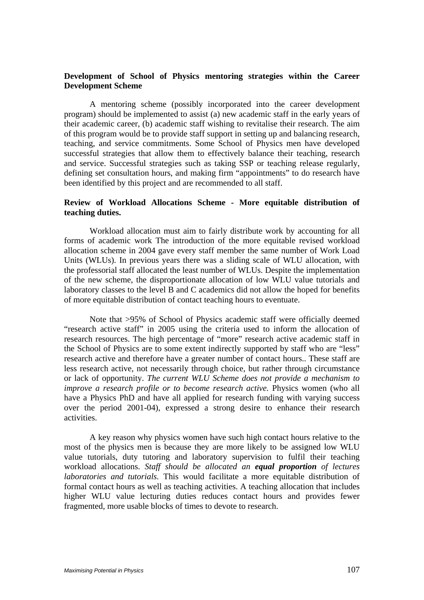## **Development of School of Physics mentoring strategies within the Career Development Scheme**

A mentoring scheme (possibly incorporated into the career development program) should be implemented to assist (a) new academic staff in the early years of their academic career, (b) academic staff wishing to revitalise their research. The aim of this program would be to provide staff support in setting up and balancing research, teaching, and service commitments. Some School of Physics men have developed successful strategies that allow them to effectively balance their teaching, research and service. Successful strategies such as taking SSP or teaching release regularly, defining set consultation hours, and making firm "appointments" to do research have been identified by this project and are recommended to all staff.

#### **Review of Workload Allocations Scheme - More equitable distribution of teaching duties.**

Workload allocation must aim to fairly distribute work by accounting for all forms of academic work The introduction of the more equitable revised workload allocation scheme in 2004 gave every staff member the same number of Work Load Units (WLUs). In previous years there was a sliding scale of WLU allocation, with the professorial staff allocated the least number of WLUs. Despite the implementation of the new scheme, the disproportionate allocation of low WLU value tutorials and laboratory classes to the level B and C academics did not allow the hoped for benefits of more equitable distribution of contact teaching hours to eventuate.

Note that >95% of School of Physics academic staff were officially deemed "research active staff" in 2005 using the criteria used to inform the allocation of research resources. The high percentage of "more" research active academic staff in the School of Physics are to some extent indirectly supported by staff who are "less" research active and therefore have a greater number of contact hours.. These staff are less research active, not necessarily through choice, but rather through circumstance or lack of opportunity. *The current WLU Scheme does not provide a mechanism to improve a research profile or to become research active.* Physics women (who all have a Physics PhD and have all applied for research funding with varying success over the period 2001-04), expressed a strong desire to enhance their research activities.

A key reason why physics women have such high contact hours relative to the most of the physics men is because they are more likely to be assigned low WLU value tutorials, duty tutoring and laboratory supervision to fulfil their teaching workload allocations. *Staff should be allocated an equal proportion of lectures laboratories and tutorials.* This would facilitate a more equitable distribution of formal contact hours as well as teaching activities. A teaching allocation that includes higher WLU value lecturing duties reduces contact hours and provides fewer fragmented, more usable blocks of times to devote to research.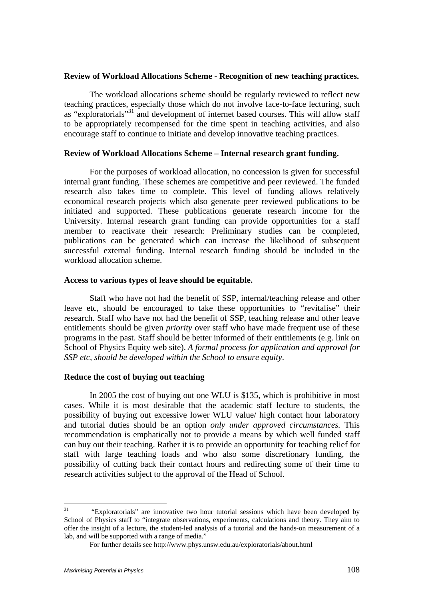#### **Review of Workload Allocations Scheme - Recognition of new teaching practices.**

The workload allocations scheme should be regularly reviewed to reflect new teaching practices, especially those which do not involve face-to-face lecturing, such as "exploratorials"<sup>31</sup> and development of internet based courses. This will allow staff to be appropriately recompensed for the time spent in teaching activities, and also encourage staff to continue to initiate and develop innovative teaching practices.

#### **Review of Workload Allocations Scheme – Internal research grant funding.**

For the purposes of workload allocation, no concession is given for successful internal grant funding. These schemes are competitive and peer reviewed. The funded research also takes time to complete. This level of funding allows relatively economical research projects which also generate peer reviewed publications to be initiated and supported. These publications generate research income for the University. Internal research grant funding can provide opportunities for a staff member to reactivate their research: Preliminary studies can be completed, publications can be generated which can increase the likelihood of subsequent successful external funding. Internal research funding should be included in the workload allocation scheme.

#### **Access to various types of leave should be equitable.**

Staff who have not had the benefit of SSP, internal/teaching release and other leave etc, should be encouraged to take these opportunities to "revitalise" their research. Staff who have not had the benefit of SSP, teaching release and other leave entitlements should be given *priority* over staff who have made frequent use of these programs in the past. Staff should be better informed of their entitlements (e.g. link on School of Physics Equity web site). *A formal process for application and approval for SSP etc, should be developed within the School to ensure equity*.

#### **Reduce the cost of buying out teaching**

In 2005 the cost of buying out one WLU is \$135, which is prohibitive in most cases. While it is most desirable that the academic staff lecture to students, the possibility of buying out excessive lower WLU value/ high contact hour laboratory and tutorial duties should be an option *only under approved circumstances.* This recommendation is emphatically not to provide a means by which well funded staff can buy out their teaching. Rather it is to provide an opportunity for teaching relief for staff with large teaching loads and who also some discretionary funding, the possibility of cutting back their contact hours and redirecting some of their time to research activities subject to the approval of the Head of School.

 $31$ 31 "Exploratorials" are innovative two hour tutorial sessions which have been developed by School of Physics staff to "integrate observations, experiments, calculations and theory. They aim to offer the insight of a lecture, the student-led analysis of a tutorial and the hands-on measurement of a lab, and will be supported with a range of media."

For further details see http://www.phys.unsw.edu.au/exploratorials/about.html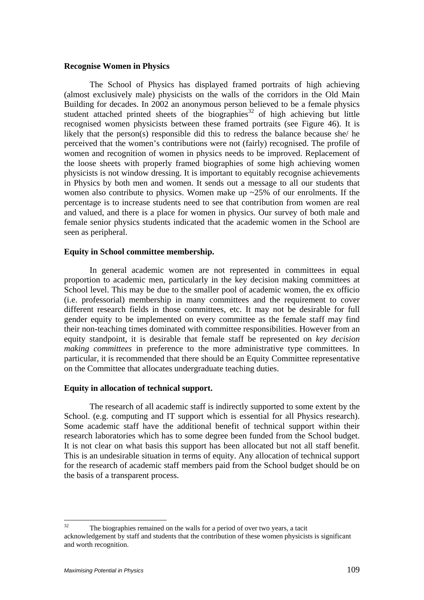#### **Recognise Women in Physics**

The School of Physics has displayed framed portraits of high achieving (almost exclusively male) physicists on the walls of the corridors in the Old Main Building for decades. In 2002 an anonymous person believed to be a female physics student attached printed sheets of the biographies<sup>32</sup> of high achieving but little recognised women physicists between these framed portraits (see Figure 46). It is likely that the person(s) responsible did this to redress the balance because she/ he perceived that the women's contributions were not (fairly) recognised. The profile of women and recognition of women in physics needs to be improved. Replacement of the loose sheets with properly framed biographies of some high achieving women physicists is not window dressing. It is important to equitably recognise achievements in Physics by both men and women. It sends out a message to all our students that women also contribute to physics. Women make up  $\approx$  25% of our enrolments. If the percentage is to increase students need to see that contribution from women are real and valued, and there is a place for women in physics. Our survey of both male and female senior physics students indicated that the academic women in the School are seen as peripheral.

#### **Equity in School committee membership.**

In general academic women are not represented in committees in equal proportion to academic men, particularly in the key decision making committees at School level. This may be due to the smaller pool of academic women, the ex officio (i.e. professorial) membership in many committees and the requirement to cover different research fields in those committees, etc. It may not be desirable for full gender equity to be implemented on every committee as the female staff may find their non-teaching times dominated with committee responsibilities. However from an equity standpoint, it is desirable that female staff be represented on *key decision making committees* in preference to the more administrative type committees. In particular, it is recommended that there should be an Equity Committee representative on the Committee that allocates undergraduate teaching duties.

### **Equity in allocation of technical support.**

The research of all academic staff is indirectly supported to some extent by the School. (e.g. computing and IT support which is essential for all Physics research). Some academic staff have the additional benefit of technical support within their research laboratories which has to some degree been funded from the School budget. It is not clear on what basis this support has been allocated but not all staff benefit. This is an undesirable situation in terms of equity. Any allocation of technical support for the research of academic staff members paid from the School budget should be on the basis of a transparent process.

 $32$ The biographies remained on the walls for a period of over two years, a tacit acknowledgement by staff and students that the contribution of these women physicists is significant and worth recognition.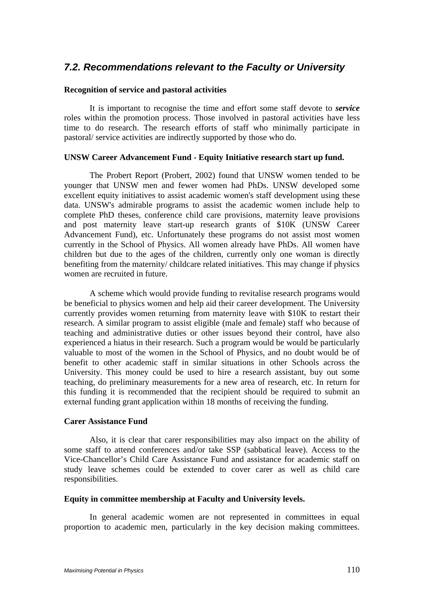## *7.2. Recommendations relevant to the Faculty or University*

### **Recognition of service and pastoral activities**

It is important to recognise the time and effort some staff devote to *service*  roles within the promotion process. Those involved in pastoral activities have less time to do research. The research efforts of staff who minimally participate in pastoral/ service activities are indirectly supported by those who do.

### **UNSW Career Advancement Fund - Equity Initiative research start up fund.**

The Probert Report (Probert, 2002) found that UNSW women tended to be younger that UNSW men and fewer women had PhDs. UNSW developed some excellent equity initiatives to assist academic women's staff development using these data. UNSW's admirable programs to assist the academic women include help to complete PhD theses, conference child care provisions, maternity leave provisions and post maternity leave start-up research grants of \$10K (UNSW Career Advancement Fund), etc. Unfortunately these programs do not assist most women currently in the School of Physics. All women already have PhDs. All women have children but due to the ages of the children, currently only one woman is directly benefiting from the maternity/ childcare related initiatives. This may change if physics women are recruited in future.

A scheme which would provide funding to revitalise research programs would be beneficial to physics women and help aid their career development. The University currently provides women returning from maternity leave with \$10K to restart their research. A similar program to assist eligible (male and female) staff who because of teaching and administrative duties or other issues beyond their control, have also experienced a hiatus in their research. Such a program would be would be particularly valuable to most of the women in the School of Physics, and no doubt would be of benefit to other academic staff in similar situations in other Schools across the University. This money could be used to hire a research assistant, buy out some teaching, do preliminary measurements for a new area of research, etc. In return for this funding it is recommended that the recipient should be required to submit an external funding grant application within 18 months of receiving the funding.

### **Carer Assistance Fund**

Also, it is clear that carer responsibilities may also impact on the ability of some staff to attend conferences and/or take SSP (sabbatical leave). Access to the Vice-Chancellor's Child Care Assistance Fund and assistance for academic staff on study leave schemes could be extended to cover carer as well as child care responsibilities.

### **Equity in committee membership at Faculty and University levels.**

In general academic women are not represented in committees in equal proportion to academic men, particularly in the key decision making committees.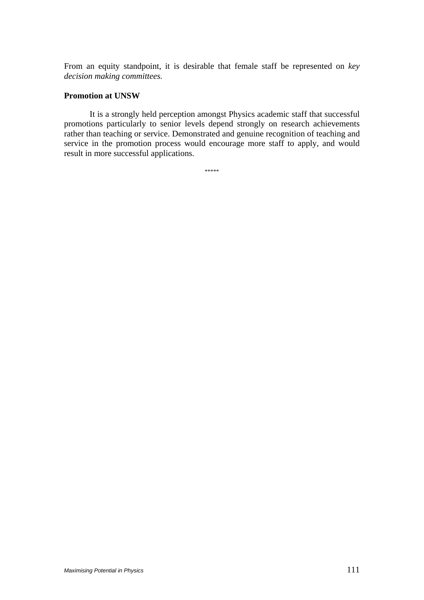From an equity standpoint, it is desirable that female staff be represented on *key decision making committees.* 

### **Promotion at UNSW**

It is a strongly held perception amongst Physics academic staff that successful promotions particularly to senior levels depend strongly on research achievements rather than teaching or service. Demonstrated and genuine recognition of teaching and service in the promotion process would encourage more staff to apply, and would result in more successful applications.

\*\*\*\*\*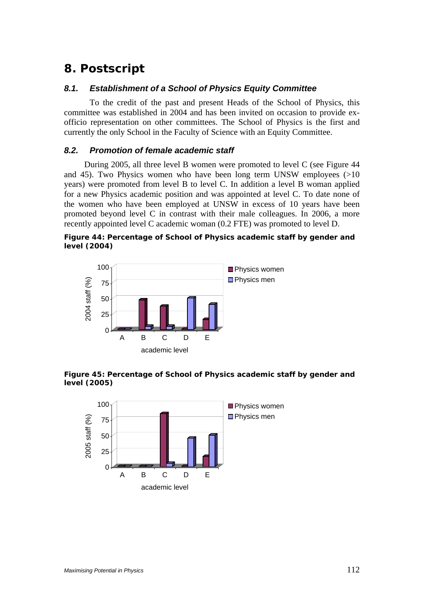## *8. Postscript*

### *8.1. Establishment of a School of Physics Equity Committee*

 To the credit of the past and present Heads of the School of Physics, this committee was established in 2004 and has been invited on occasion to provide exofficio representation on other committees. The School of Physics is the first and currently the only School in the Faculty of Science with an Equity Committee.

### *8.2. Promotion of female academic staff*

During 2005, all three level B women were promoted to level C (see Figure 44 and 45). Two Physics women who have been long term UNSW employees (>10 years) were promoted from level B to level C. In addition a level B woman applied for a new Physics academic position and was appointed at level C. To date none of the women who have been employed at UNSW in excess of 10 years have been promoted beyond level C in contrast with their male colleagues. In 2006, a more recently appointed level C academic woman (0.2 FTE) was promoted to level D.





### **Figure 45: Percentage of School of Physics academic staff by gender and level (2005)**

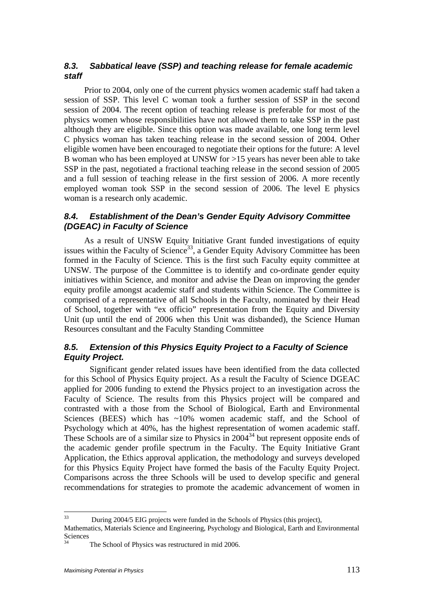## *8.3. Sabbatical leave (SSP) and teaching release for female academic staff*

Prior to 2004, only one of the current physics women academic staff had taken a session of SSP. This level C woman took a further session of SSP in the second session of 2004. The recent option of teaching release is preferable for most of the physics women whose responsibilities have not allowed them to take SSP in the past although they are eligible. Since this option was made available, one long term level C physics woman has taken teaching release in the second session of 2004. Other eligible women have been encouraged to negotiate their options for the future: A level B woman who has been employed at UNSW for >15 years has never been able to take SSP in the past, negotiated a fractional teaching release in the second session of 2005 and a full session of teaching release in the first session of 2006. A more recently employed woman took SSP in the second session of 2006. The level E physics woman is a research only academic.

## *8.4. Establishment of the Dean's Gender Equity Advisory Committee (DGEAC) in Faculty of Science*

As a result of UNSW Equity Initiative Grant funded investigations of equity issues within the Faculty of Science<sup>33</sup>, a Gender Equity Advisory Committee has been formed in the Faculty of Science. This is the first such Faculty equity committee at UNSW. The purpose of the Committee is to identify and co-ordinate gender equity initiatives within Science, and monitor and advise the Dean on improving the gender equity profile amongst academic staff and students within Science. The Committee is comprised of a representative of all Schools in the Faculty, nominated by their Head of School, together with "ex officio" representation from the Equity and Diversity Unit (up until the end of 2006 when this Unit was disbanded), the Science Human Resources consultant and the Faculty Standing Committee

## *8.5. Extension of this Physics Equity Project to a Faculty of Science Equity Project.*

 Significant gender related issues have been identified from the data collected for this School of Physics Equity project. As a result the Faculty of Science DGEAC applied for 2006 funding to extend the Physics project to an investigation across the Faculty of Science. The results from this Physics project will be compared and contrasted with a those from the School of Biological, Earth and Environmental Sciences (BEES) which has  $\sim 10\%$  women academic staff, and the School of Psychology which at 40%, has the highest representation of women academic staff. These Schools are of a similar size to Physics in  $2004<sup>34</sup>$  but represent opposite ends of the academic gender profile spectrum in the Faculty. The Equity Initiative Grant Application, the Ethics approval application, the methodology and surveys developed for this Physics Equity Project have formed the basis of the Faculty Equity Project. Comparisons across the three Schools will be used to develop specific and general recommendations for strategies to promote the academic advancement of women in

 $33$ 33 During 2004/5 EIG projects were funded in the Schools of Physics (this project),

Mathematics, Materials Science and Engineering, Psychology and Biological, Earth and Environmental Sciences

The School of Physics was restructured in mid 2006.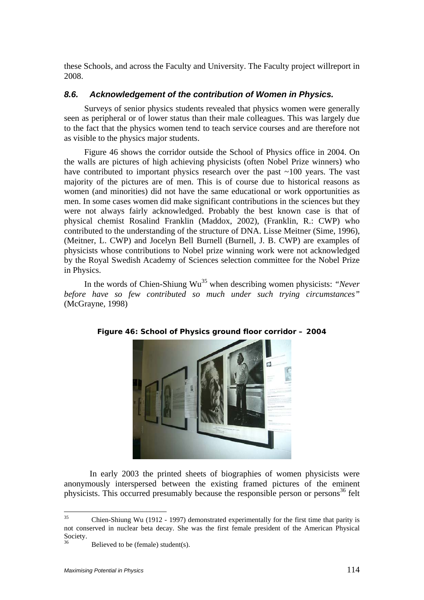these Schools, and across the Faculty and University. The Faculty project willreport in 2008.

### *8.6. Acknowledgement of the contribution of Women in Physics.*

Surveys of senior physics students revealed that physics women were generally seen as peripheral or of lower status than their male colleagues. This was largely due to the fact that the physics women tend to teach service courses and are therefore not as visible to the physics major students.

Figure 46 shows the corridor outside the School of Physics office in 2004. On the walls are pictures of high achieving physicists (often Nobel Prize winners) who have contributed to important physics research over the past  $\sim$ 100 years. The vast majority of the pictures are of men. This is of course due to historical reasons as women (and minorities) did not have the same educational or work opportunities as men. In some cases women did make significant contributions in the sciences but they were not always fairly acknowledged. Probably the best known case is that of physical chemist Rosalind Franklin (Maddox, 2002), (Franklin, R.: CWP) who contributed to the understanding of the structure of DNA. Lisse Meitner (Sime, 1996), (Meitner, L. CWP) and Jocelyn Bell Burnell (Burnell, J. B. CWP) are examples of physicists whose contributions to Nobel prize winning work were not acknowledged by the Royal Swedish Academy of Sciences selection committee for the Nobel Prize in Physics.

In the words of Chien-Shiung Wu<sup>35</sup> when describing women physicists: *"Never before have so few contributed so much under such trying circumstances"* (McGrayne, 1998)



### **Figure 46: School of Physics ground floor corridor – 2004**

 In early 2003 the printed sheets of biographies of women physicists were anonymously interspersed between the existing framed pictures of the eminent physicists. This occurred presumably because the responsible person or persons<sup>36</sup> felt

<sup>35</sup> Chien-Shiung Wu (1912 - 1997) demonstrated experimentally for the first time that parity is not conserved in nuclear beta decay. She was the first female president of the American Physical Society.

Believed to be (female) student(s).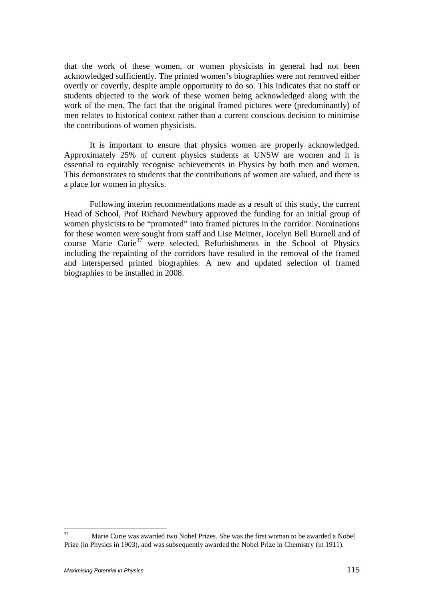that the work of these women, or women physicists in general had not been acknowledged sufficiently. The printed women's biographies were not removed either overtly or covertly, despite ample opportunity to do so. This indicates that no staff or students objected to the work of these women being acknowledged along with the work of the men. The fact that the original framed pictures were (predominantly) of men relates to historical context rather than a current conscious decision to minimise the contributions of women physicists.

 It is important to ensure that physics women are properly acknowledged. Approximately 25% of current physics students at UNSW are women and it is essential to equitably recognise achievements in Physics by both men and women. This demonstrates to students that the contributions of women are valued, and there is a place for women in physics.

 Following interim recommendations made as a result of this study, the current Head of School, Prof Richard Newbury approved the funding for an initial group of women physicists to be "promoted" into framed pictures in the corridor. Nominations for these women were sought from staff and Lise Meitner, Jocelyn Bell Burnell and of course Marie Curie<sup>37</sup> were selected. Refurbishments in the School of Physics including the repainting of the corridors have resulted in the removal of the framed and interspersed printed biographies. A new and updated selection of framed biographies to be installed in 2008.

 $37$ 37 Marie Curie was awarded two Nobel Prizes. She was the first woman to be awarded a Nobel Prize (in Physics in 1903), and was subsequently awarded the Nobel Prize in Chemistry (in 1911).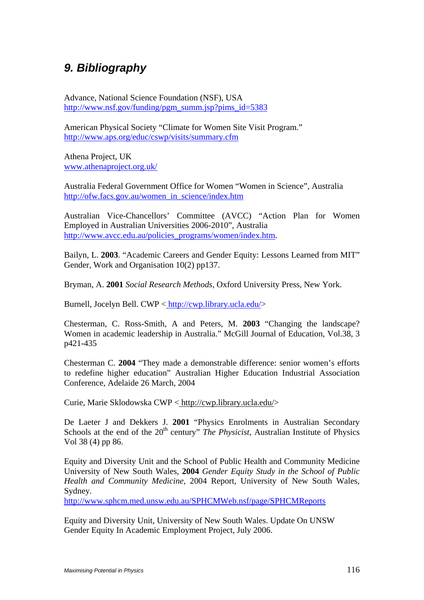# *9. Bibliography*

Advance, National Science Foundation (NSF), USA http://www.nsf.gov/funding/pgm\_summ.jsp?pims\_id=5383

American Physical Society "Climate for Women Site Visit Program." http://www.aps.org/educ/cswp/visits/summary.cfm

Athena Project, UK www.athenaproject.org.uk/

Australia Federal Government Office for Women "Women in Science", Australia http://ofw.facs.gov.au/women\_in\_science/index.htm

Australian Vice-Chancellors' Committee (AVCC) "Action Plan for Women Employed in Australian Universities 2006-2010", Australia http://www.avcc.edu.au/policies\_programs/women/index.htm.

Bailyn, L. **2003**. "Academic Careers and Gender Equity: Lessons Learned from MIT" Gender, Work and Organisation 10(2) pp137.

Bryman, A. **2001** *Social Research Methods*, Oxford University Press, New York.

Burnell, Jocelyn Bell. CWP < http://cwp.library.ucla.edu/>

Chesterman, C. Ross-Smith, A and Peters, M. **2003** "Changing the landscape? Women in academic leadership in Australia." McGill Journal of Education, Vol.38, 3 p421-435

Chesterman C. **2004** "They made a demonstrable difference: senior women's efforts to redefine higher education" Australian Higher Education Industrial Association Conference, Adelaide 26 March, 2004

Curie, Marie Sklodowska CWP < http://cwp.library.ucla.edu/>

De Laeter J and Dekkers J. **2001** "Physics Enrolments in Australian Secondary Schools at the end of the 20<sup>th</sup> century" *The Physicist*, Australian Institute of Physics Vol 38 (4) pp 86.

Equity and Diversity Unit and the School of Public Health and Community Medicine University of New South Wales, **2004** *Gender Equity Study in the School of Public Health and Community Medicine*, 2004 Report, University of New South Wales, Sydney.

http://www.sphcm.med.unsw.edu.au/SPHCMWeb.nsf/page/SPHCMReports

Equity and Diversity Unit, University of New South Wales. Update On UNSW Gender Equity In Academic Employment Project, July 2006.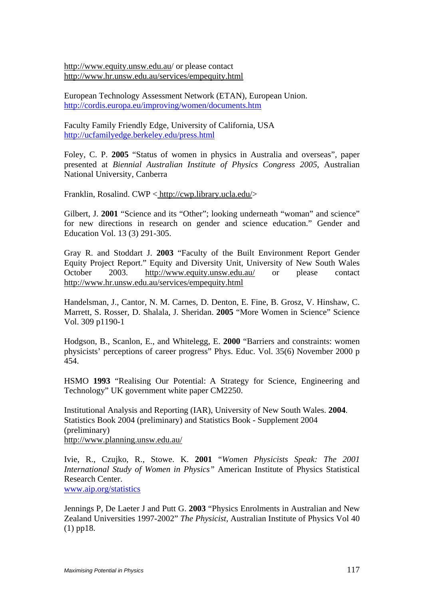http://www.equity.unsw.edu.au/ or please contact http://www.hr.unsw.edu.au/services/empequity.html

European Technology Assessment Network (ETAN), European Union. http://cordis.europa.eu/improving/women/documents.htm

Faculty Family Friendly Edge, University of California, USA http://ucfamilyedge.berkeley.edu/press.html

Foley, C. P. **2005** "Status of women in physics in Australia and overseas", paper presented at *Biennial Australian Institute of Physics Congress 2005*, Australian National University, Canberra

Franklin, Rosalind. CWP < http://cwp.library.ucla.edu/>

Gilbert, J. 2001 "Science and its "Other"; looking underneath "woman" and science" for new directions in research on gender and science education." Gender and Education Vol. 13 (3) 291-305.

Gray R. and Stoddart J. **2003** "Faculty of the Built Environment Report Gender Equity Project Report." Equity and Diversity Unit, University of New South Wales October 2003. http://www.equity.unsw.edu.au/ or please contact http://www.hr.unsw.edu.au/services/empequity.html

Handelsman, J., Cantor, N. M. Carnes, D. Denton, E. Fine, B. Grosz, V. Hinshaw, C. Marrett, S. Rosser, D. Shalala, J. Sheridan. **2005** "More Women in Science" Science Vol. 309 p1190-1

Hodgson, B., Scanlon, E., and Whitelegg, E. **2000** "Barriers and constraints: women physicists' perceptions of career progress" Phys. Educ. Vol. 35(6) November 2000 p 454.

HSMO **1993** "Realising Our Potential: A Strategy for Science, Engineering and Technology" UK government white paper CM2250.

Institutional Analysis and Reporting (IAR), University of New South Wales. **2004**. Statistics Book 2004 (preliminary) and Statistics Book - Supplement 2004 (preliminary) http://www.planning.unsw.edu.au/

Ivie, R., Czujko, R., Stowe. K. **2001** "*Women Physicists Speak: The 2001 International Study of Women in Physics"* American Institute of Physics Statistical Research Center. www.aip.org/statistics

Jennings P, De Laeter J and Putt G. **2003** "Physics Enrolments in Australian and New Zealand Universities 1997-2002" *The Physicist,* Australian Institute of Physics Vol 40 (1) pp18.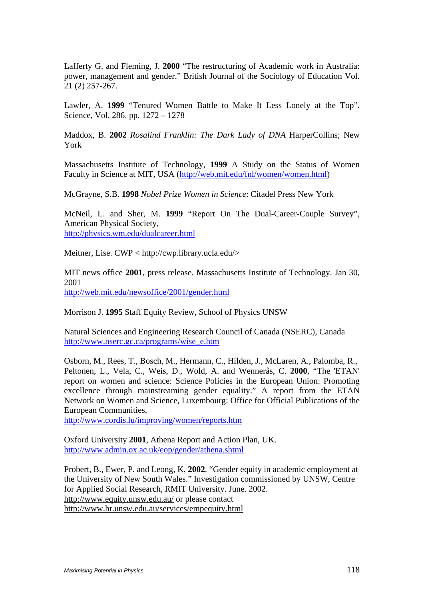Lafferty G. and Fleming, J. **2000** "The restructuring of Academic work in Australia: power, management and gender." British Journal of the Sociology of Education Vol. 21 (2) 257-267.

Lawler, A. **1999** "Tenured Women Battle to Make It Less Lonely at the Top". Science, Vol. 286. pp. 1272 – 1278

Maddox, B. **2002** *Rosalind Franklin: The Dark Lady of DNA* HarperCollins; New York

Massachusetts Institute of Technology, **1999** A Study on the Status of Women Faculty in Science at MIT, USA (http://web.mit.edu/fnl/women/women.html)

McGrayne, S.B. **1998** *Nobel Prize Women in Science*: Citadel Press New York

McNeil, L. and Sher, M. **1999** "Report On The Dual-Career-Couple Survey", American Physical Society, http://physics.wm.edu/dualcareer.html

Meitner, Lise. CWP < http://cwp.library.ucla.edu/>

MIT news office **2001**, press release. Massachusetts Institute of Technology. Jan 30, 2001 http://web.mit.edu/newsoffice/2001/gender.html

Morrison J. **1995** Staff Equity Review, School of Physics UNSW

Natural Sciences and Engineering Research Council of Canada (NSERC), Canada http://www.nserc.gc.ca/programs/wise\_e.htm

Osborn, M., Rees, T., Bosch, M., Hermann, C., Hilden, J., McLaren, A., Palomba, R., Peltonen, L., Vela, C., Weis, D., Wold, A. and Wennerås, C. **2000**, "The 'ETAN' report on women and science: Science Policies in the European Union: Promoting excellence through mainstreaming gender equality." A report from the ETAN Network on Women and Science, Luxembourg: Office for Official Publications of the European Communities,

http://www.cordis.lu/improving/women/reports.htm

Oxford University **2001**, Athena Report and Action Plan, UK. http://www.admin.ox.ac.uk/eop/gender/athena.shtml

Probert, B., Ewer, P. and Leong, K. **2002**. "Gender equity in academic employment at the University of New South Wales." Investigation commissioned by UNSW, Centre for Applied Social Research, RMIT University. June. 2002. http://www.equity.unsw.edu.au/ or please contact http://www.hr.unsw.edu.au/services/empequity.html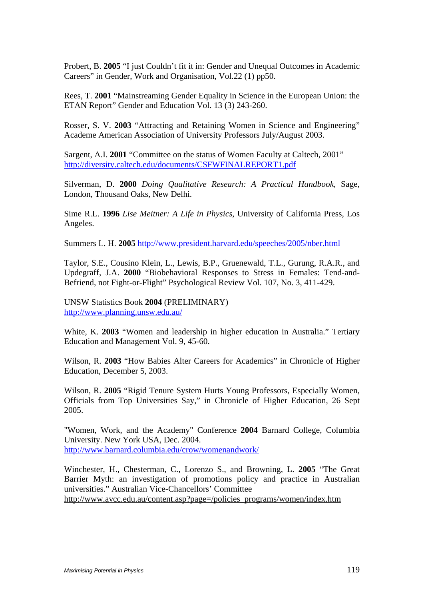Probert, B. **2005** "I just Couldn't fit it in: Gender and Unequal Outcomes in Academic Careers" in Gender, Work and Organisation, Vol.22 (1) pp50.

Rees, T. **2001** "Mainstreaming Gender Equality in Science in the European Union: the ETAN Report" Gender and Education Vol. 13 (3) 243-260.

Rosser, S. V. **2003** "Attracting and Retaining Women in Science and Engineering" Academe American Association of University Professors July/August 2003.

Sargent, A.I. **2001** "Committee on the status of Women Faculty at Caltech, 2001" http://diversity.caltech.edu/documents/CSFWFINALREPORT1.pdf

Silverman, D. **2000** *Doing Qualitative Research: A Practical Handbook*, Sage, London, Thousand Oaks, New Delhi.

Sime R.L. **1996** *Lise Meitner: A Life in Physics*, University of California Press, Los Angeles.

Summers L. H. **2005** http://www.president.harvard.edu/speeches/2005/nber.html

Taylor, S.E., Cousino Klein, L., Lewis, B.P., Gruenewald, T.L., Gurung, R.A.R., and Updegraff, J.A. **2000** "Biobehavioral Responses to Stress in Females: Tend-and-Befriend, not Fight-or-Flight" Psychological Review Vol. 107, No. 3, 411-429.

UNSW Statistics Book **2004** (PRELIMINARY) http://www.planning.unsw.edu.au/

White, K. **2003** "Women and leadership in higher education in Australia." Tertiary Education and Management Vol. 9, 45-60.

Wilson, R. **2003** "How Babies Alter Careers for Academics" in Chronicle of Higher Education, December 5, 2003.

Wilson, R. **2005** "Rigid Tenure System Hurts Young Professors, Especially Women, Officials from Top Universities Say," in Chronicle of Higher Education, 26 Sept 2005.

"Women, Work, and the Academy" Conference **2004** Barnard College, Columbia University. New York USA, Dec. 2004. http://www.barnard.columbia.edu/crow/womenandwork/

Winchester, H., Chesterman, C., Lorenzo S., and Browning, L. **2005** "The Great Barrier Myth: an investigation of promotions policy and practice in Australian universities." Australian Vice-Chancellors' Committee http://www.avcc.edu.au/content.asp?page=/policies\_programs/women/index.htm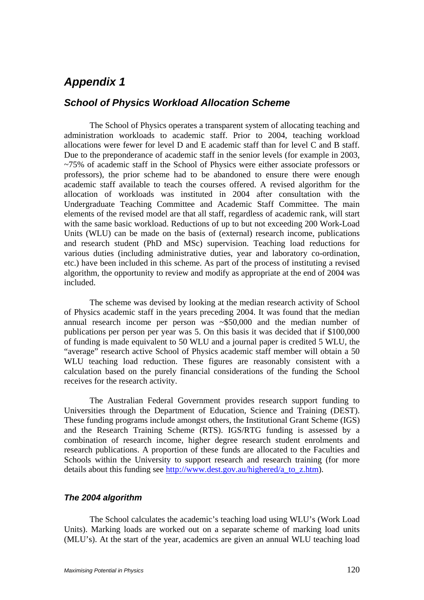## *Appendix 1*

## *School of Physics Workload Allocation Scheme*

The School of Physics operates a transparent system of allocating teaching and administration workloads to academic staff. Prior to 2004, teaching workload allocations were fewer for level D and E academic staff than for level C and B staff. Due to the preponderance of academic staff in the senior levels (for example in 2003, ~75% of academic staff in the School of Physics were either associate professors or professors), the prior scheme had to be abandoned to ensure there were enough academic staff available to teach the courses offered. A revised algorithm for the allocation of workloads was instituted in 2004 after consultation with the Undergraduate Teaching Committee and Academic Staff Committee. The main elements of the revised model are that all staff, regardless of academic rank, will start with the same basic workload. Reductions of up to but not exceeding 200 Work-Load Units (WLU) can be made on the basis of (external) research income, publications and research student (PhD and MSc) supervision. Teaching load reductions for various duties (including administrative duties, year and laboratory co-ordination, etc.) have been included in this scheme. As part of the process of instituting a revised algorithm, the opportunity to review and modify as appropriate at the end of 2004 was included.

The scheme was devised by looking at the median research activity of School of Physics academic staff in the years preceding 2004. It was found that the median annual research income per person was ~\$50,000 and the median number of publications per person per year was 5. On this basis it was decided that if \$100,000 of funding is made equivalent to 50 WLU and a journal paper is credited 5 WLU, the "average" research active School of Physics academic staff member will obtain a 50 WLU teaching load reduction. These figures are reasonably consistent with a calculation based on the purely financial considerations of the funding the School receives for the research activity.

The Australian Federal Government provides research support funding to Universities through the Department of Education, Science and Training (DEST). These funding programs include amongst others, the Institutional Grant Scheme (IGS) and the Research Training Scheme (RTS). IGS/RTG funding is assessed by a combination of research income, higher degree research student enrolments and research publications. A proportion of these funds are allocated to the Faculties and Schools within the University to support research and research training (for more details about this funding see http://www.dest.gov.au/highered/a\_to\_z.htm).

### *The 2004 algorithm*

The School calculates the academic's teaching load using WLU's (Work Load Units). Marking loads are worked out on a separate scheme of marking load units (MLU's). At the start of the year, academics are given an annual WLU teaching load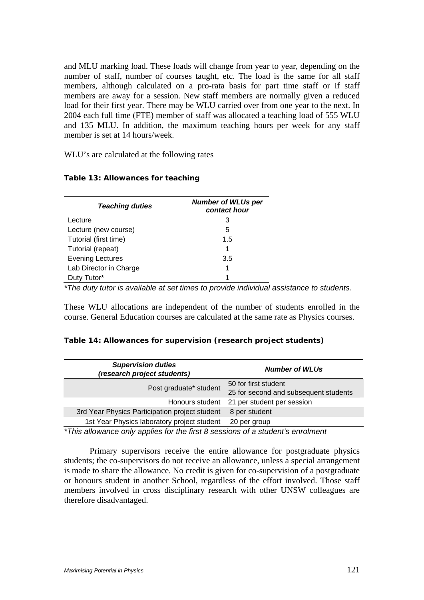and MLU marking load. These loads will change from year to year, depending on the number of staff, number of courses taught, etc. The load is the same for all staff members, although calculated on a pro-rata basis for part time staff or if staff members are away for a session. New staff members are normally given a reduced load for their first year. There may be WLU carried over from one year to the next. In 2004 each full time (FTE) member of staff was allocated a teaching load of 555 WLU and 135 MLU. In addition, the maximum teaching hours per week for any staff member is set at 14 hours/week.

WLU's are calculated at the following rates

| <b>Teaching duties</b>  | <b>Number of WLUs per</b> |
|-------------------------|---------------------------|
|                         | contact hour              |
| Lecture                 | З                         |
| Lecture (new course)    | 5                         |
| Tutorial (first time)   | 1.5                       |
| Tutorial (repeat)       | 1                         |
| <b>Evening Lectures</b> | 3.5                       |
| Lab Director in Charge  | 1                         |
| Duty Tutor*             | 1                         |

### **Table 13: Allowances for teaching**

*\*The duty tutor is available at set times to provide individual assistance to students.* 

These WLU allocations are independent of the number of students enrolled in the course. General Education courses are calculated at the same rate as Physics courses.

### **Table 14: Allowances for supervision (research project students)**

| <b>Supervision duties</b><br>(research project students) | <b>Number of WLUs</b>                                         |  |  |
|----------------------------------------------------------|---------------------------------------------------------------|--|--|
| Post graduate* student                                   | 50 for first student<br>25 for second and subsequent students |  |  |
| Honours student                                          | 21 per student per session                                    |  |  |
| 3rd Year Physics Participation project student           | 8 per student                                                 |  |  |
| 1st Year Physics laboratory project student              | 20 per group                                                  |  |  |

*\*This allowance only applies for the first 8 sessions of a student's enrolment* 

Primary supervisors receive the entire allowance for postgraduate physics students; the co-supervisors do not receive an allowance, unless a special arrangement is made to share the allowance. No credit is given for co-supervision of a postgraduate or honours student in another School, regardless of the effort involved. Those staff members involved in cross disciplinary research with other UNSW colleagues are therefore disadvantaged.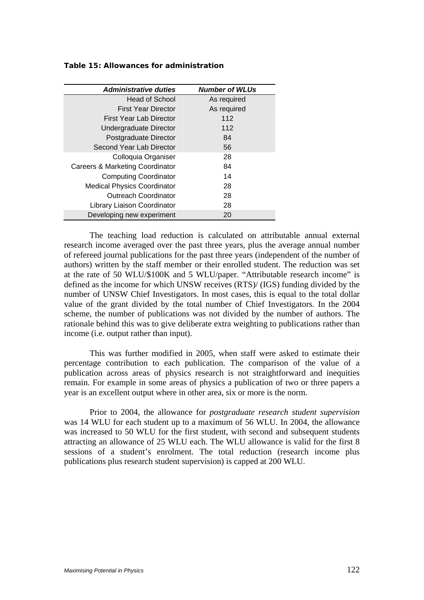| <b>Administrative duties</b>       | <b>Number of WLUs</b> |
|------------------------------------|-----------------------|
| Head of School                     | As required           |
| First Year Director                | As required           |
| First Year Lab Director            | 112                   |
| Undergraduate Director             | 112                   |
| Postgraduate Director              | 84                    |
| Second Year Lab Director           | 56                    |
| Colloquia Organiser                | 28                    |
| Careers & Marketing Coordinator    | 84                    |
| <b>Computing Coordinator</b>       | 14                    |
| <b>Medical Physics Coordinator</b> | 28                    |
| <b>Outreach Coordinator</b>        | 28                    |
| Library Liaison Coordinator        | 28                    |
| Developing new experiment          | 20                    |

### **Table 15: Allowances for administration**

The teaching load reduction is calculated on attributable annual external research income averaged over the past three years, plus the average annual number of refereed journal publications for the past three years (independent of the number of authors) written by the staff member or their enrolled student. The reduction was set at the rate of 50 WLU/\$100K and 5 WLU/paper. "Attributable research income" is defined as the income for which UNSW receives (RTS)/ (IGS) funding divided by the number of UNSW Chief Investigators. In most cases, this is equal to the total dollar value of the grant divided by the total number of Chief Investigators. In the 2004 scheme, the number of publications was not divided by the number of authors. The rationale behind this was to give deliberate extra weighting to publications rather than income (i.e. output rather than input).

This was further modified in 2005, when staff were asked to estimate their percentage contribution to each publication. The comparison of the value of a publication across areas of physics research is not straightforward and inequities remain. For example in some areas of physics a publication of two or three papers a year is an excellent output where in other area, six or more is the norm.

Prior to 2004, the allowance for *postgraduate research student supervision*  was 14 WLU for each student up to a maximum of 56 WLU. In 2004, the allowance was increased to 50 WLU for the first student, with second and subsequent students attracting an allowance of 25 WLU each. The WLU allowance is valid for the first 8 sessions of a student's enrolment. The total reduction (research income plus publications plus research student supervision) is capped at 200 WLU.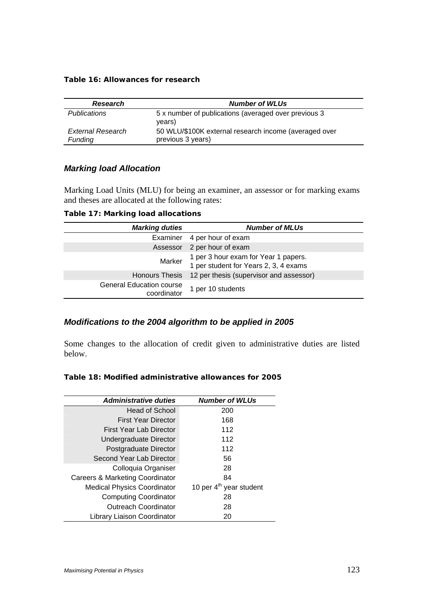#### **Table 16: Allowances for research**

| <b>Research</b>                     | <b>Number of WLUs</b>                                                      |
|-------------------------------------|----------------------------------------------------------------------------|
| <b>Publications</b>                 | 5 x number of publications (averaged over previous 3<br>years)             |
| <b>External Research</b><br>Funding | 50 WLU/\$100K external research income (averaged over<br>previous 3 years) |

## *Marking load Allocation*

Marking Load Units (MLU) for being an examiner, an assessor or for marking exams and theses are allocated at the following rates:

**Table 17: Marking load allocations** 

| <b>Marking duties</b>                          | <b>Number of MLUs</b>                                                         |
|------------------------------------------------|-------------------------------------------------------------------------------|
| Examiner                                       | 4 per hour of exam                                                            |
| Assessor                                       | 2 per hour of exam                                                            |
| Marker                                         | 1 per 3 hour exam for Year 1 papers.<br>1 per student for Years 2, 3, 4 exams |
| <b>Honours Thesis</b>                          | 12 per thesis (supervisor and assessor)                                       |
| <b>General Education course</b><br>coordinator | 1 per 10 students                                                             |

## *Modifications to the 2004 algorithm to be applied in 2005*

Some changes to the allocation of credit given to administrative duties are listed below.

### **Table 18: Modified administrative allowances for 2005**

| <b>Administrative duties</b>       | <b>Number of WLUs</b>               |
|------------------------------------|-------------------------------------|
| <b>Head of School</b>              | 200                                 |
| <b>First Year Director</b>         | 168                                 |
| First Year Lab Director            | 112                                 |
| Undergraduate Director             | 112                                 |
| Postgraduate Director              | 112                                 |
| Second Year Lab Director           | 56                                  |
| Colloquia Organiser                | 28                                  |
| Careers & Marketing Coordinator    | 84                                  |
| <b>Medical Physics Coordinator</b> | 10 per 4 <sup>th</sup> year student |
| <b>Computing Coordinator</b>       | 28                                  |
| <b>Outreach Coordinator</b>        | 28                                  |
| Library Liaison Coordinator        | 20                                  |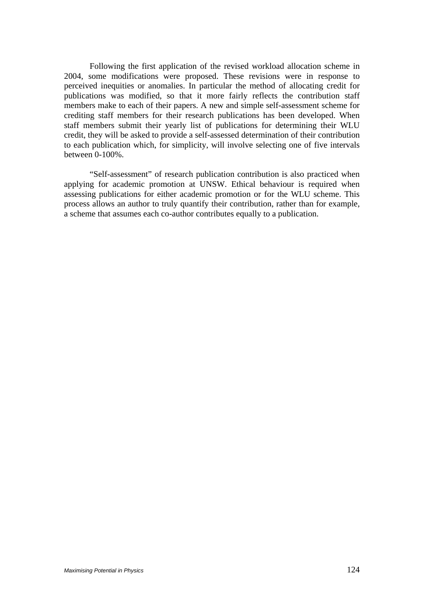Following the first application of the revised workload allocation scheme in 2004, some modifications were proposed. These revisions were in response to perceived inequities or anomalies. In particular the method of allocating credit for publications was modified, so that it more fairly reflects the contribution staff members make to each of their papers. A new and simple self-assessment scheme for crediting staff members for their research publications has been developed. When staff members submit their yearly list of publications for determining their WLU credit, they will be asked to provide a self-assessed determination of their contribution to each publication which, for simplicity, will involve selecting one of five intervals between 0-100%.

"Self-assessment" of research publication contribution is also practiced when applying for academic promotion at UNSW. Ethical behaviour is required when assessing publications for either academic promotion or for the WLU scheme. This process allows an author to truly quantify their contribution, rather than for example, a scheme that assumes each co-author contributes equally to a publication.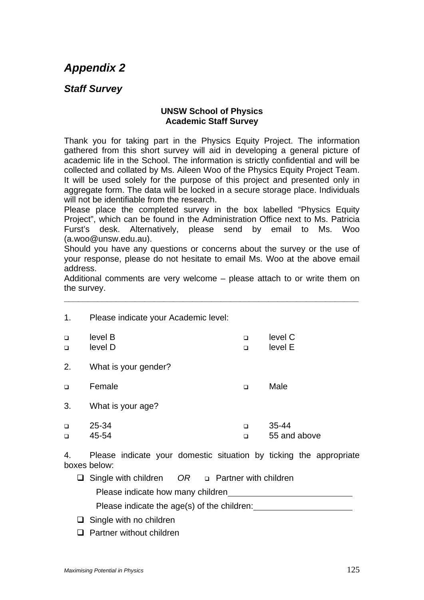# *Appendix 2*

## *Staff Survey*

### **UNSW School of Physics Academic Staff Survey**

Thank you for taking part in the Physics Equity Project. The information gathered from this short survey will aid in developing a general picture of academic life in the School. The information is strictly confidential and will be collected and collated by Ms. Aileen Woo of the Physics Equity Project Team. It will be used solely for the purpose of this project and presented only in aggregate form. The data will be locked in a secure storage place. Individuals will not be identifiable from the research.

Please place the completed survey in the box labelled "Physics Equity Project", which can be found in the Administration Office next to Ms. Patricia Furst's desk. Alternatively, please send by email to Ms. Woo (a.woo@unsw.edu.au).

Should you have any questions or concerns about the survey or the use of your response, please do not hesitate to email Ms. Woo at the above email address.

Additional comments are very welcome – please attach to or write them on the survey.

**\_\_\_\_\_\_\_\_\_\_\_\_\_\_\_\_\_\_\_\_\_\_\_\_\_\_\_\_\_\_\_\_\_\_\_\_\_\_\_\_\_\_\_\_\_\_\_\_\_\_\_\_\_\_\_\_\_\_\_\_\_\_** 

| 1.               | Please indicate your Academic level: |                  |                           |
|------------------|--------------------------------------|------------------|---------------------------|
| $\Box$<br>$\Box$ | level B<br>level D                   | $\Box$<br>$\Box$ | level C<br>level E        |
| 2.               | What is your gender?                 |                  |                           |
| $\Box$           | Female                               | $\Box$           | Male                      |
| 3.               | What is your age?                    |                  |                           |
| □<br>$\Box$      | 25-34<br>45-54                       | $\Box$<br>$\Box$ | $35 - 44$<br>55 and above |

4. Please indicate your domestic situation by ticking the appropriate boxes below:

Single with children *OR*  Partner with children

Please indicate how many children

Please indicate the age(s) of the children:

 $\Box$  Single with no children

 $\Box$  Partner without children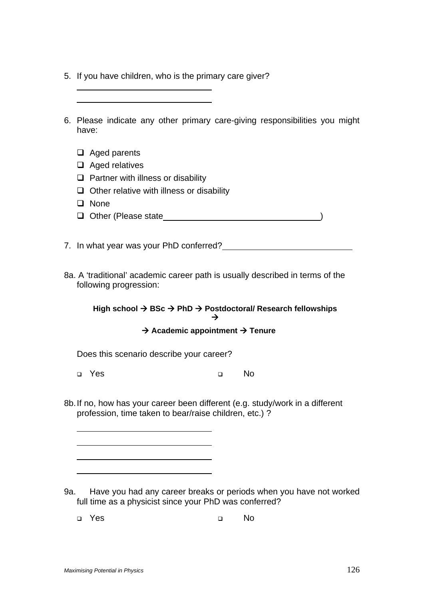| 5. If you have children, who is the primary care giver? |  |  |  |  |  |  |  |  |
|---------------------------------------------------------|--|--|--|--|--|--|--|--|
|---------------------------------------------------------|--|--|--|--|--|--|--|--|

| have:                                                                                                   | 6. Please indicate any other primary care-giving responsibilities you might                           |
|---------------------------------------------------------------------------------------------------------|-------------------------------------------------------------------------------------------------------|
| Aged parents                                                                                            |                                                                                                       |
| Aged relatives                                                                                          |                                                                                                       |
| Partner with illness or disability                                                                      |                                                                                                       |
| Other relative with illness or disability                                                               |                                                                                                       |
| <b>None</b>                                                                                             |                                                                                                       |
| Other (Please state                                                                                     |                                                                                                       |
| 7. In what year was your PhD conferred?                                                                 |                                                                                                       |
| 8a. A 'traditional' academic career path is usually described in terms of the<br>following progression: |                                                                                                       |
|                                                                                                         | High school $\rightarrow$ BSc $\rightarrow$ PhD $\rightarrow$ Postdoctoral/ Research fellowships<br>→ |
| $\rightarrow$ Academic appointment $\rightarrow$ Tenure                                                 |                                                                                                       |

Does this scenario describe your career?

a Yes a No

8b. If no, how has your career been different (e.g. study/work in a different profession, time taken to bear/raise children, etc.) ?

9a. Have you had any career breaks or periods when you have not worked full time as a physicist since your PhD was conferred?

Yes No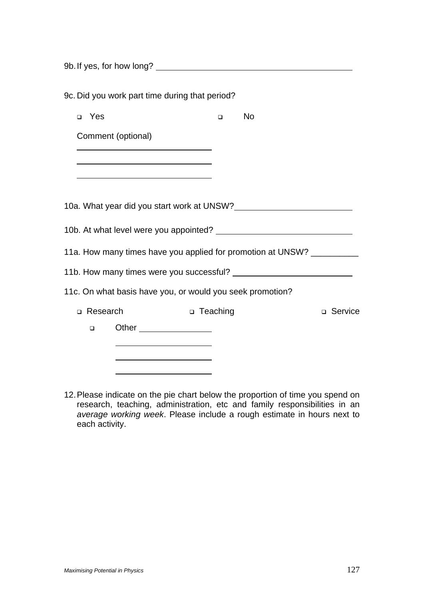9b. If yes, for how long?

|       |            | 9c. Did you work part time during that period?            |            |        |                                                                        |           |
|-------|------------|-----------------------------------------------------------|------------|--------|------------------------------------------------------------------------|-----------|
| □ Yes |            |                                                           |            | $\Box$ | <b>No</b>                                                              |           |
|       |            | Comment (optional)                                        |            |        |                                                                        |           |
|       |            |                                                           |            |        |                                                                        |           |
|       |            |                                                           |            |        |                                                                        |           |
|       |            |                                                           |            |        | 10a. What year did you start work at UNSW?                             |           |
|       |            |                                                           |            |        |                                                                        |           |
|       |            |                                                           |            |        | 11a. How many times have you applied for promotion at UNSW? __________ |           |
|       |            |                                                           |            |        |                                                                        |           |
|       |            | 11c. On what basis have you, or would you seek promotion? |            |        |                                                                        |           |
|       | □ Research |                                                           | □ Teaching |        |                                                                        | □ Service |
|       | $\Box$     |                                                           |            |        |                                                                        |           |
|       |            |                                                           |            |        |                                                                        |           |
|       |            |                                                           |            |        |                                                                        |           |

12. Please indicate on the pie chart below the proportion of time you spend on research, teaching, administration, etc and family responsibilities in an *average working week*. Please include a rough estimate in hours next to each activity.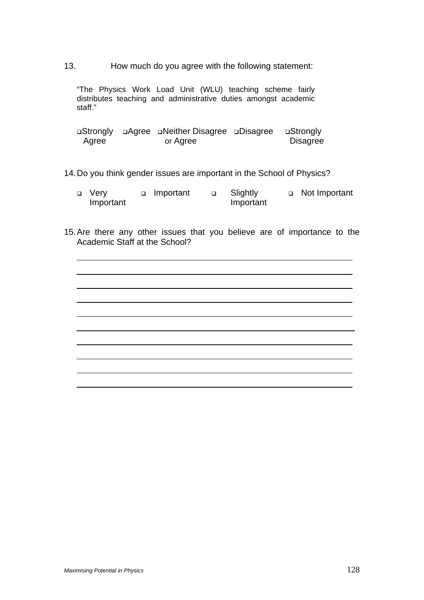13. How much do you agree with the following statement:

"The Physics Work Load Unit (WLU) teaching scheme fairly distributes teaching and administrative duties amongst academic staff."

|       | ⊔Strongly □Agree □Neither Disagree □Disagree □Strongly |                 |
|-------|--------------------------------------------------------|-----------------|
| Agree | or Agree                                               | <b>Disagree</b> |

### 14. Do you think gender issues are important in the School of Physics?

| $\Box$ Very | n Important | Slightly  | □ Not Important |
|-------------|-------------|-----------|-----------------|
| Important   |             | Important |                 |

15. Are there any other issues that you believe are of importance to the Academic Staff at the School?

 $\overline{a}$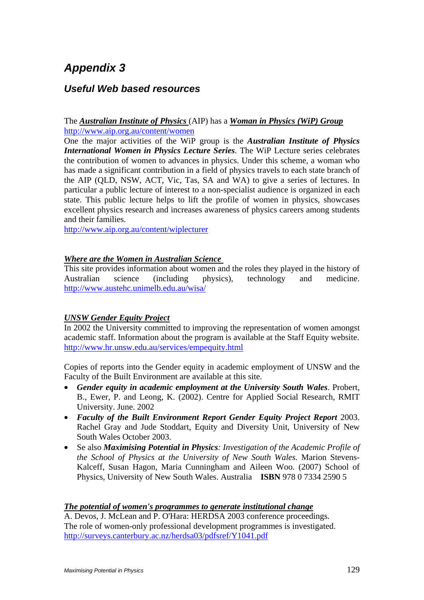# *Appendix 3*

## *Useful Web based resources*

### The *Australian Institute of Physics* (AIP) has a *Woman in Physics (WiP) Group* http://www.aip.org.au/content/women

One the major activities of the WiP group is the *Australian Institute of Physics International Women in Physics Lecture Series*. The WiP Lecture series celebrates the contribution of women to advances in physics. Under this scheme, a woman who has made a significant contribution in a field of physics travels to each state branch of the AIP (QLD, NSW, ACT, Vic, Tas, SA and WA) to give a series of lectures. In particular a public lecture of interest to a non-specialist audience is organized in each state. This public lecture helps to lift the profile of women in physics, showcases excellent physics research and increases awareness of physics careers among students and their families.

http://www.aip.org.au/content/wiplecturer

### *Where are the Women in Australian Science*

This site provides information about women and the roles they played in the history of Australian science (including physics), technology and medicine. http://www.austehc.unimelb.edu.au/wisa/

## *UNSW Gender Equity Project*

In 2002 the University committed to improving the representation of women amongst academic staff. Information about the program is available at the Staff Equity website. http://www.hr.unsw.edu.au/services/empequity.html

Copies of reports into the Gender equity in academic employment of UNSW and the Faculty of the Built Environment are available at this site.

- *Gender equity in academic employment at the University South Wales*. Probert, B., Ewer, P. and Leong, K. (2002). Centre for Applied Social Research, RMIT University. June. 2002
- *Faculty of the Built Environment Report Gender Equity Project Report* 2003. Rachel Gray and Jude Stoddart, Equity and Diversity Unit, University of New South Wales October 2003.
- Se also *Maximising Potential in Physics: Investigation of the Academic Profile of the School of Physics at the University of New South Wales.* Marion Stevens-Kalceff, Susan Hagon, Maria Cunningham and Aileen Woo*.* (2007) School of Physics, University of New South Wales. Australia**ISBN** 978 0 7334 2590 5

### *The potential of women's programmes to generate institutional change*

A. Devos, J. McLean and P. O'Hara: HERDSA 2003 conference proceedings. The role of women-only professional development programmes is investigated. http://surveys.canterbury.ac.nz/herdsa03/pdfsref/Y1041.pdf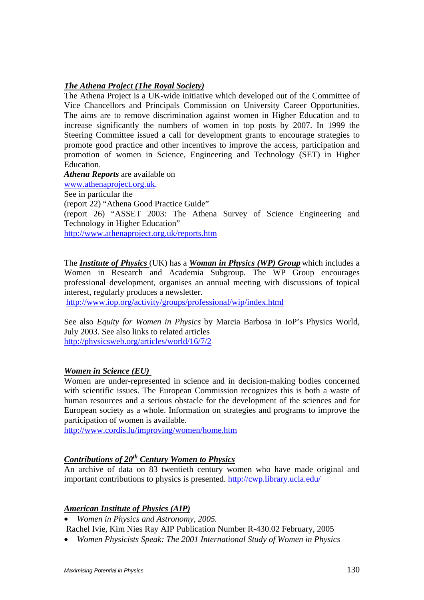### *The Athena Project (The Royal Society)*

The Athena Project is a UK-wide initiative which developed out of the Committee of Vice Chancellors and Principals Commission on University Career Opportunities. The aims are to remove discrimination against women in Higher Education and to increase significantly the numbers of women in top posts by 2007. In 1999 the Steering Committee issued a call for development grants to encourage strategies to promote good practice and other incentives to improve the access, participation and promotion of women in Science, Engineering and Technology (SET) in Higher Education.

*Athena Reports* are available on

www.athenaproject.org.uk.

See in particular the

(report 22) "Athena Good Practice Guide"

(report 26) "ASSET 2003: The Athena Survey of Science Engineering and Technology in Higher Education"

http://www.athenaproject.org.uk/reports.htm

The *Institute of Physics* (UK) has a *Woman in Physics (WP) Group* which includes a Women in Research and Academia Subgroup. The WP Group encourages professional development, organises an annual meeting with discussions of topical interest, regularly produces a newsletter.

http://www.iop.org/activity/groups/professional/wip/index.html

See also *Equity for Women in Physics* by Marcia Barbosa in IoP's Physics World, July 2003. See also links to related articles http://physicsweb.org/articles/world/16/7/2

### *Women in Science (EU)*

Women are under-represented in science and in decision-making bodies concerned with scientific issues. The European Commission recognizes this is both a waste of human resources and a serious obstacle for the development of the sciences and for European society as a whole. Information on strategies and programs to improve the participation of women is available.

http://www.cordis.lu/improving/women/home.htm

## *Contributions of 20th Century Women to Physics*

An archive of data on 83 twentieth century women who have made original and important contributions to physics is presented. http://cwp.library.ucla.edu/

## *American Institute of Physics (AIP)*

• *Women in Physics and Astronomy, 2005.* 

Rachel Ivie, Kim Nies Ray AIP Publication Number R-430.02 February, 2005

• *Women Physicists Speak: The 2001 International Study of Women in Physics*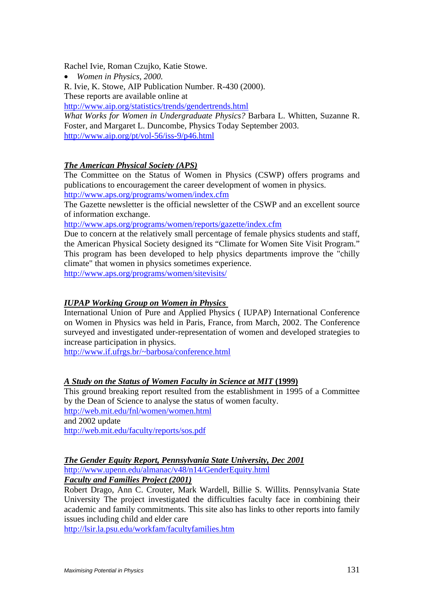Rachel Ivie, Roman Czujko, Katie Stowe.

• *Women in Physics, 2000.*

R. Ivie, K. Stowe, AIP Publication Number. R-430 (2000).

These reports are available online at

http://www.aip.org/statistics/trends/gendertrends.html

*What Works for Women in Undergraduate Physics?* Barbara L. Whitten, Suzanne R. Foster, and Margaret L. Duncombe, Physics Today September 2003. http://www.aip.org/pt/vol-56/iss-9/p46.html

### *The American Physical Society (APS)*

The Committee on the Status of Women in Physics (CSWP) offers programs and publications to encouragement the career development of women in physics. http://www.aps.org/programs/women/index.cfm

The Gazette newsletter is the official newsletter of the CSWP and an excellent source of information exchange.

http://www.aps.org/programs/women/reports/gazette/index.cfm

Due to concern at the relatively small percentage of female physics students and staff, the American Physical Society designed its "Climate for Women Site Visit Program." This program has been developed to help physics departments improve the "chilly climate" that women in physics sometimes experience.

http://www.aps.org/programs/women/sitevisits/

### *IUPAP Working Group on Women in Physics*

International Union of Pure and Applied Physics ( IUPAP) International Conference on Women in Physics was held in Paris, France, from March, 2002. The Conference surveyed and investigated under-representation of women and developed strategies to increase participation in physics.

http://www.if.ufrgs.br/~barbosa/conference.html

### *A Study on the Status of Women Faculty in Science at MIT* **(1999)**

This ground breaking report resulted from the establishment in 1995 of a Committee by the Dean of Science to analyse the status of women faculty. http://web.mit.edu/fnl/women/women.html and 2002 update http://web.mit.edu/faculty/reports/sos.pdf

### *The Gender Equity Report, Pennsylvania State University, Dec 2001*

http://www.upenn.edu/almanac/v48/n14/GenderEquity.html

*Faculty and Families Project (2001)*

Robert Drago, Ann C. Crouter, Mark Wardell, Billie S. Willits. Pennsylvania State University The project investigated the difficulties faculty face in combining their academic and family commitments. This site also has links to other reports into family issues including child and elder care

http://lsir.la.psu.edu/workfam/facultyfamilies.htm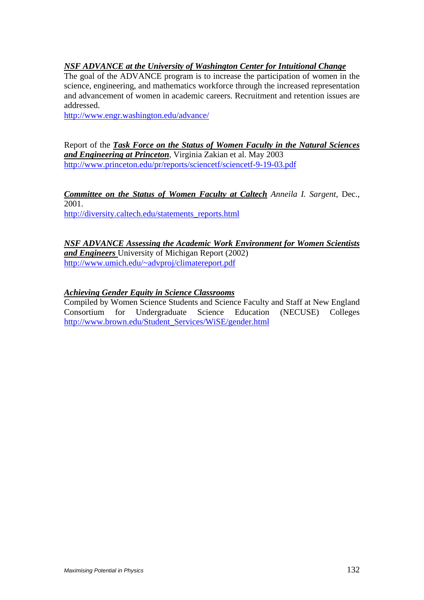## *NSF ADVANCE at the University of Washington Center for Intuitional Change*

The goal of the ADVANCE program is to increase the participation of women in the science, engineering, and mathematics workforce through the increased representation and advancement of women in academic careers. Recruitment and retention issues are addressed.

http://www.engr.washington.edu/advance/

Report of the *Task Force on the Status of Women Faculty in the Natural Sciences and Engineering at Princeton*, Virginia Zakian et al. May 2003 http://www.princeton.edu/pr/reports/sciencetf/sciencetf-9-19-03.pdf

*Committee on the Status of Women Faculty at Caltech Anneila I. Sargent,* Dec., 2001.

http://diversity.caltech.edu/statements\_reports.html

*NSF ADVANCE Assessing the Academic Work Environment for Women Scientists and Engineers* University of Michigan Report (2002) http://www.umich.edu/~advproj/climatereport.pdf

## *Achieving Gender Equity in Science Classrooms*

Compiled by Women Science Students and Science Faculty and Staff at New England Consortium for Undergraduate Science Education (NECUSE) Colleges http://www.brown.edu/Student\_Services/WiSE/gender.html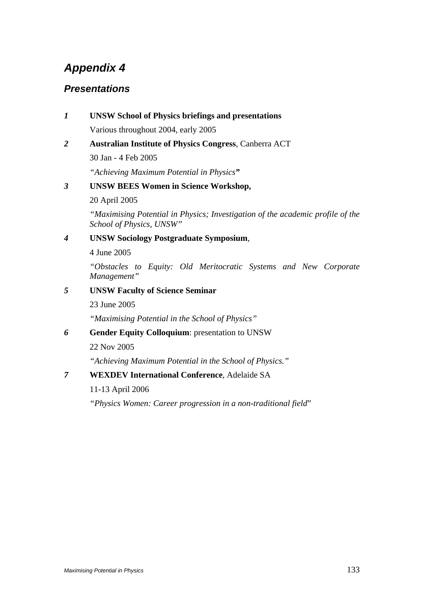# *Appendix 4*

## *Presentations*

## *1* **UNSW School of Physics briefings and presentations**  Various throughout 2004, early 2005

*2* **Australian Institute of Physics Congress**, Canberra ACT

30 Jan - 4 Feb 2005

*"Achieving Maximum Potential in Physics"* 

## *3* **UNSW BEES Women in Science Workshop,**

20 April 2005

*"Maximising Potential in Physics; Investigation of the academic profile of the School of Physics, UNSW"* 

## *4* **UNSW Sociology Postgraduate Symposium**,

4 June 2005

*"Obstacles to Equity: Old Meritocratic Systems and New Corporate Management"* 

## *5* **UNSW Faculty of Science Seminar**

23 June 2005

*"Maximising Potential in the School of Physics"* 

*6* **Gender Equity Colloquium**: presentation to UNSW

22 Nov 2005

*"Achieving Maximum Potential in the School of Physics."* 

*7* **WEXDEV International Conference**, Adelaide SA

11-13 April 2006

*"Physics Women: Career progression in a non-traditional field*"